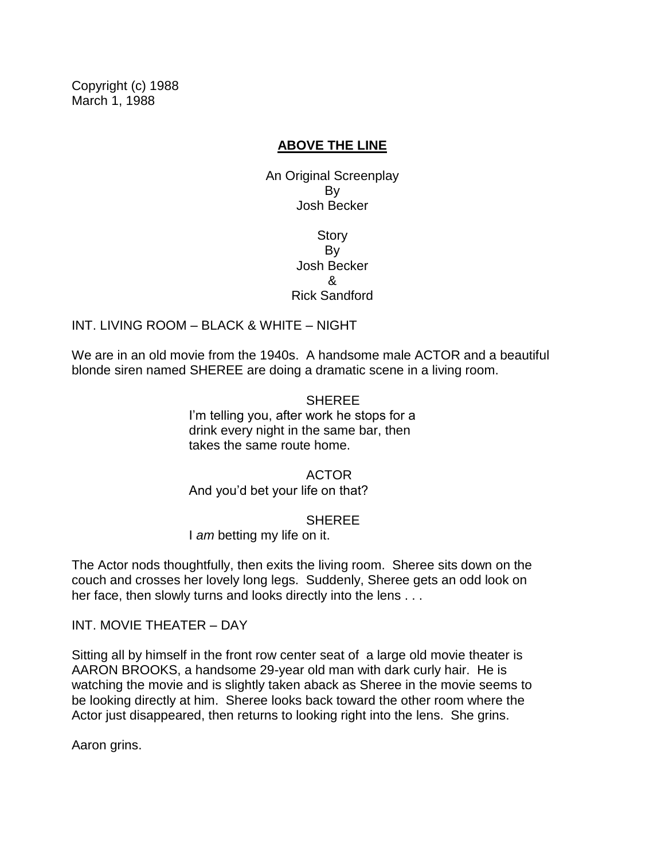Copyright (c) 1988 March 1, 1988

### **ABOVE THE LINE**

An Original Screenplay By Josh Becker

> **Story** By Josh Becker & Rick Sandford

INT. LIVING ROOM – BLACK & WHITE – NIGHT

We are in an old movie from the 1940s. A handsome male ACTOR and a beautiful blonde siren named SHEREE are doing a dramatic scene in a living room.

> **SHEREE** I'm telling you, after work he stops for a drink every night in the same bar, then takes the same route home.

ACTOR And you'd bet your life on that?

**SHEREE** 

I *am* betting my life on it.

The Actor nods thoughtfully, then exits the living room. Sheree sits down on the couch and crosses her lovely long legs. Suddenly, Sheree gets an odd look on her face, then slowly turns and looks directly into the lens . . .

INT. MOVIE THEATER – DAY

Sitting all by himself in the front row center seat of a large old movie theater is AARON BROOKS, a handsome 29-year old man with dark curly hair. He is watching the movie and is slightly taken aback as Sheree in the movie seems to be looking directly at him. Sheree looks back toward the other room where the Actor just disappeared, then returns to looking right into the lens. She grins.

Aaron grins.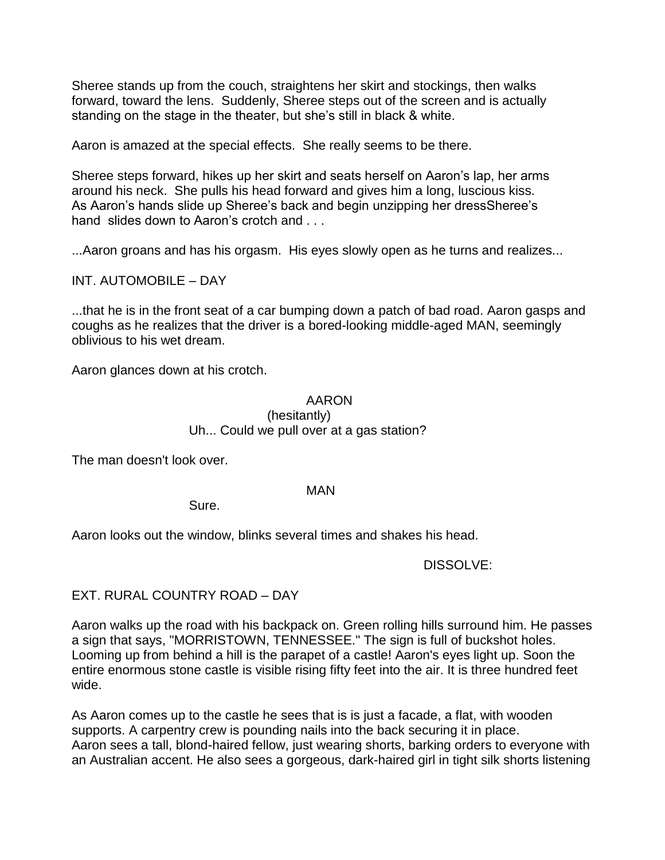Sheree stands up from the couch, straightens her skirt and stockings, then walks forward, toward the lens. Suddenly, Sheree steps out of the screen and is actually standing on the stage in the theater, but she's still in black & white.

Aaron is amazed at the special effects. She really seems to be there.

Sheree steps forward, hikes up her skirt and seats herself on Aaron's lap, her arms around his neck. She pulls his head forward and gives him a long, luscious kiss. As Aaron's hands slide up Sheree's back and begin unzipping her dressSheree's hand slides down to Aaron's crotch and . . .

...Aaron groans and has his orgasm. His eyes slowly open as he turns and realizes...

INT. AUTOMOBILE – DAY

...that he is in the front seat of a car bumping down a patch of bad road. Aaron gasps and coughs as he realizes that the driver is a bored-looking middle-aged MAN, seemingly oblivious to his wet dream.

Aaron glances down at his crotch.

## AARON (hesitantly) Uh... Could we pull over at a gas station?

The man doesn't look over.

#### MAN

Sure.

Aaron looks out the window, blinks several times and shakes his head.

### DISSOLVE:

## EXT. RURAL COUNTRY ROAD – DAY

Aaron walks up the road with his backpack on. Green rolling hills surround him. He passes a sign that says, "MORRISTOWN, TENNESSEE." The sign is full of buckshot holes. Looming up from behind a hill is the parapet of a castle! Aaron's eyes light up. Soon the entire enormous stone castle is visible rising fifty feet into the air. It is three hundred feet wide.

As Aaron comes up to the castle he sees that is is just a facade, a flat, with wooden supports. A carpentry crew is pounding nails into the back securing it in place. Aaron sees a tall, blond-haired fellow, just wearing shorts, barking orders to everyone with an Australian accent. He also sees a gorgeous, dark-haired girl in tight silk shorts listening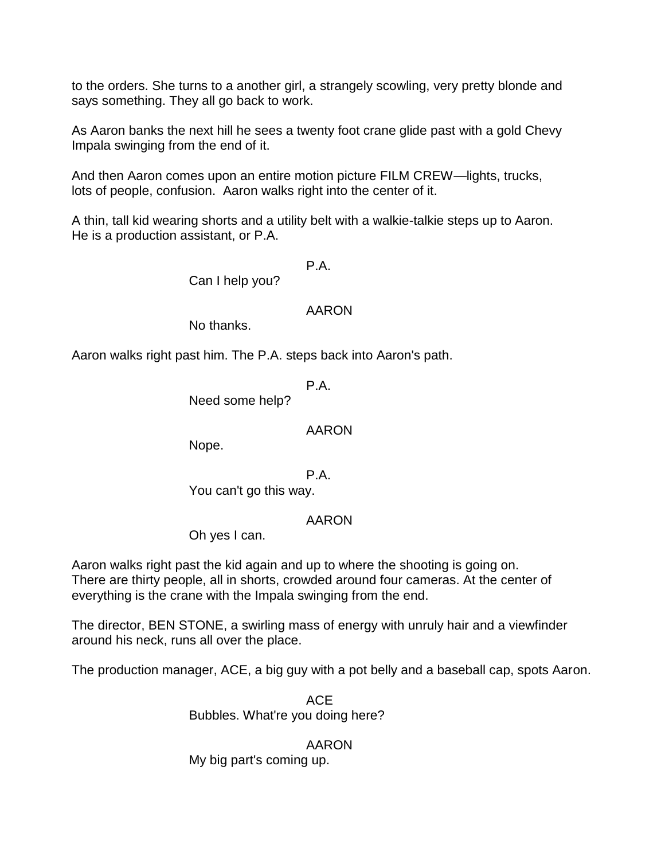to the orders. She turns to a another girl, a strangely scowling, very pretty blonde and says something. They all go back to work.

As Aaron banks the next hill he sees a twenty foot crane glide past with a gold Chevy Impala swinging from the end of it.

And then Aaron comes upon an entire motion picture FILM CREW—lights, trucks, lots of people, confusion. Aaron walks right into the center of it.

A thin, tall kid wearing shorts and a utility belt with a walkie-talkie steps up to Aaron. He is a production assistant, or P.A.

P.A.

Can I help you?

### AARON

No thanks.

Aaron walks right past him. The P.A. steps back into Aaron's path.

P.A.

Need some help?

### AARON

Nope.

P.A.

You can't go this way.

## AARON

Oh yes I can.

Aaron walks right past the kid again and up to where the shooting is going on. There are thirty people, all in shorts, crowded around four cameras. At the center of everything is the crane with the Impala swinging from the end.

The director, BEN STONE, a swirling mass of energy with unruly hair and a viewfinder around his neck, runs all over the place.

The production manager, ACE, a big guy with a pot belly and a baseball cap, spots Aaron.

ACE Bubbles. What're you doing here?

## AARON

My big part's coming up.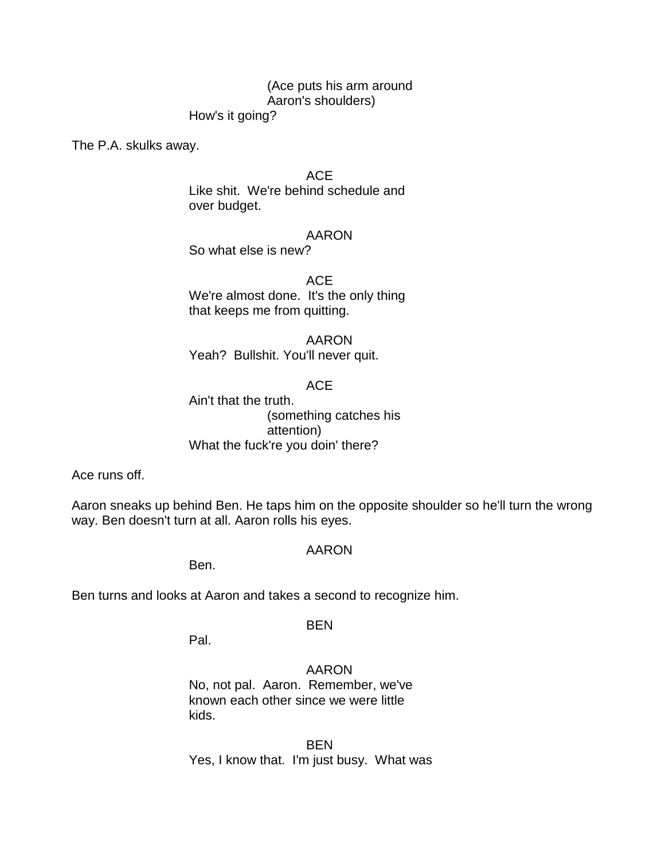## (Ace puts his arm around Aaron's shoulders)

How's it going?

The P.A. skulks away.

ACE

Like shit. We're behind schedule and over budget.

### AARON

So what else is new?

ACE We're almost done. It's the only thing that keeps me from quitting.

AARON Yeah? Bullshit. You'll never quit.

ACE

Ain't that the truth. (something catches his attention) What the fuck're you doin' there?

Ace runs off.

Aaron sneaks up behind Ben. He taps him on the opposite shoulder so he'll turn the wrong way. Ben doesn't turn at all. Aaron rolls his eyes.

### AARON

Ben.

Ben turns and looks at Aaron and takes a second to recognize him.

## BEN

Pal.

AARON No, not pal. Aaron. Remember, we've known each other since we were little kids.

**BEN** Yes, I know that. I'm just busy. What was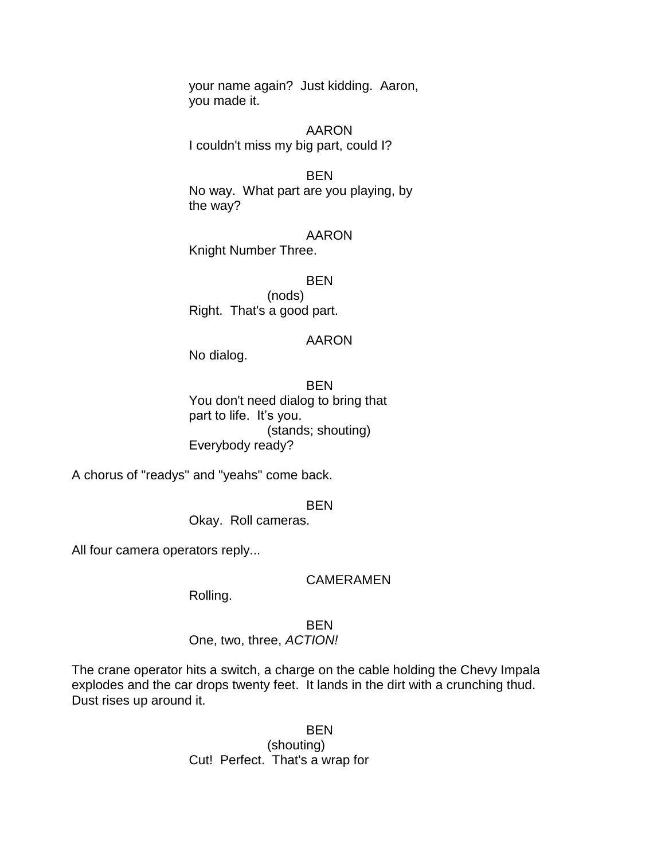your name again? Just kidding. Aaron, you made it.

AARON I couldn't miss my big part, could I?

**BEN** No way. What part are you playing, by the way?

AARON Knight Number Three.

**BEN** (nods) Right. That's a good part.

#### AARON

No dialog.

**BEN** You don't need dialog to bring that part to life. It's you. (stands; shouting) Everybody ready?

A chorus of "readys" and "yeahs" come back.

BEN

Okay. Roll cameras.

All four camera operators reply...

#### CAMERAMEN

Rolling.

BEN

One, two, three, *ACTION!*

The crane operator hits a switch, a charge on the cable holding the Chevy Impala explodes and the car drops twenty feet. It lands in the dirt with a crunching thud. Dust rises up around it.

> **BEN** (shouting) Cut! Perfect. That's a wrap for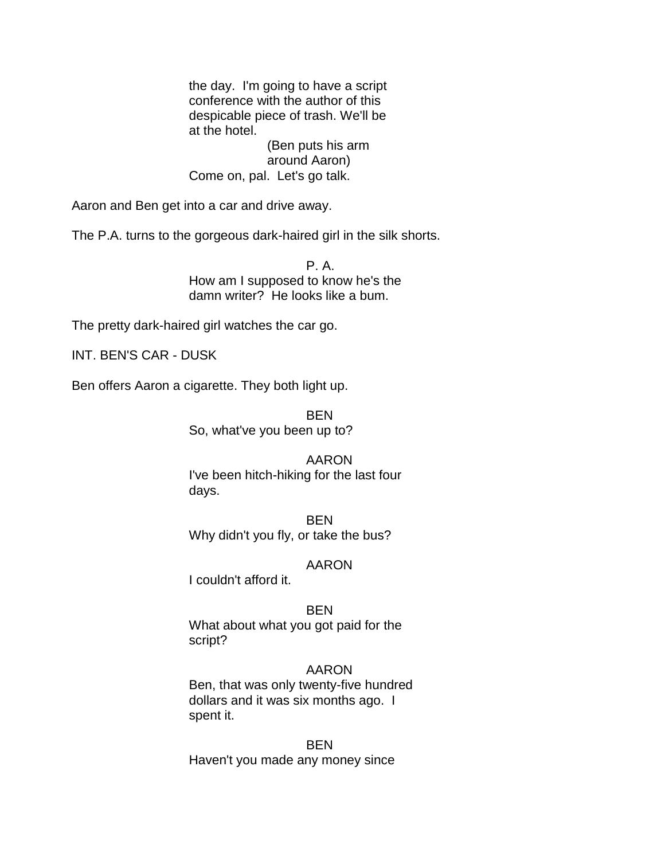the day. I'm going to have a script conference with the author of this despicable piece of trash. We'll be at the hotel.

(Ben puts his arm around Aaron) Come on, pal. Let's go talk.

Aaron and Ben get into a car and drive away.

The P.A. turns to the gorgeous dark-haired girl in the silk shorts.

P. A. How am I supposed to know he's the damn writer? He looks like a bum.

The pretty dark-haired girl watches the car go.

INT. BEN'S CAR - DUSK

Ben offers Aaron a cigarette. They both light up.

BEN So, what've you been up to?

## AARON

I've been hitch-hiking for the last four days.

**BEN** Why didn't you fly, or take the bus?

### AARON

I couldn't afford it.

**BEN** What about what you got paid for the script?

## AARON

Ben, that was only twenty-five hundred dollars and it was six months ago. I spent it.

BEN Haven't you made any money since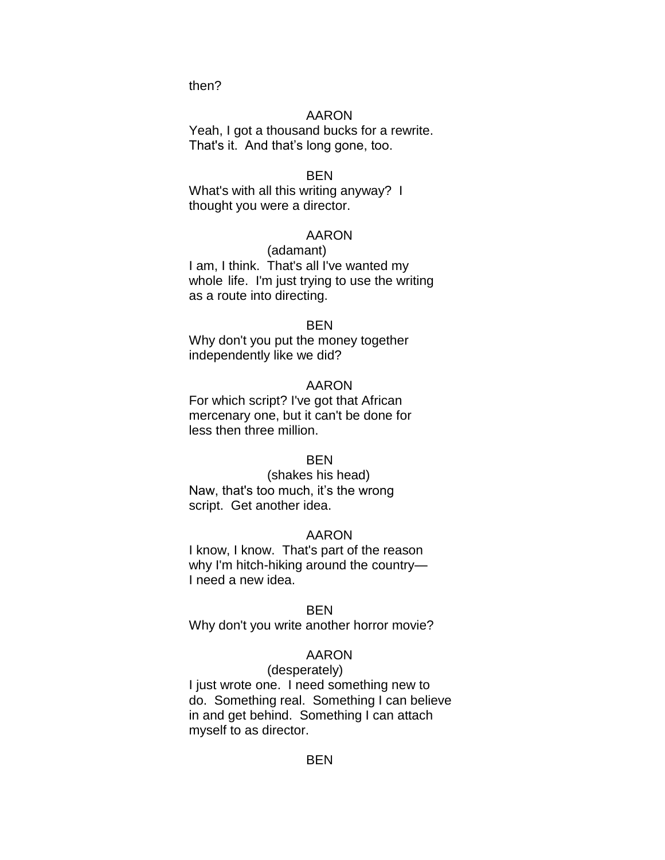then?

### AARON

Yeah, I got a thousand bucks for a rewrite. That's it. And that's long gone, too.

#### BEN

What's with all this writing anyway? I thought you were a director.

#### AARON

(adamant) I am, I think. That's all I've wanted my whole life. I'm just trying to use the writing as a route into directing.

#### **BFN**

Why don't you put the money together independently like we did?

#### AARON

For which script? I've got that African mercenary one, but it can't be done for less then three million.

#### **BEN**

(shakes his head) Naw, that's too much, it's the wrong script. Get another idea.

#### AARON

I know, I know. That's part of the reason why I'm hitch-hiking around the country— I need a new idea.

#### **BEN**

Why don't you write another horror movie?

#### AARON

## (desperately)

I just wrote one. I need something new to do. Something real. Something I can believe in and get behind. Something I can attach myself to as director.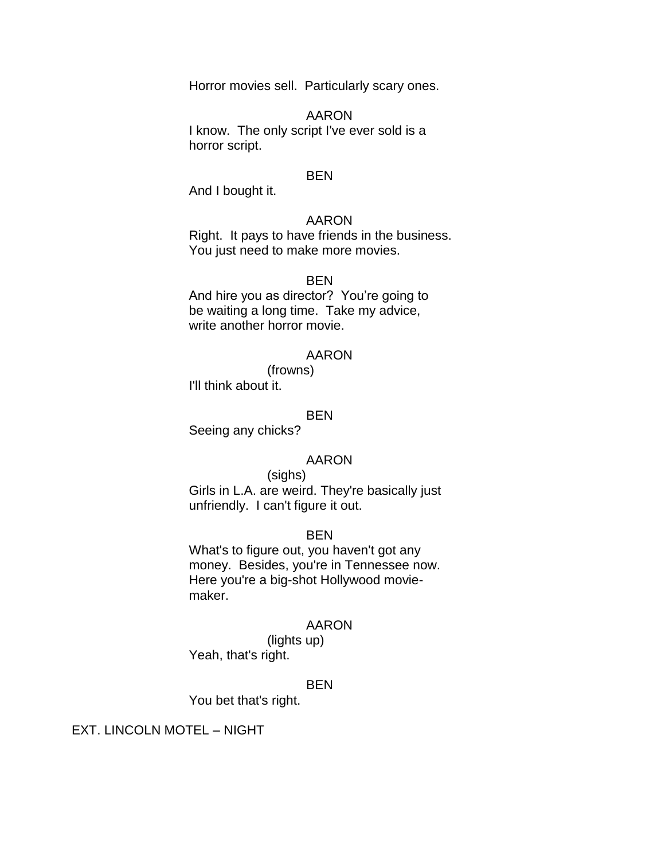Horror movies sell. Particularly scary ones.

AARON

I know. The only script I've ever sold is a horror script.

#### BEN

And I bought it.

### AARON

Right. It pays to have friends in the business. You just need to make more movies.

#### BEN

And hire you as director? You're going to be waiting a long time. Take my advice, write another horror movie.

#### AARON

(frowns) I'll think about it.

#### BEN

Seeing any chicks?

#### AARON

#### (sighs)

Girls in L.A. are weird. They're basically just unfriendly. I can't figure it out.

#### BEN

What's to figure out, you haven't got any money. Besides, you're in Tennessee now. Here you're a big-shot Hollywood moviemaker.

#### AARON

(lights up) Yeah, that's right.

#### BEN

You bet that's right.

### EXT. LINCOLN MOTEL – NIGHT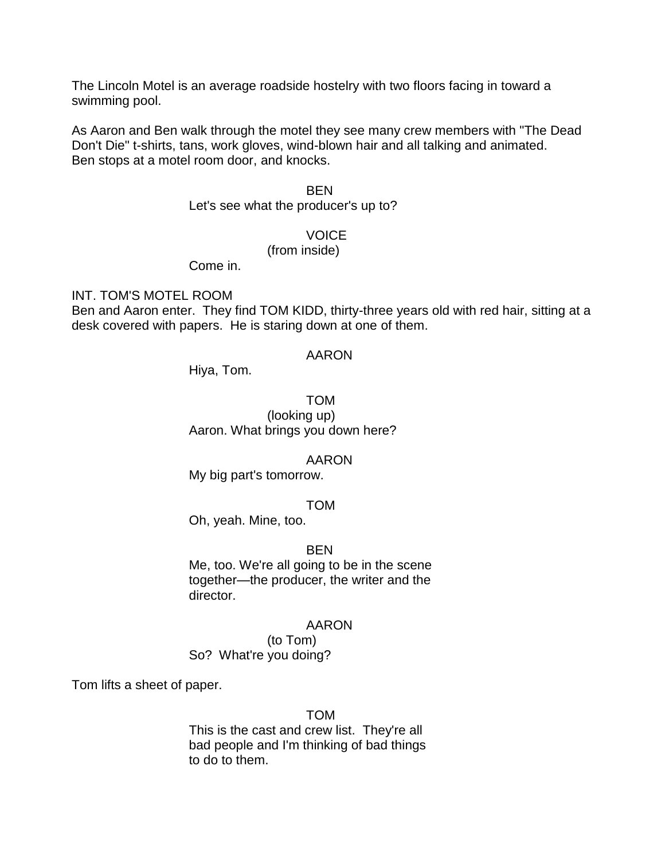The Lincoln Motel is an average roadside hostelry with two floors facing in toward a swimming pool.

As Aaron and Ben walk through the motel they see many crew members with "The Dead Don't Die" t-shirts, tans, work gloves, wind-blown hair and all talking and animated. Ben stops at a motel room door, and knocks.

### BEN

Let's see what the producer's up to?

#### **VOICE**

(from inside)

Come in.

INT. TOM'S MOTEL ROOM

Ben and Aaron enter. They find TOM KIDD, thirty-three years old with red hair, sitting at a desk covered with papers. He is staring down at one of them.

#### AARON

Hiya, Tom.

TOM (looking up) Aaron. What brings you down here?

#### AARON

My big part's tomorrow.

#### TOM

Oh, yeah. Mine, too.

#### **BEN**

Me, too. We're all going to be in the scene together—the producer, the writer and the director.

#### AARON

(to Tom) So? What're you doing?

Tom lifts a sheet of paper.

#### TOM

This is the cast and crew list. They're all bad people and I'm thinking of bad things to do to them.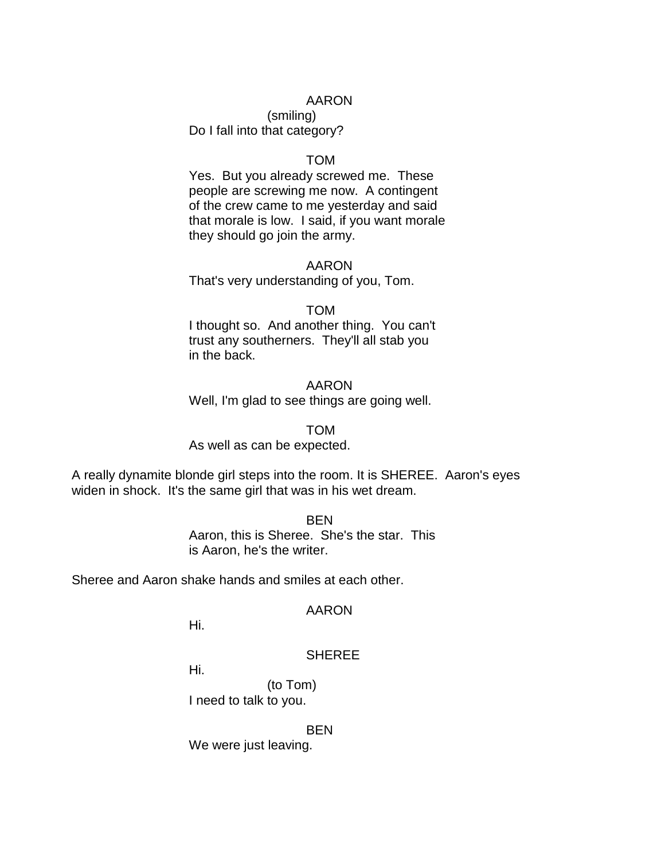#### AARON

(smiling) Do I fall into that category?

#### TOM

Yes. But you already screwed me. These people are screwing me now. A contingent of the crew came to me yesterday and said that morale is low. I said, if you want morale they should go join the army.

#### AARON

That's very understanding of you, Tom.

#### TOM

I thought so. And another thing. You can't trust any southerners. They'll all stab you in the back.

AARON Well, I'm glad to see things are going well.

TOM

As well as can be expected.

A really dynamite blonde girl steps into the room. It is SHEREE. Aaron's eyes widen in shock. It's the same girl that was in his wet dream.

> BEN Aaron, this is Sheree. She's the star. This is Aaron, he's the writer.

Sheree and Aaron shake hands and smiles at each other.

#### AARON

Hi.

### **SHEREE**

Hi.

(to Tom) I need to talk to you.

BEN

We were just leaving.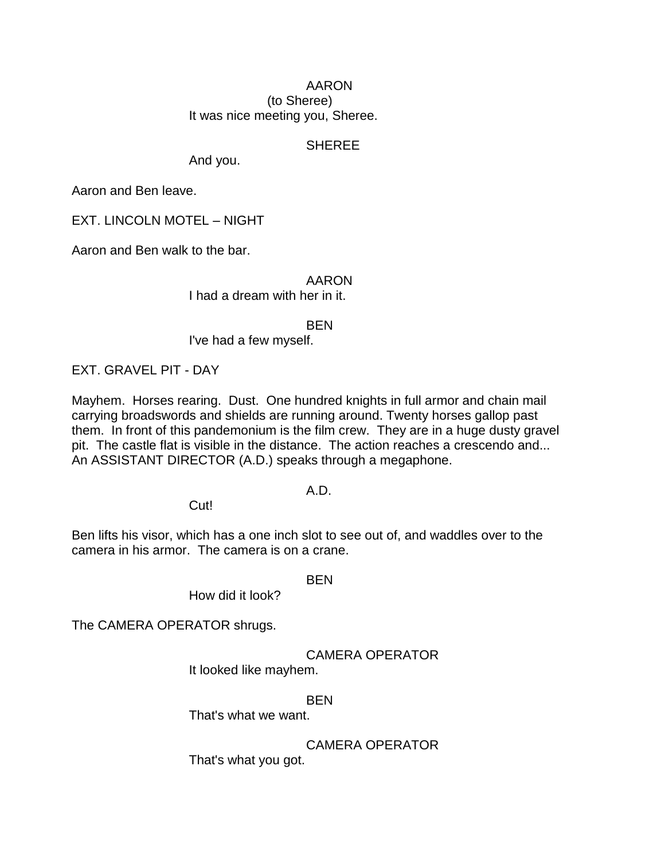### AARON (to Sheree) It was nice meeting you, Sheree.

### **SHEREE**

And you.

Aaron and Ben leave.

EXT. LINCOLN MOTEL – NIGHT

Aaron and Ben walk to the bar.

### AARON

I had a dream with her in it.

**BEN** 

I've had a few myself.

EXT. GRAVEL PIT - DAY

Mayhem. Horses rearing. Dust. One hundred knights in full armor and chain mail carrying broadswords and shields are running around. Twenty horses gallop past them. In front of this pandemonium is the film crew. They are in a huge dusty gravel pit. The castle flat is visible in the distance. The action reaches a crescendo and... An ASSISTANT DIRECTOR (A.D.) speaks through a megaphone.

### A.D.

Cut!

Ben lifts his visor, which has a one inch slot to see out of, and waddles over to the camera in his armor. The camera is on a crane.

BEN

How did it look?

The CAMERA OPERATOR shrugs.

CAMERA OPERATOR

It looked like mayhem.

BEN

That's what we want.

CAMERA OPERATOR

That's what you got.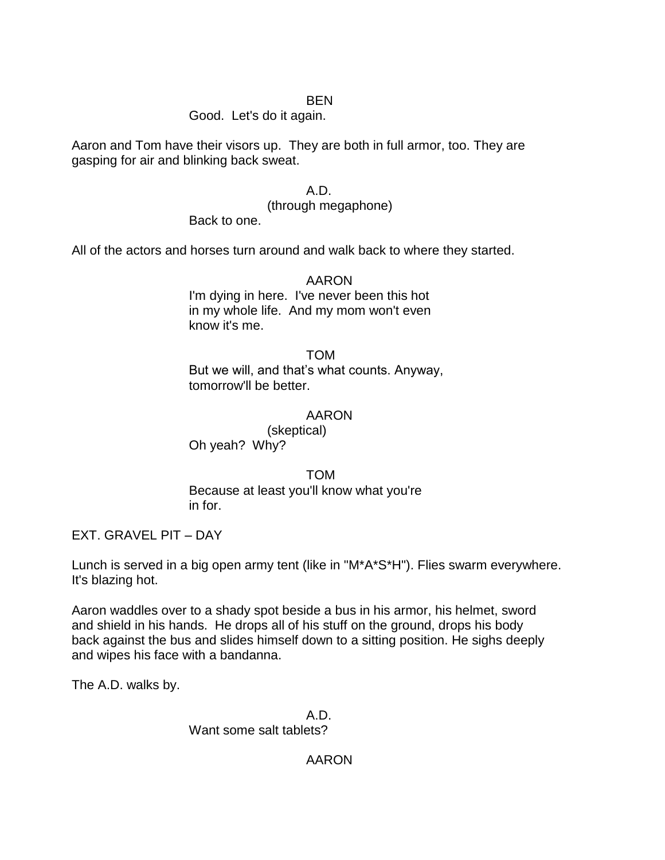### BEN

### Good. Let's do it again.

Aaron and Tom have their visors up. They are both in full armor, too. They are gasping for air and blinking back sweat.

## A.D.

(through megaphone)

Back to one.

All of the actors and horses turn around and walk back to where they started.

AARON I'm dying in here. I've never been this hot in my whole life. And my mom won't even know it's me.

TOM But we will, and that's what counts. Anyway, tomorrow'll be better.

### AARON

(skeptical) Oh yeah? Why?

TOM

Because at least you'll know what you're in for.

EXT. GRAVEL PIT – DAY

Lunch is served in a big open army tent (like in "M\*A\*S\*H"). Flies swarm everywhere. It's blazing hot.

Aaron waddles over to a shady spot beside a bus in his armor, his helmet, sword and shield in his hands. He drops all of his stuff on the ground, drops his body back against the bus and slides himself down to a sitting position. He sighs deeply and wipes his face with a bandanna.

The A.D. walks by.

A.D. Want some salt tablets?

AARON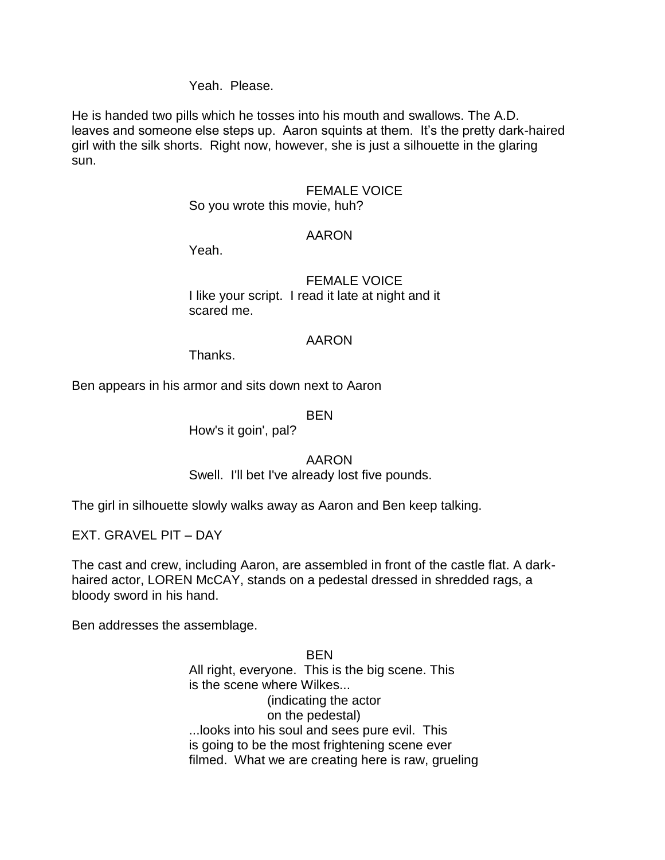### Yeah. Please.

He is handed two pills which he tosses into his mouth and swallows. The A.D. leaves and someone else steps up. Aaron squints at them. It's the pretty dark-haired girl with the silk shorts. Right now, however, she is just a silhouette in the glaring sun.

#### FEMALE VOICE

#### So you wrote this movie, huh?

#### AARON

Yeah.

### FEMALE VOICE I like your script. I read it late at night and it scared me.

#### AARON

Thanks.

Ben appears in his armor and sits down next to Aaron

BEN

How's it goin', pal?

### AARON

Swell. I'll bet I've already lost five pounds.

The girl in silhouette slowly walks away as Aaron and Ben keep talking.

EXT. GRAVEL PIT – DAY

The cast and crew, including Aaron, are assembled in front of the castle flat. A darkhaired actor, LOREN McCAY, stands on a pedestal dressed in shredded rags, a bloody sword in his hand.

Ben addresses the assemblage.

**BEN** All right, everyone. This is the big scene. This is the scene where Wilkes... (indicating the actor on the pedestal) ...looks into his soul and sees pure evil. This is going to be the most frightening scene ever filmed. What we are creating here is raw, grueling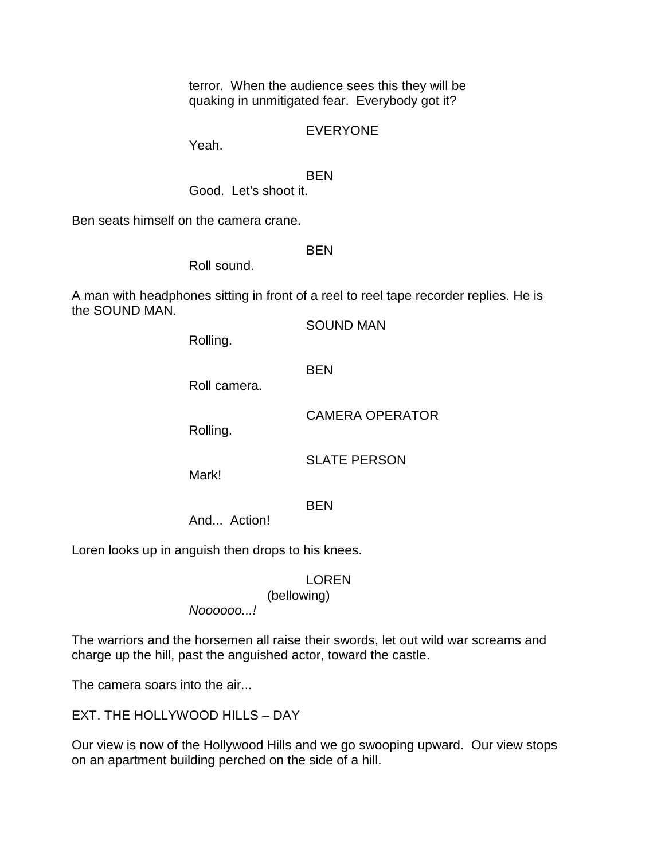terror. When the audience sees this they will be quaking in unmitigated fear. Everybody got it?

EVERYONE

Yeah.

BEN

Good. Let's shoot it.

Ben seats himself on the camera crane.

**BEN** 

Roll sound.

A man with headphones sitting in front of a reel to reel tape recorder replies. He is the SOUND MAN.

SOUND MAN

Rolling.

BEN

Roll camera.

CAMERA OPERATOR

Rolling.

SLATE PERSON

Mark!

## **BEN**

And... Action!

Loren looks up in anguish then drops to his knees.

## LOREN

(bellowing)

*Noooooo...!*

The warriors and the horsemen all raise their swords, let out wild war screams and charge up the hill, past the anguished actor, toward the castle.

The camera soars into the air...

EXT. THE HOLLYWOOD HILLS – DAY

Our view is now of the Hollywood Hills and we go swooping upward. Our view stops on an apartment building perched on the side of a hill.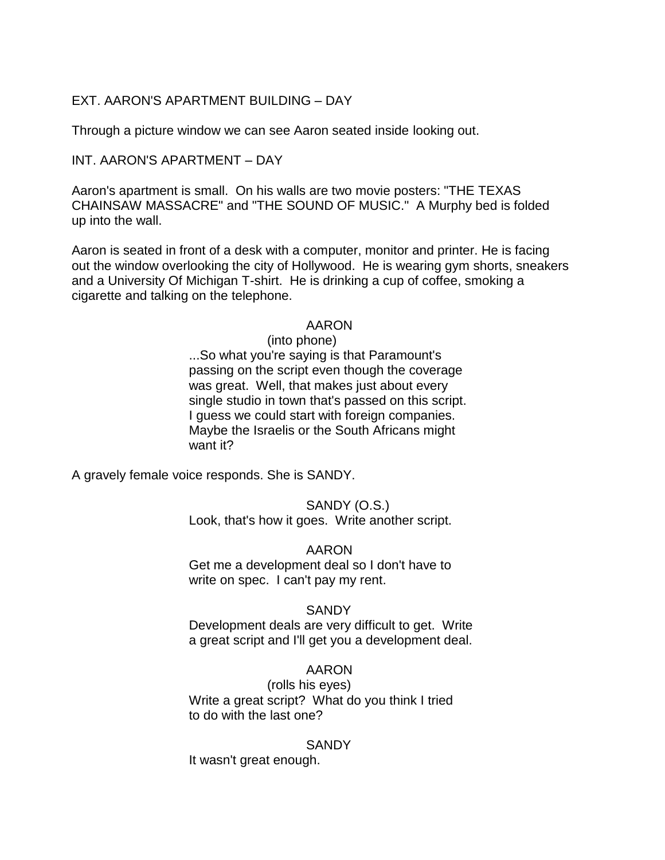## EXT. AARON'S APARTMENT BUILDING – DAY

Through a picture window we can see Aaron seated inside looking out.

### INT. AARON'S APARTMENT – DAY

Aaron's apartment is small. On his walls are two movie posters: "THE TEXAS CHAINSAW MASSACRE" and "THE SOUND OF MUSIC." A Murphy bed is folded up into the wall.

Aaron is seated in front of a desk with a computer, monitor and printer. He is facing out the window overlooking the city of Hollywood. He is wearing gym shorts, sneakers and a University Of Michigan T-shirt. He is drinking a cup of coffee, smoking a cigarette and talking on the telephone.

### AARON

(into phone) ...So what you're saying is that Paramount's passing on the script even though the coverage was great. Well, that makes just about every single studio in town that's passed on this script. I guess we could start with foreign companies. Maybe the Israelis or the South Africans might want it?

A gravely female voice responds. She is SANDY.

#### SANDY (O.S.) Look, that's how it goes. Write another script.

### AARON

Get me a development deal so I don't have to write on spec. I can't pay my rent.

### **SANDY**

Development deals are very difficult to get. Write a great script and I'll get you a development deal.

## AARON

(rolls his eyes) Write a great script? What do you think I tried to do with the last one?

### **SANDY**

It wasn't great enough.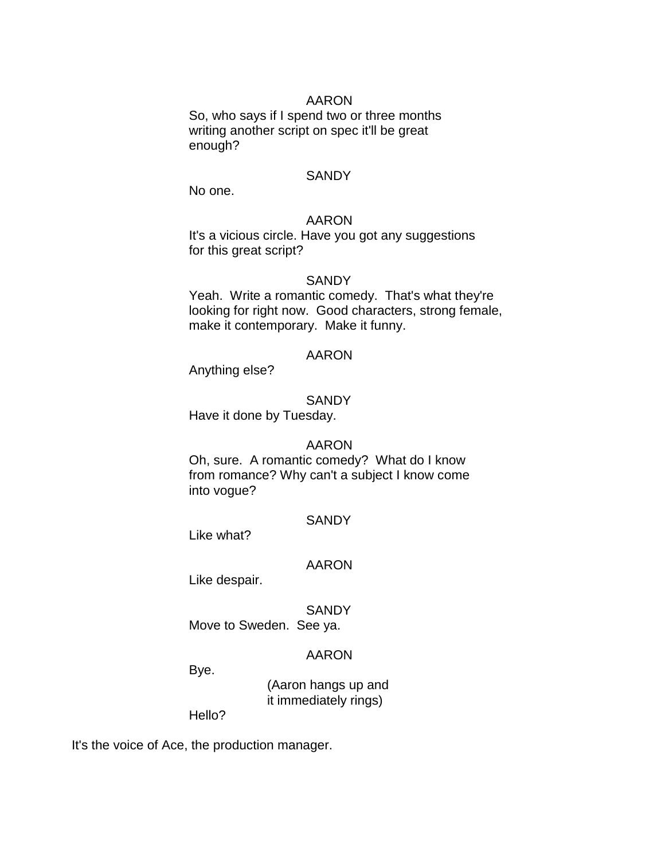#### AARON

So, who says if I spend two or three months writing another script on spec it'll be great enough?

#### **SANDY**

No one.

### AARON

It's a vicious circle. Have you got any suggestions for this great script?

#### **SANDY**

Yeah. Write a romantic comedy. That's what they're looking for right now. Good characters, strong female, make it contemporary. Make it funny.

#### AARON

Anything else?

#### **SANDY**

Have it done by Tuesday.

#### AARON

Oh, sure. A romantic comedy? What do I know from romance? Why can't a subject I know come into vogue?

#### **SANDY**

Like what?

#### AARON

Like despair.

#### **SANDY**

Move to Sweden. See ya.

#### AARON

Bye.

(Aaron hangs up and it immediately rings)

Hello?

It's the voice of Ace, the production manager.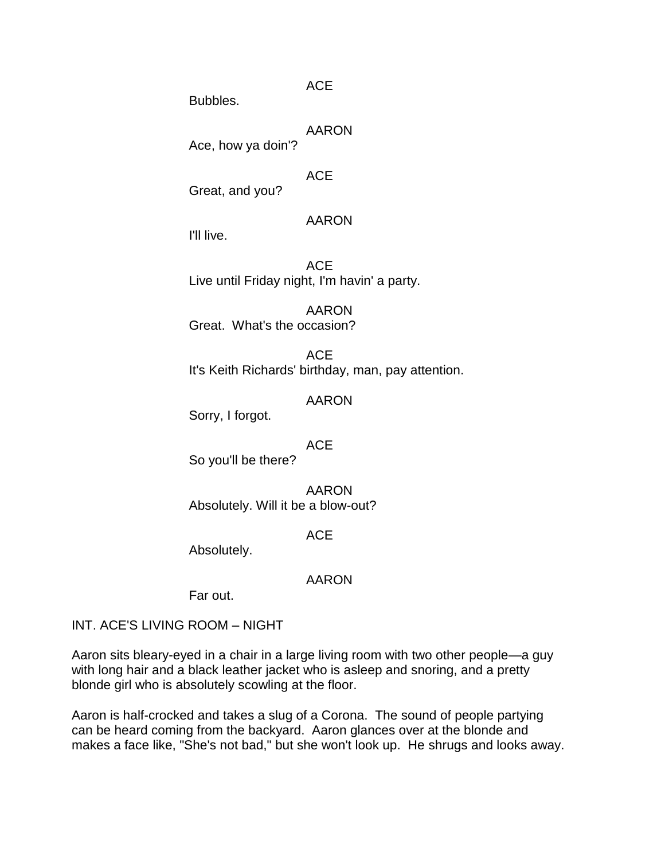ACE

Bubbles.

AARON

Ace, how ya doin'?

ACE

Great, and you?

## AARON

I'll live.

ACE Live until Friday night, I'm havin' a party.

AARON Great. What's the occasion?

ACE It's Keith Richards' birthday, man, pay attention.

AARON

Sorry, I forgot.

**ACE** 

So you'll be there?

AARON Absolutely. Will it be a blow-out?

**ACE** 

Absolutely.

AARON

Far out.

INT. ACE'S LIVING ROOM – NIGHT

Aaron sits bleary-eyed in a chair in a large living room with two other people—a guy with long hair and a black leather jacket who is asleep and snoring, and a pretty blonde girl who is absolutely scowling at the floor.

Aaron is half-crocked and takes a slug of a Corona. The sound of people partying can be heard coming from the backyard. Aaron glances over at the blonde and makes a face like, "She's not bad," but she won't look up. He shrugs and looks away.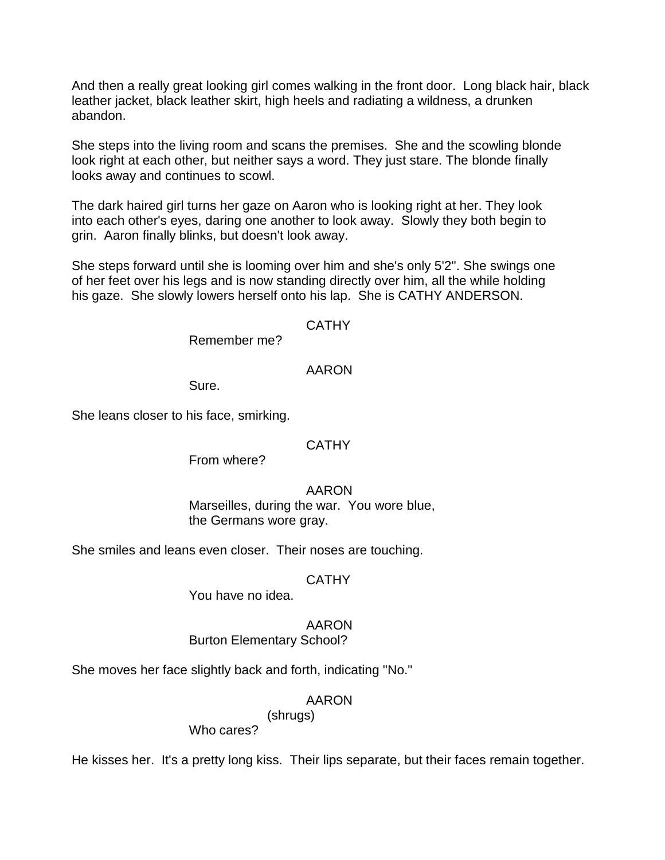And then a really great looking girl comes walking in the front door. Long black hair, black leather jacket, black leather skirt, high heels and radiating a wildness, a drunken abandon.

She steps into the living room and scans the premises. She and the scowling blonde look right at each other, but neither says a word. They just stare. The blonde finally looks away and continues to scowl.

The dark haired girl turns her gaze on Aaron who is looking right at her. They look into each other's eyes, daring one another to look away. Slowly they both begin to grin. Aaron finally blinks, but doesn't look away.

She steps forward until she is looming over him and she's only 5'2". She swings one of her feet over his legs and is now standing directly over him, all the while holding his gaze. She slowly lowers herself onto his lap. She is CATHY ANDERSON.

## **CATHY**

Remember me?

### AARON

Sure.

She leans closer to his face, smirking.

### **CATHY**

From where?

### AARON

Marseilles, during the war. You wore blue, the Germans wore gray.

She smiles and leans even closer. Their noses are touching.

### CATHY

You have no idea.

### AARON

Burton Elementary School?

She moves her face slightly back and forth, indicating "No."

## AARON

(shrugs)

Who cares?

He kisses her. It's a pretty long kiss. Their lips separate, but their faces remain together.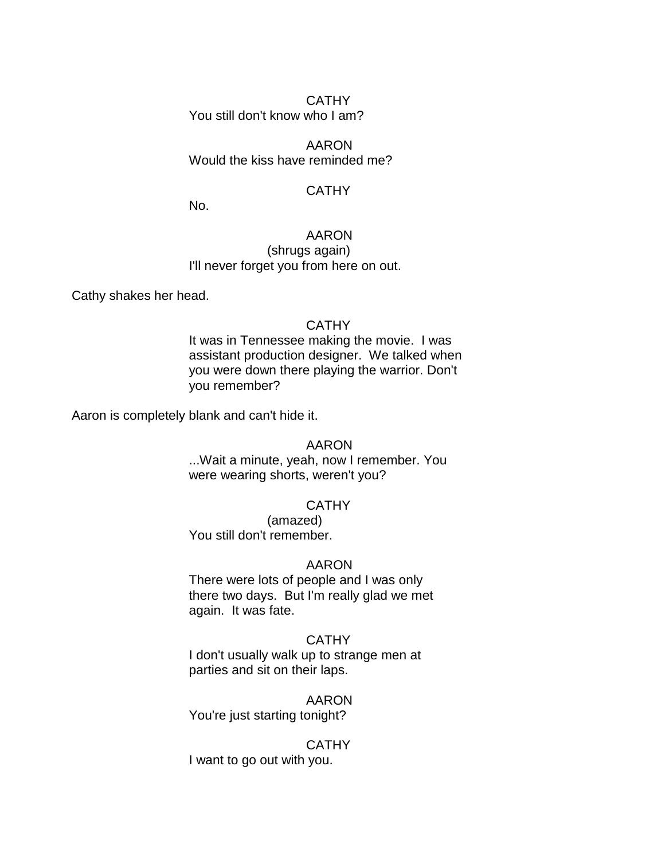## CATHY

You still don't know who I am?

AARON Would the kiss have reminded me?

### **CATHY**

No.

## AARON

(shrugs again) I'll never forget you from here on out.

Cathy shakes her head.

### **CATHY**

It was in Tennessee making the movie. I was assistant production designer. We talked when you were down there playing the warrior. Don't you remember?

Aaron is completely blank and can't hide it.

### AARON

...Wait a minute, yeah, now I remember. You were wearing shorts, weren't you?

## **CATHY**

(amazed) You still don't remember.

### AARON

There were lots of people and I was only there two days. But I'm really glad we met again. It was fate.

### **CATHY**

I don't usually walk up to strange men at parties and sit on their laps.

### AARON

You're just starting tonight?

### **CATHY**

I want to go out with you.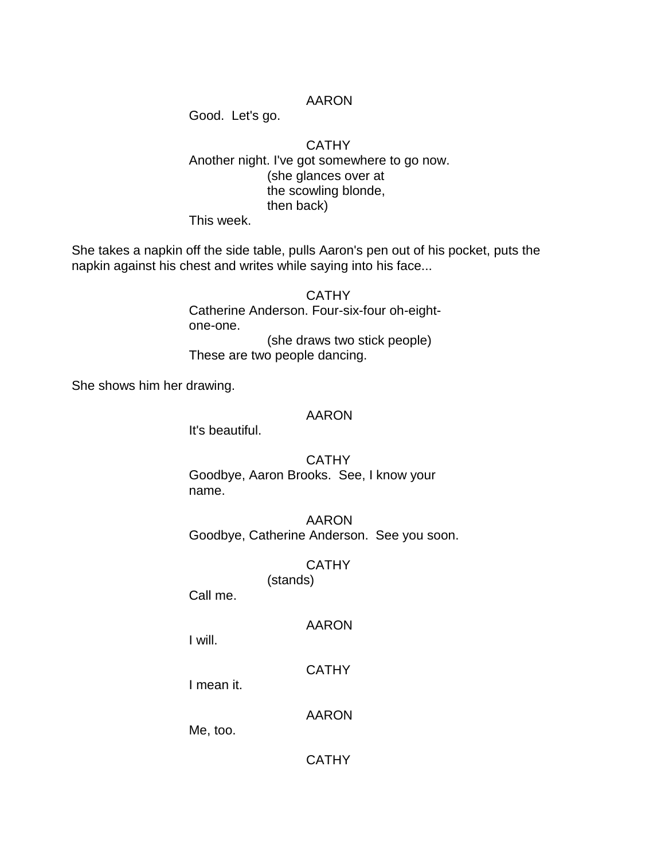### AARON

Good. Let's go.

### **CATHY** Another night. I've got somewhere to go now. (she glances over at the scowling blonde, then back) This week.

She takes a napkin off the side table, pulls Aaron's pen out of his pocket, puts the napkin against his chest and writes while saying into his face...

> **CATHY** Catherine Anderson. Four-six-four oh-eightone-one. (she draws two stick people) These are two people dancing.

She shows him her drawing.

#### AARON

It's beautiful.

**CATHY** Goodbye, Aaron Brooks. See, I know your name.

AARON Goodbye, Catherine Anderson. See you soon.

## **CATHY**

(stands)

Call me.

### AARON

I will.

**CATHY** 

I mean it.

AARON

Me, too.

**CATHY**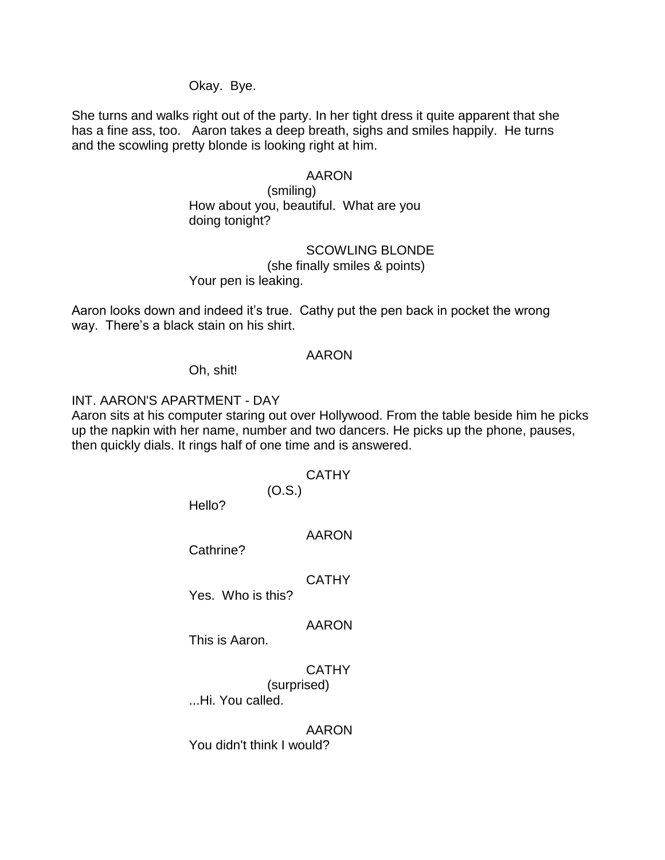Okay. Bye.

She turns and walks right out of the party. In her tight dress it quite apparent that she has a fine ass, too. Aaron takes a deep breath, sighs and smiles happily. He turns and the scowling pretty blonde is looking right at him.

#### AARON

(smiling) How about you, beautiful. What are you doing tonight?

SCOWLING BLONDE

(she finally smiles & points) Your pen is leaking.

Aaron looks down and indeed it's true. Cathy put the pen back in pocket the wrong way. There's a black stain on his shirt.

#### AARON

Oh, shit!

#### INT. AARON'S APARTMENT - DAY

Aaron sits at his computer staring out over Hollywood. From the table beside him he picks up the napkin with her name, number and two dancers. He picks up the phone, pauses, then quickly dials. It rings half of one time and is answered.

#### **CATHY**

(O.S.)

Hello?

AARON

Cathrine?

#### **CATHY**

Yes. Who is this?

### AARON

This is Aaron.

### **CATHY**

(surprised)

...Hi. You called.

AARON You didn't think I would?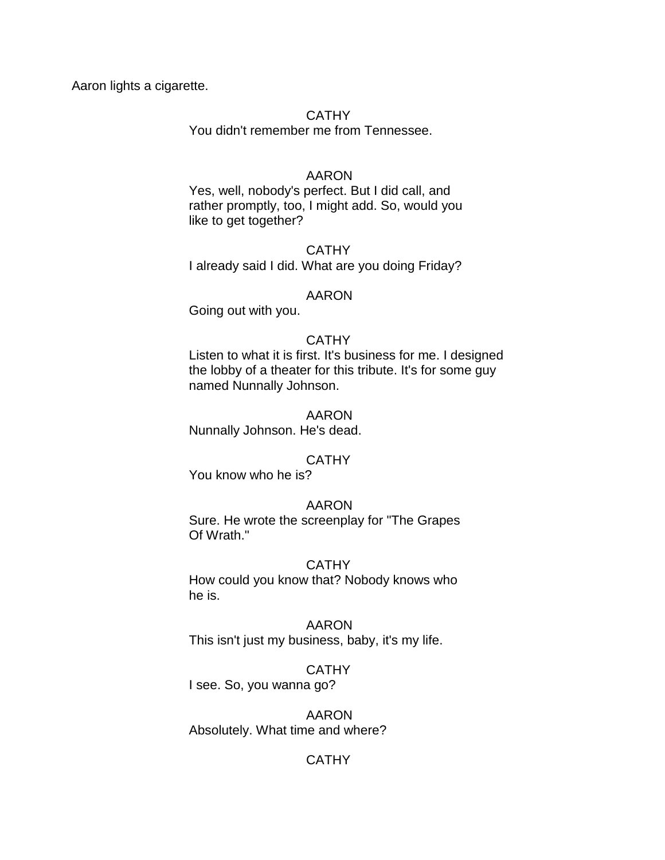Aaron lights a cigarette.

### **CATHY**

You didn't remember me from Tennessee.

### AARON

Yes, well, nobody's perfect. But I did call, and rather promptly, too, I might add. So, would you like to get together?

**CATHY** I already said I did. What are you doing Friday?

### AARON

Going out with you.

### **CATHY**

Listen to what it is first. It's business for me. I designed the lobby of a theater for this tribute. It's for some guy named Nunnally Johnson.

### AARON

Nunnally Johnson. He's dead.

## **CATHY**

You know who he is?

### AARON

Sure. He wrote the screenplay for "The Grapes Of Wrath."

### CATHY

How could you know that? Nobody knows who he is.

### AARON

This isn't just my business, baby, it's my life.

## **CATHY**

I see. So, you wanna go?

AARON Absolutely. What time and where?

## **CATHY**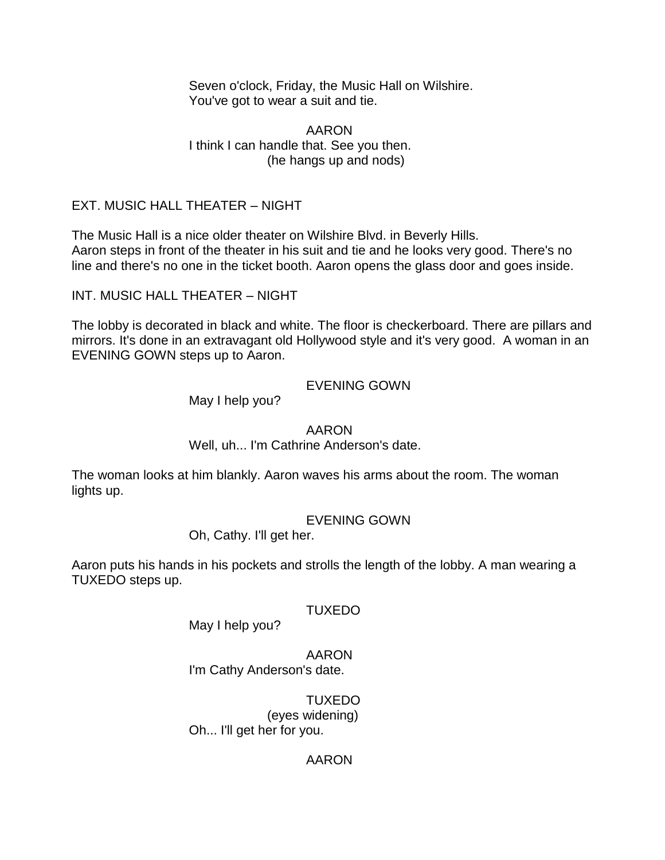Seven o'clock, Friday, the Music Hall on Wilshire. You've got to wear a suit and tie.

AARON I think I can handle that. See you then. (he hangs up and nods)

## EXT. MUSIC HALL THEATER – NIGHT

The Music Hall is a nice older theater on Wilshire Blvd. in Beverly Hills. Aaron steps in front of the theater in his suit and tie and he looks very good. There's no line and there's no one in the ticket booth. Aaron opens the glass door and goes inside.

INT. MUSIC HALL THEATER – NIGHT

The lobby is decorated in black and white. The floor is checkerboard. There are pillars and mirrors. It's done in an extravagant old Hollywood style and it's very good. A woman in an EVENING GOWN steps up to Aaron.

EVENING GOWN

May I help you?

AARON

Well, uh... I'm Cathrine Anderson's date.

The woman looks at him blankly. Aaron waves his arms about the room. The woman lights up.

EVENING GOWN

Oh, Cathy. I'll get her.

Aaron puts his hands in his pockets and strolls the length of the lobby. A man wearing a TUXEDO steps up.

TUXEDO

May I help you?

AARON I'm Cathy Anderson's date.

TUXEDO (eyes widening) Oh... I'll get her for you.

## AARON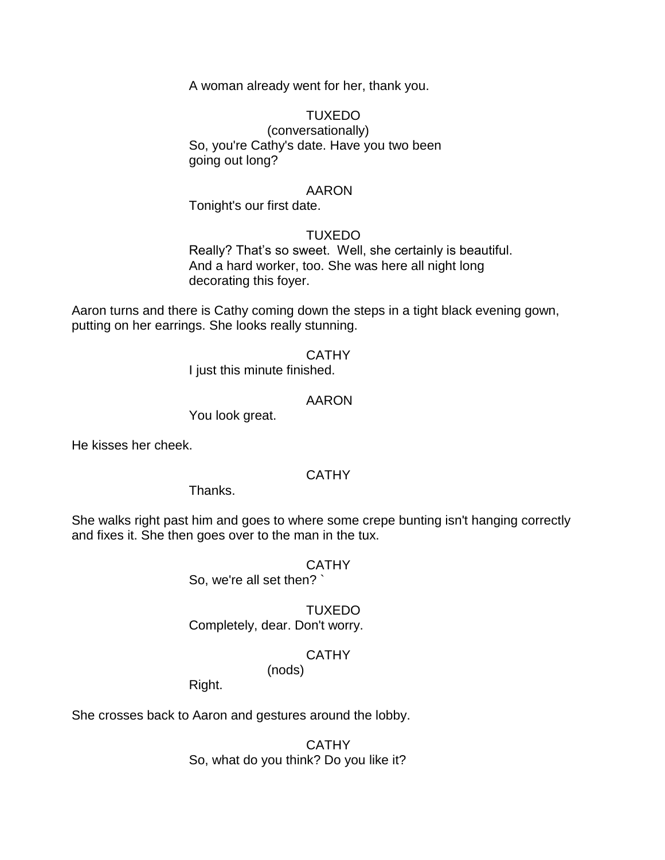A woman already went for her, thank you.

### TUXEDO

(conversationally) So, you're Cathy's date. Have you two been going out long?

#### AARON

Tonight's our first date.

### TUXEDO

Really? That's so sweet. Well, she certainly is beautiful. And a hard worker, too. She was here all night long decorating this foyer.

Aaron turns and there is Cathy coming down the steps in a tight black evening gown, putting on her earrings. She looks really stunning.

#### **CATHY**

I just this minute finished.

### AARON

You look great.

He kisses her cheek.

## **CATHY**

Thanks.

She walks right past him and goes to where some crepe bunting isn't hanging correctly and fixes it. She then goes over to the man in the tux.

#### CATHY

So, we're all set then? `

## TUXEDO

Completely, dear. Don't worry.

#### **CATHY** (nods)

Right.

She crosses back to Aaron and gestures around the lobby.

**CATHY** So, what do you think? Do you like it?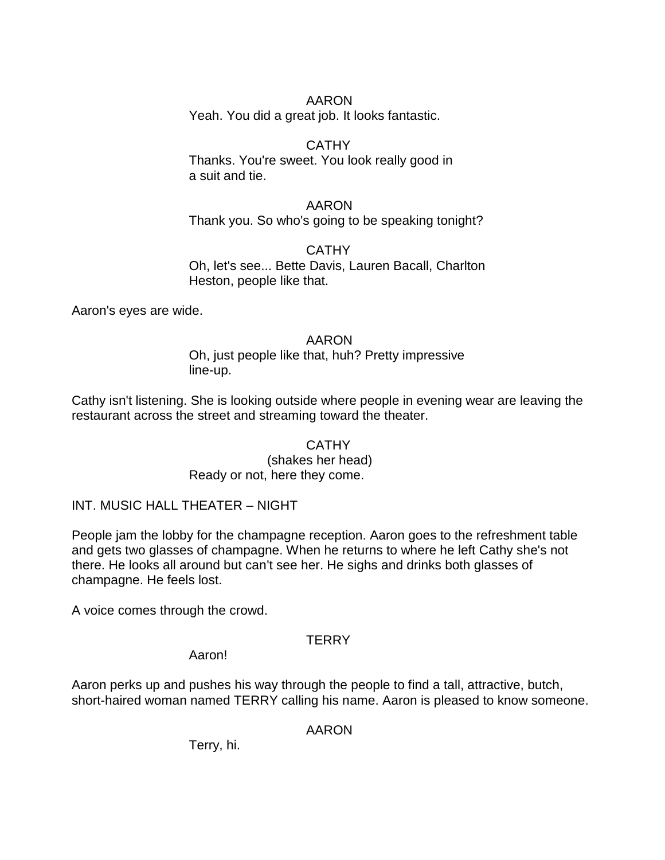## AARON

Yeah. You did a great job. It looks fantastic.

## **CATHY**

Thanks. You're sweet. You look really good in a suit and tie.

### AARON Thank you. So who's going to be speaking tonight?

CATHY Oh, let's see... Bette Davis, Lauren Bacall, Charlton Heston, people like that.

Aaron's eyes are wide.

## AARON

Oh, just people like that, huh? Pretty impressive line-up.

Cathy isn't listening. She is looking outside where people in evening wear are leaving the restaurant across the street and streaming toward the theater.

### **CATHY** (shakes her head) Ready or not, here they come.

INT. MUSIC HALL THEATER – NIGHT

People jam the lobby for the champagne reception. Aaron goes to the refreshment table and gets two glasses of champagne. When he returns to where he left Cathy she's not there. He looks all around but can't see her. He sighs and drinks both glasses of champagne. He feels lost.

A voice comes through the crowd.

## **TERRY**

Aaron!

Aaron perks up and pushes his way through the people to find a tall, attractive, butch, short-haired woman named TERRY calling his name. Aaron is pleased to know someone.

AARON

Terry, hi.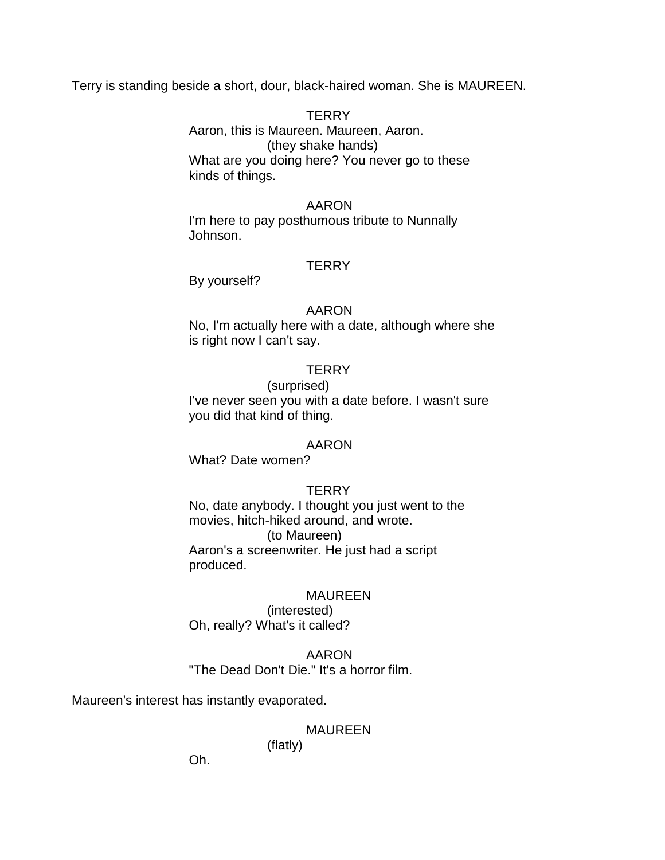Terry is standing beside a short, dour, black-haired woman. She is MAUREEN.

**TERRY** Aaron, this is Maureen. Maureen, Aaron. (they shake hands) What are you doing here? You never go to these kinds of things.

#### AARON

I'm here to pay posthumous tribute to Nunnally Johnson.

#### **TERRY**

By yourself?

#### AARON

No, I'm actually here with a date, although where she is right now I can't say.

### **TFRRY**

#### (surprised)

I've never seen you with a date before. I wasn't sure you did that kind of thing.

#### AARON

What? Date women?

#### **TERRY**

No, date anybody. I thought you just went to the movies, hitch-hiked around, and wrote. (to Maureen) Aaron's a screenwriter. He just had a script produced.

#### MAUREEN

(interested) Oh, really? What's it called?

### AARON "The Dead Don't Die." It's a horror film.

Maureen's interest has instantly evaporated.

## MAUREEN

(flatly)

Oh.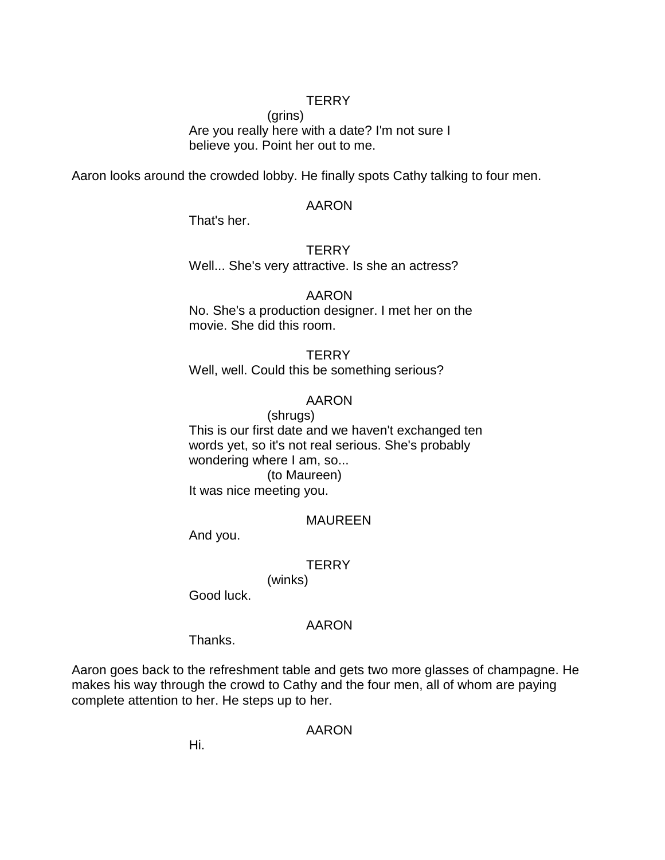### **TERRY**

(grins) Are you really here with a date? I'm not sure I believe you. Point her out to me.

Aaron looks around the crowded lobby. He finally spots Cathy talking to four men.

### AARON

That's her.

#### **TERRY**

Well... She's very attractive. Is she an actress?

#### AARON

No. She's a production designer. I met her on the movie. She did this room.

#### **TERRY**

Well, well. Could this be something serious?

### AARON

(shrugs) This is our first date and we haven't exchanged ten words yet, so it's not real serious. She's probably wondering where I am, so... (to Maureen) It was nice meeting you.

### MAUREEN

And you.

#### **TERRY**

(winks)

Good luck.

#### AARON

Thanks.

Aaron goes back to the refreshment table and gets two more glasses of champagne. He makes his way through the crowd to Cathy and the four men, all of whom are paying complete attention to her. He steps up to her.

### AARON

Hi.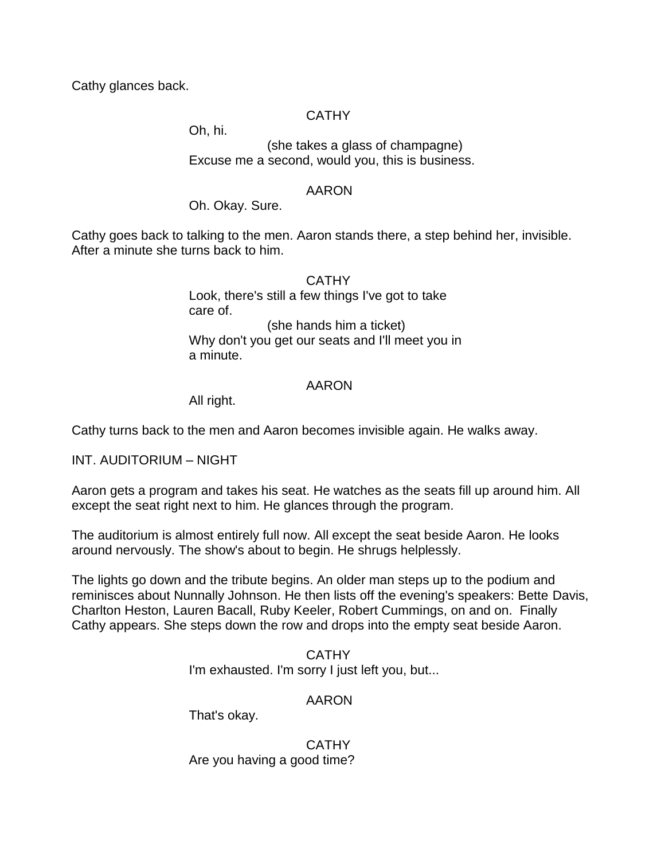Cathy glances back.

## CATHY

Oh, hi.

(she takes a glass of champagne) Excuse me a second, would you, this is business.

### AARON

Oh. Okay. Sure.

Cathy goes back to talking to the men. Aaron stands there, a step behind her, invisible. After a minute she turns back to him.

> **CATHY** Look, there's still a few things I've got to take care of. (she hands him a ticket) Why don't you get our seats and I'll meet you in a minute.

### AARON

All right.

Cathy turns back to the men and Aaron becomes invisible again. He walks away.

INT. AUDITORIUM – NIGHT

Aaron gets a program and takes his seat. He watches as the seats fill up around him. All except the seat right next to him. He glances through the program.

The auditorium is almost entirely full now. All except the seat beside Aaron. He looks around nervously. The show's about to begin. He shrugs helplessly.

The lights go down and the tribute begins. An older man steps up to the podium and reminisces about Nunnally Johnson. He then lists off the evening's speakers: Bette Davis, Charlton Heston, Lauren Bacall, Ruby Keeler, Robert Cummings, on and on. Finally Cathy appears. She steps down the row and drops into the empty seat beside Aaron.

> **CATHY** I'm exhausted. I'm sorry I just left you, but...

## AARON

That's okay.

**CATHY** Are you having a good time?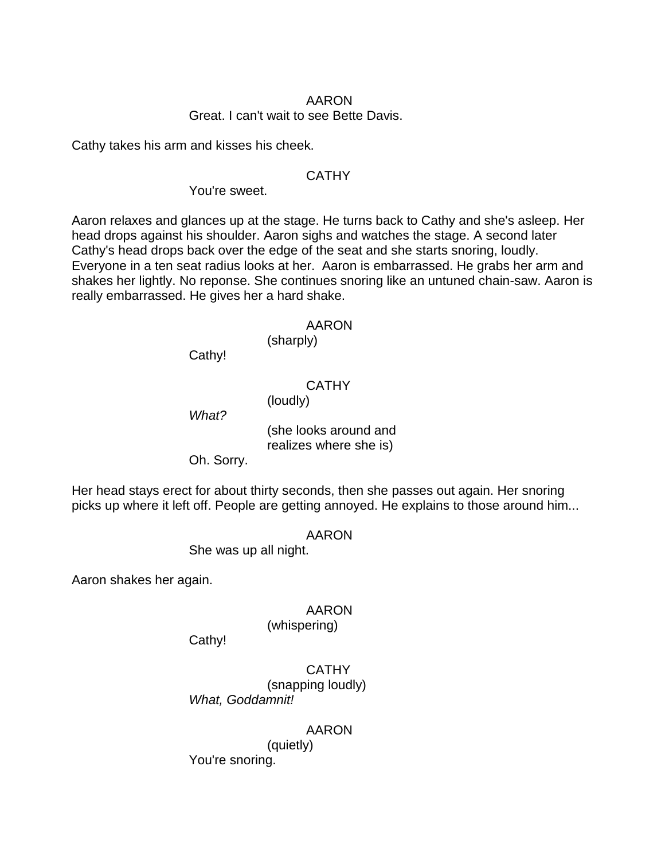### AARON Great. I can't wait to see Bette Davis.

Cathy takes his arm and kisses his cheek.

### **CATHY**

You're sweet.

Aaron relaxes and glances up at the stage. He turns back to Cathy and she's asleep. Her head drops against his shoulder. Aaron sighs and watches the stage. A second later Cathy's head drops back over the edge of the seat and she starts snoring, loudly. Everyone in a ten seat radius looks at her. Aaron is embarrassed. He grabs her arm and shakes her lightly. No reponse. She continues snoring like an untuned chain-saw. Aaron is really embarrassed. He gives her a hard shake.

#### AARON

(sharply)

Cathy!

**CATHY** 

(loudly)

*What?*

(she looks around and realizes where she is)

Oh. Sorry.

Her head stays erect for about thirty seconds, then she passes out again. Her snoring picks up where it left off. People are getting annoyed. He explains to those around him...

AARON

She was up all night.

Aaron shakes her again.

### AARON

(whispering)

Cathy!

**CATHY** (snapping loudly) *What, Goddamnit!*

AARON

(quietly) You're snoring.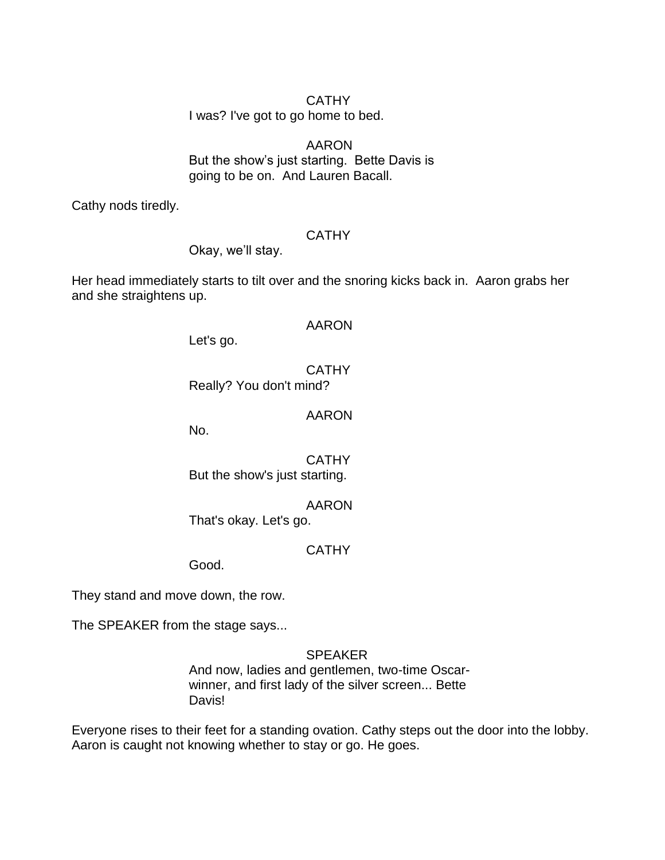## CATHY

I was? I've got to go home to bed.

## AARON But the show's just starting. Bette Davis is going to be on. And Lauren Bacall.

Cathy nods tiredly.

## **CATHY**

Okay, we'll stay.

Her head immediately starts to tilt over and the snoring kicks back in. Aaron grabs her and she straightens up.

### AARON

Let's go.

## **CATHY**

Really? You don't mind?

## AARON

No.

CATHY But the show's just starting.

## AARON

That's okay. Let's go.

## **CATHY**

Good.

They stand and move down, the row.

The SPEAKER from the stage says...

## SPEAKER

And now, ladies and gentlemen, two-time Oscarwinner, and first lady of the silver screen... Bette Davis!

Everyone rises to their feet for a standing ovation. Cathy steps out the door into the lobby. Aaron is caught not knowing whether to stay or go. He goes.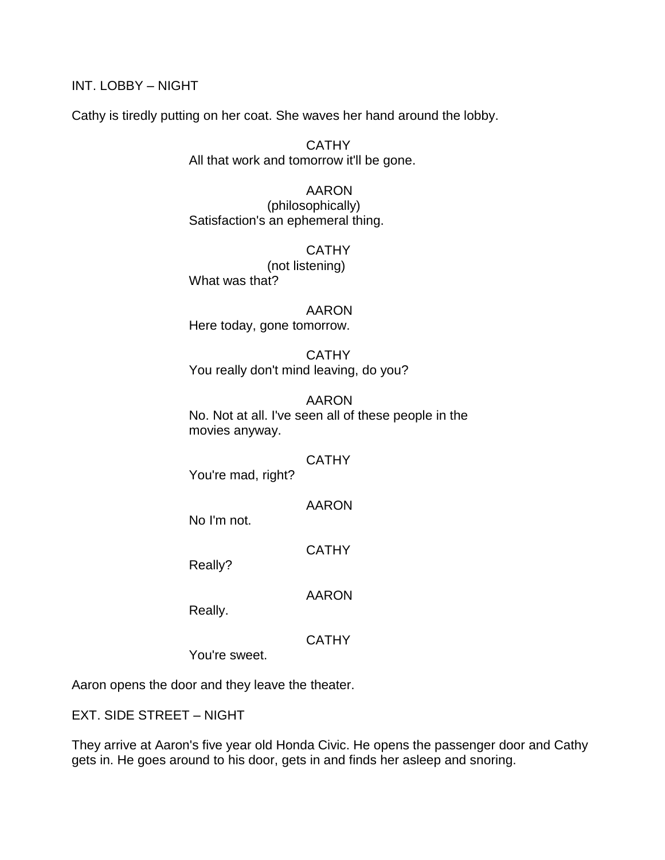INT. LOBBY – NIGHT

Cathy is tiredly putting on her coat. She waves her hand around the lobby.

**CATHY** All that work and tomorrow it'll be gone.

AARON (philosophically) Satisfaction's an ephemeral thing.

**CATHY** (not listening) What was that?

AARON Here today, gone tomorrow.

**CATHY** You really don't mind leaving, do you?

AARON No. Not at all. I've seen all of these people in the movies anyway.

## **CATHY**

You're mad, right?

AARON

No I'm not.

**CATHY** 

Really?

AARON

Really.

**CATHY** 

You're sweet.

Aaron opens the door and they leave the theater.

EXT. SIDE STREET – NIGHT

They arrive at Aaron's five year old Honda Civic. He opens the passenger door and Cathy gets in. He goes around to his door, gets in and finds her asleep and snoring.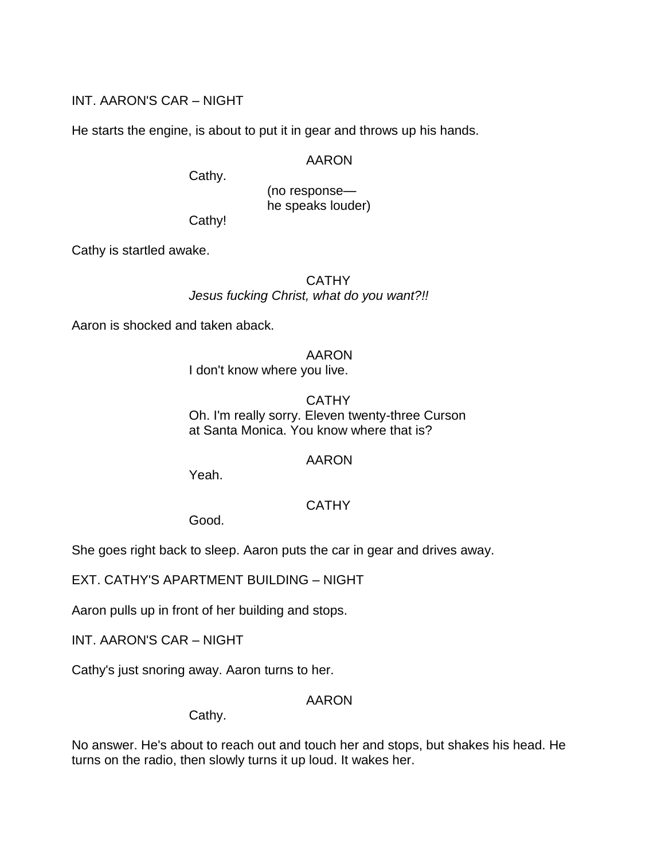## INT. AARON'S CAR – NIGHT

He starts the engine, is about to put it in gear and throws up his hands.

### AARON

Cathy.

(no response he speaks louder)

Cathy!

Cathy is startled awake.

**CATHY** *Jesus fucking Christ, what do you want?!!*

Aaron is shocked and taken aback.

### AARON

I don't know where you live.

## **CATHY** Oh. I'm really sorry. Eleven twenty-three Curson at Santa Monica. You know where that is?

## AARON

Yeah.

## **CATHY**

Good.

She goes right back to sleep. Aaron puts the car in gear and drives away.

EXT. CATHY'S APARTMENT BUILDING – NIGHT

Aaron pulls up in front of her building and stops.

INT. AARON'S CAR – NIGHT

Cathy's just snoring away. Aaron turns to her.

## AARON

Cathy.

No answer. He's about to reach out and touch her and stops, but shakes his head. He turns on the radio, then slowly turns it up loud. It wakes her.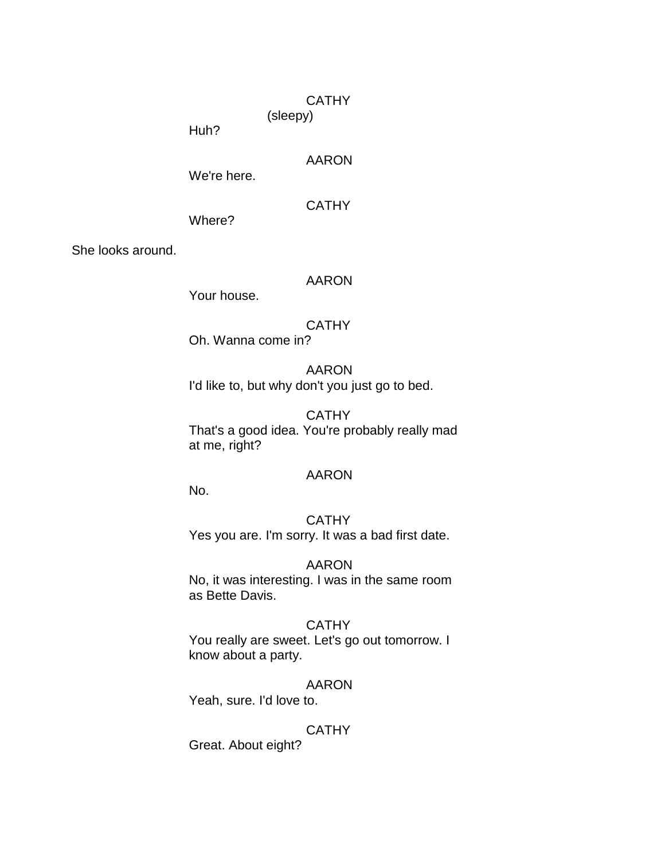### **CATHY**

(sleepy)

Huh?

## AARON

We're here.

## **CATHY**

Where?

She looks around.

## AARON

Your house.

## **CATHY**

Oh. Wanna come in?

## AARON

I'd like to, but why don't you just go to bed.

## **CATHY**

That's a good idea. You're probably really mad at me, right?

## AARON

No.

## **CATHY**

Yes you are. I'm sorry. It was a bad first date.

## AARON

No, it was interesting. I was in the same room as Bette Davis.

## **CATHY**

You really are sweet. Let's go out tomorrow. I know about a party.

## AARON

Yeah, sure. I'd love to.

## **CATHY**

Great. About eight?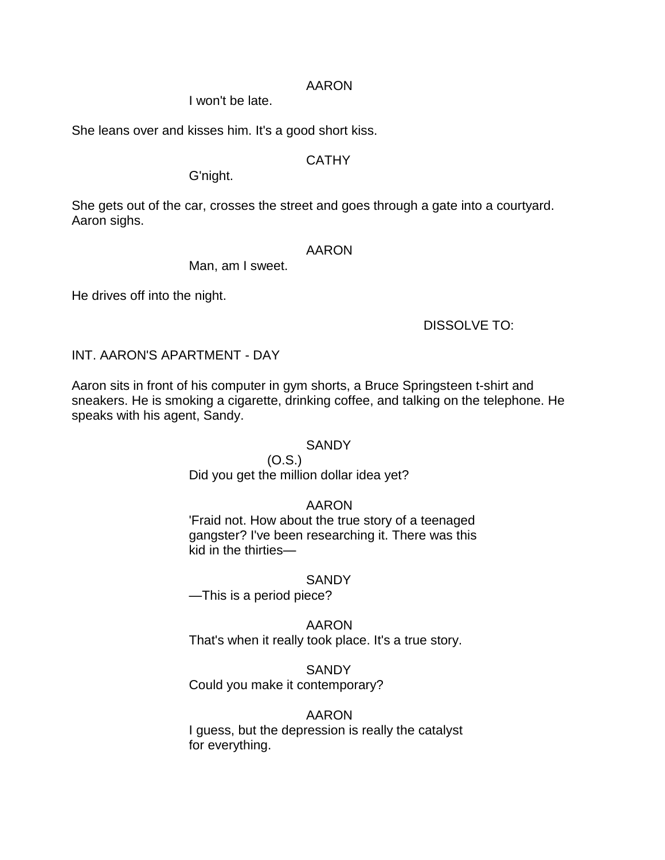### AARON

I won't be late.

She leans over and kisses him. It's a good short kiss.

## **CATHY**

G'night.

She gets out of the car, crosses the street and goes through a gate into a courtyard. Aaron sighs.

### AARON

Man, am I sweet.

He drives off into the night.

DISSOLVE TO:

INT. AARON'S APARTMENT - DAY

Aaron sits in front of his computer in gym shorts, a Bruce Springsteen t-shirt and sneakers. He is smoking a cigarette, drinking coffee, and talking on the telephone. He speaks with his agent, Sandy.

### **SANDY**

(O.S.) Did you get the million dollar idea yet?

# AARON

'Fraid not. How about the true story of a teenaged gangster? I've been researching it. There was this kid in the thirties—

## **SANDY**

—This is a period piece?

AARON

That's when it really took place. It's a true story.

## **SANDY**

Could you make it contemporary?

## AARON

I guess, but the depression is really the catalyst for everything.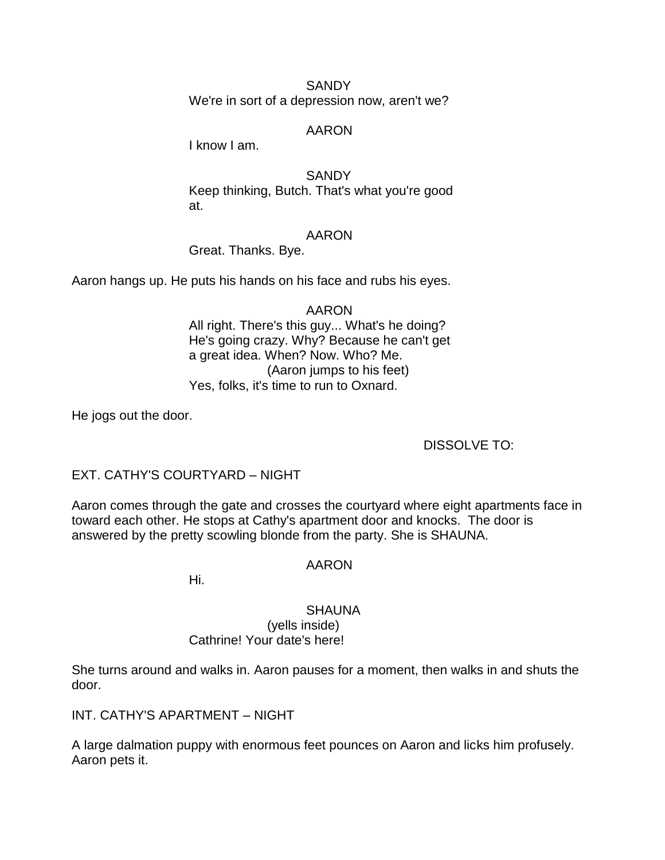**SANDY** We're in sort of a depression now, aren't we?

### AARON

I know I am.

### **SANDY**

Keep thinking, Butch. That's what you're good at.

### AARON

Great. Thanks. Bye.

Aaron hangs up. He puts his hands on his face and rubs his eyes.

## AARON All right. There's this guy... What's he doing? He's going crazy. Why? Because he can't get a great idea. When? Now. Who? Me. (Aaron jumps to his feet) Yes, folks, it's time to run to Oxnard.

He jogs out the door.

## DISSOLVE TO:

## EXT. CATHY'S COURTYARD – NIGHT

Aaron comes through the gate and crosses the courtyard where eight apartments face in toward each other. He stops at Cathy's apartment door and knocks. The door is answered by the pretty scowling blonde from the party. She is SHAUNA.

## AARON

Hi.

## **SHAUNA**

#### (yells inside) Cathrine! Your date's here!

She turns around and walks in. Aaron pauses for a moment, then walks in and shuts the door.

INT. CATHY'S APARTMENT – NIGHT

A large dalmation puppy with enormous feet pounces on Aaron and licks him profusely. Aaron pets it.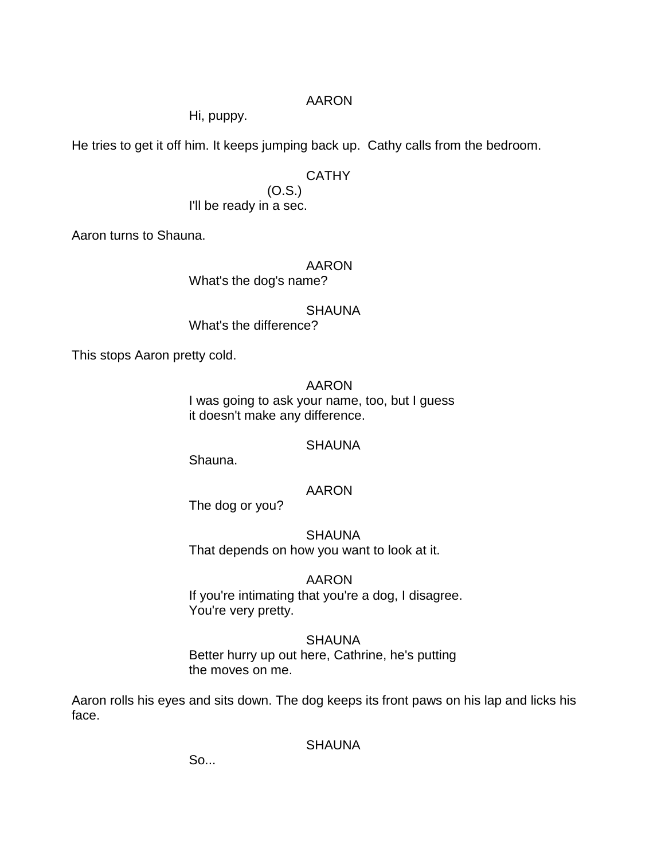## AARON

Hi, puppy.

He tries to get it off him. It keeps jumping back up. Cathy calls from the bedroom.

## CATHY

(O.S.) I'll be ready in a sec.

Aaron turns to Shauna.

## AARON

What's the dog's name?

**SHAUNA** 

What's the difference?

This stops Aaron pretty cold.

AARON I was going to ask your name, too, but I guess it doesn't make any difference.

## **SHAUNA**

Shauna.

## AARON

The dog or you?

**SHAUNA** That depends on how you want to look at it.

## AARON

If you're intimating that you're a dog, I disagree. You're very pretty.

### **SHAUNA**

Better hurry up out here, Cathrine, he's putting the moves on me.

Aaron rolls his eyes and sits down. The dog keeps its front paws on his lap and licks his face.

**SHAUNA** 

So...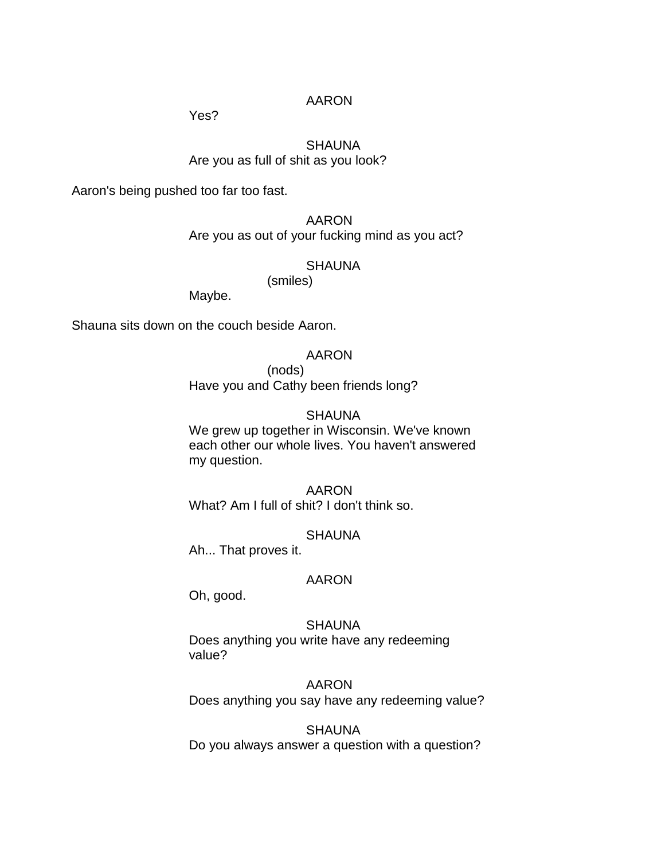Yes?

# **SHAUNA**

Are you as full of shit as you look?

Aaron's being pushed too far too fast.

AARON Are you as out of your fucking mind as you act?

SHAUNA

(smiles)

Maybe.

Shauna sits down on the couch beside Aaron.

#### AARON

(nods)

Have you and Cathy been friends long?

### **SHAUNA**

We grew up together in Wisconsin. We've known each other our whole lives. You haven't answered my question.

AARON

What? Am I full of shit? I don't think so.

### **SHAUNA**

Ah... That proves it.

### AARON

Oh, good.

**SHAUNA** Does anything you write have any redeeming value?

AARON Does anything you say have any redeeming value?

**SHAUNA** Do you always answer a question with a question?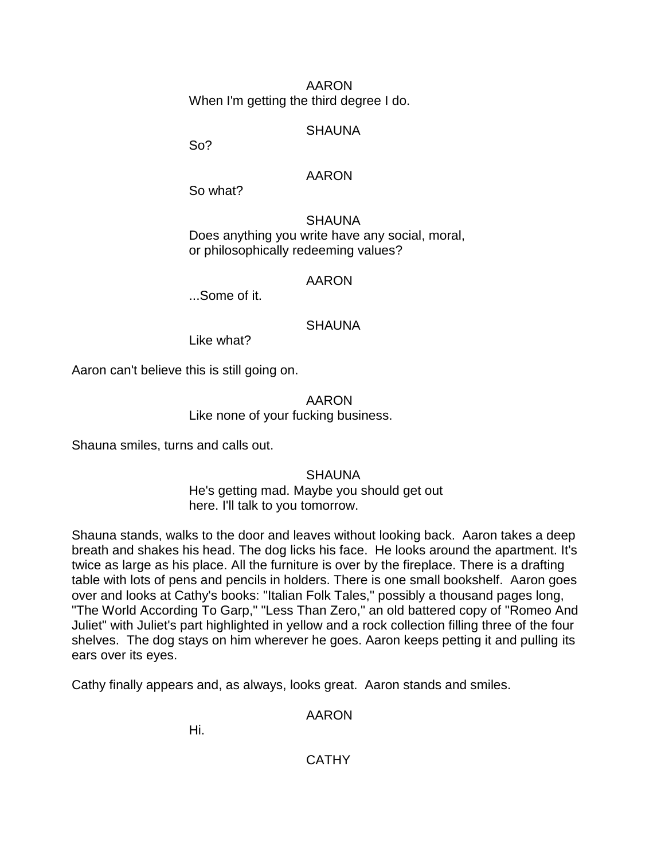AARON When I'm getting the third degree I do.

**SHAUNA** 

So?

### AARON

So what?

**SHAUNA** Does anything you write have any social, moral, or philosophically redeeming values?

### AARON

...Some of it.

# **SHAUNA**

Like what?

Aaron can't believe this is still going on.

AARON

Like none of your fucking business.

Shauna smiles, turns and calls out.

**SHAUNA** 

He's getting mad. Maybe you should get out here. I'll talk to you tomorrow.

Shauna stands, walks to the door and leaves without looking back. Aaron takes a deep breath and shakes his head. The dog licks his face. He looks around the apartment. It's twice as large as his place. All the furniture is over by the fireplace. There is a drafting table with lots of pens and pencils in holders. There is one small bookshelf. Aaron goes over and looks at Cathy's books: "Italian Folk Tales," possibly a thousand pages long, "The World According To Garp," "Less Than Zero," an old battered copy of "Romeo And Juliet" with Juliet's part highlighted in yellow and a rock collection filling three of the four shelves. The dog stays on him wherever he goes. Aaron keeps petting it and pulling its ears over its eyes.

Cathy finally appears and, as always, looks great. Aaron stands and smiles.

AARON

Hi.

**CATHY**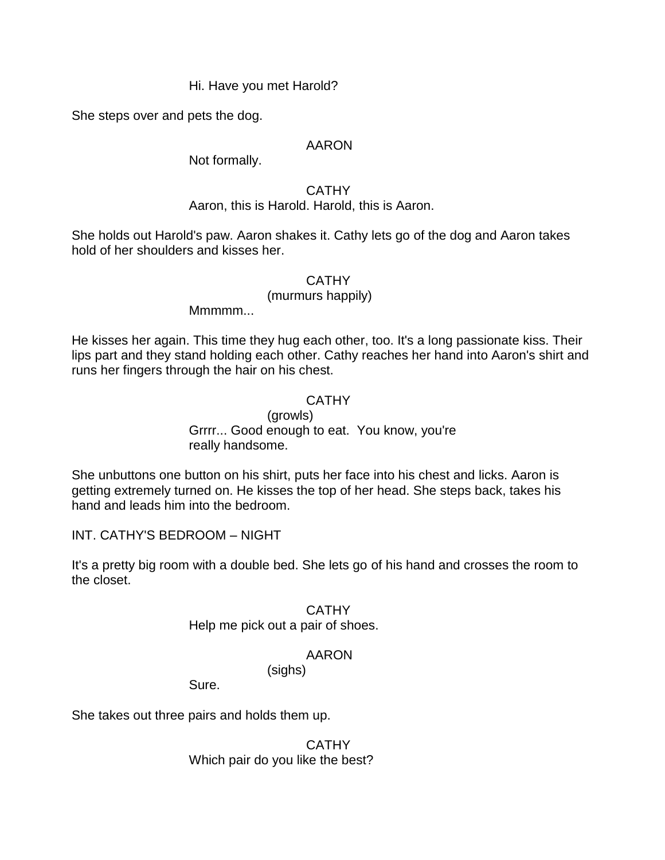### Hi. Have you met Harold?

She steps over and pets the dog.

### AARON

Not formally.

### **CATHY**

# Aaron, this is Harold. Harold, this is Aaron.

She holds out Harold's paw. Aaron shakes it. Cathy lets go of the dog and Aaron takes hold of her shoulders and kisses her.

# **CATHY**

### (murmurs happily)

Mmmm<sub>...</sub>

He kisses her again. This time they hug each other, too. It's a long passionate kiss. Their lips part and they stand holding each other. Cathy reaches her hand into Aaron's shirt and runs her fingers through the hair on his chest.

# **CATHY**

(growls) Grrrr... Good enough to eat. You know, you're really handsome.

She unbuttons one button on his shirt, puts her face into his chest and licks. Aaron is getting extremely turned on. He kisses the top of her head. She steps back, takes his hand and leads him into the bedroom.

INT. CATHY'S BEDROOM – NIGHT

It's a pretty big room with a double bed. She lets go of his hand and crosses the room to the closet.

# **CATHY**

Help me pick out a pair of shoes.

(sighs)

# AARON

Sure.

She takes out three pairs and holds them up.

# **CATHY**

Which pair do you like the best?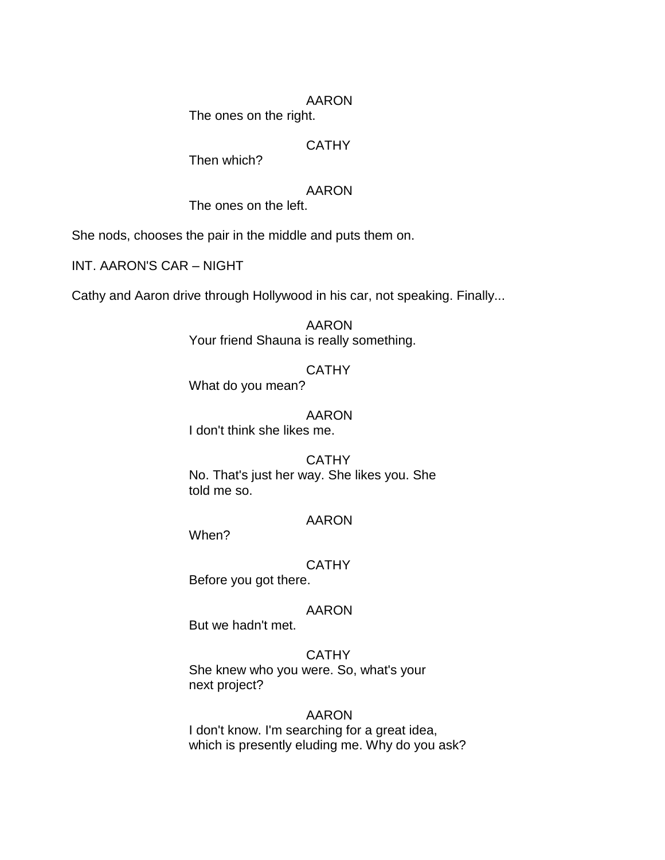The ones on the right.

# **CATHY**

Then which?

### AARON

The ones on the left.

She nods, chooses the pair in the middle and puts them on.

INT. AARON'S CAR – NIGHT

Cathy and Aaron drive through Hollywood in his car, not speaking. Finally...

AARON Your friend Shauna is really something.

### **CATHY**

What do you mean?

#### AARON

I don't think she likes me.

# **CATHY** No. That's just her way. She likes you. She told me so.

### AARON

When?

### CATHY

Before you got there.

#### AARON

But we hadn't met.

#### CATHY

She knew who you were. So, what's your next project?

### AARON

I don't know. I'm searching for a great idea, which is presently eluding me. Why do you ask?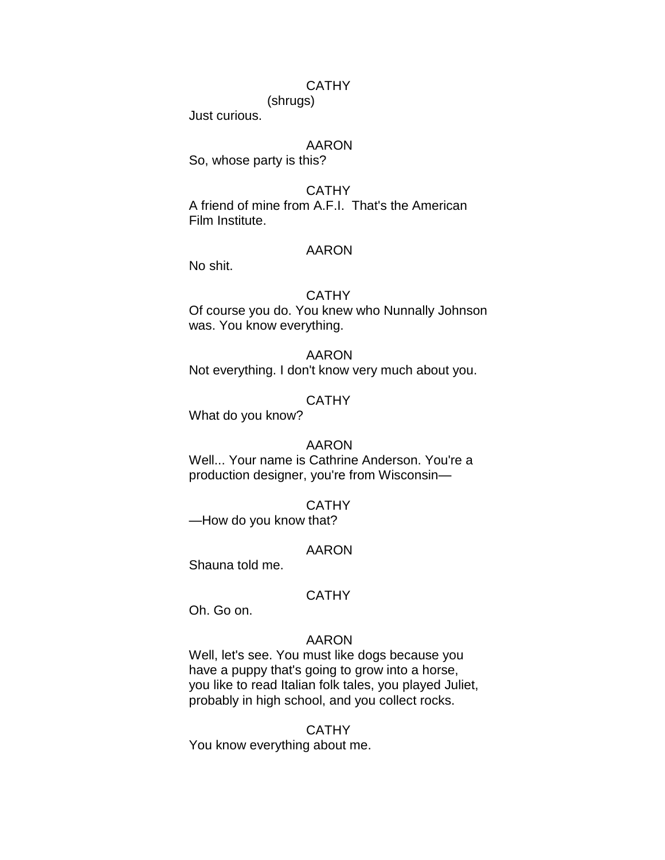### **CATHY**

(shrugs)

Just curious.

### AARON

So, whose party is this?

### **CATHY**

A friend of mine from A.F.I. That's the American Film Institute.

#### AARON

No shit.

#### **CATHY**

Of course you do. You knew who Nunnally Johnson was. You know everything.

# AARON

Not everything. I don't know very much about you.

### **CATHY**

What do you know?

#### AARON

Well... Your name is Cathrine Anderson. You're a production designer, you're from Wisconsin—

#### CATHY

—How do you know that?

#### AARON

Shauna told me.

#### **CATHY**

Oh. Go on.

### AARON

Well, let's see. You must like dogs because you have a puppy that's going to grow into a horse, you like to read Italian folk tales, you played Juliet, probably in high school, and you collect rocks.

#### **CATHY**

You know everything about me.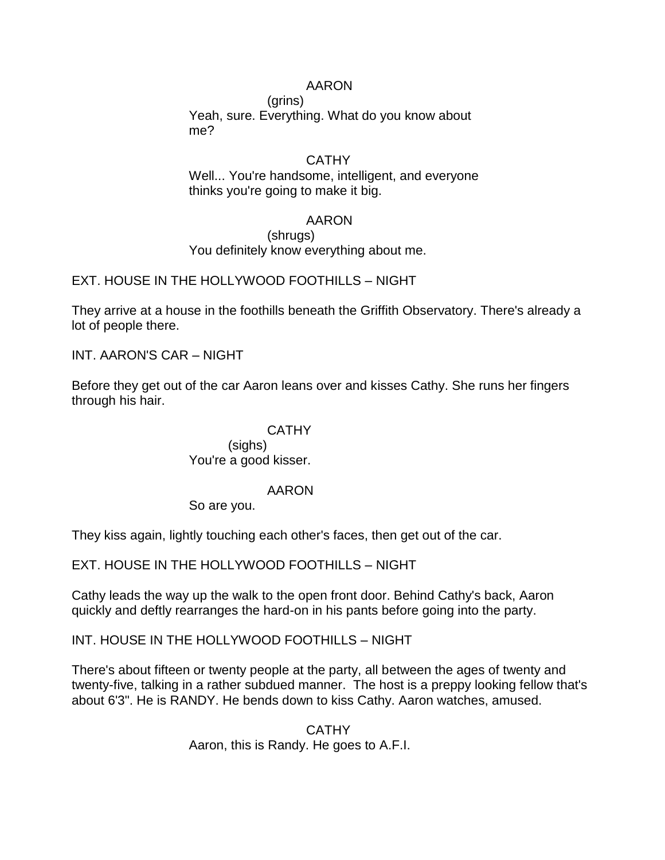(grins) Yeah, sure. Everything. What do you know about me?

### **CATHY**

Well... You're handsome, intelligent, and everyone thinks you're going to make it big.

### AARON

#### (shrugs) You definitely know everything about me.

EXT. HOUSE IN THE HOLLYWOOD FOOTHILLS – NIGHT

They arrive at a house in the foothills beneath the Griffith Observatory. There's already a lot of people there.

INT. AARON'S CAR – NIGHT

Before they get out of the car Aaron leans over and kisses Cathy. She runs her fingers through his hair.

# **CATHY**

(sighs) You're a good kisser.

### AARON

So are you.

They kiss again, lightly touching each other's faces, then get out of the car.

EXT. HOUSE IN THE HOLLYWOOD FOOTHILLS – NIGHT

Cathy leads the way up the walk to the open front door. Behind Cathy's back, Aaron quickly and deftly rearranges the hard-on in his pants before going into the party.

INT. HOUSE IN THE HOLLYWOOD FOOTHILLS – NIGHT

There's about fifteen or twenty people at the party, all between the ages of twenty and twenty-five, talking in a rather subdued manner. The host is a preppy looking fellow that's about 6'3". He is RANDY. He bends down to kiss Cathy. Aaron watches, amused.

> **CATHY** Aaron, this is Randy. He goes to A.F.I.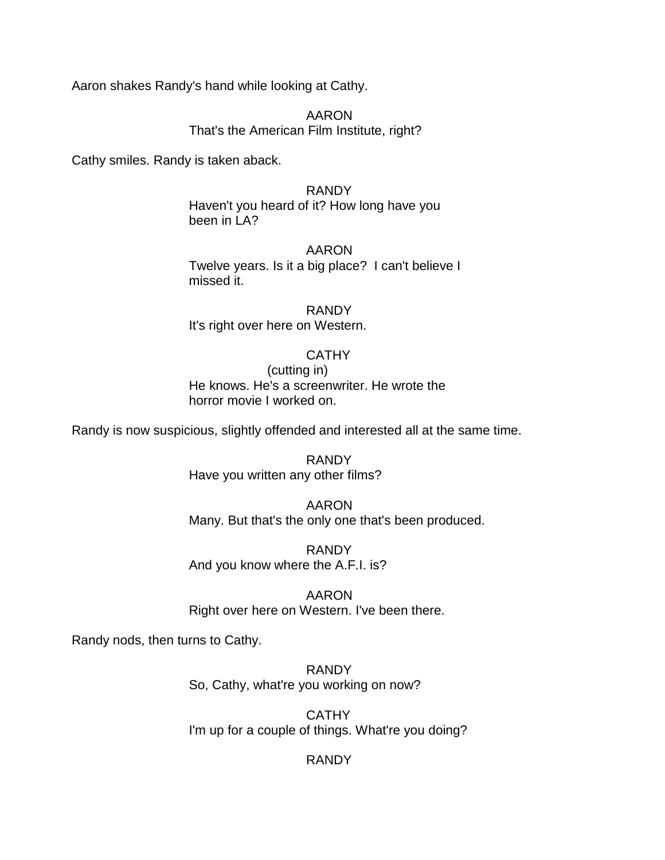Aaron shakes Randy's hand while looking at Cathy.

AARON That's the American Film Institute, right?

Cathy smiles. Randy is taken aback.

#### RANDY

Haven't you heard of it? How long have you been in LA?

#### AARON

Twelve years. Is it a big place? I can't believe I missed it.

RANDY It's right over here on Western.

#### **CATHY**

(cutting in) He knows. He's a screenwriter. He wrote the horror movie I worked on.

Randy is now suspicious, slightly offended and interested all at the same time.

RANDY Have you written any other films?

AARON Many. But that's the only one that's been produced.

RANDY And you know where the A.F.I. is?

AARON Right over here on Western. I've been there.

Randy nods, then turns to Cathy.

RANDY So, Cathy, what're you working on now?

**CATHY** I'm up for a couple of things. What're you doing?

# RANDY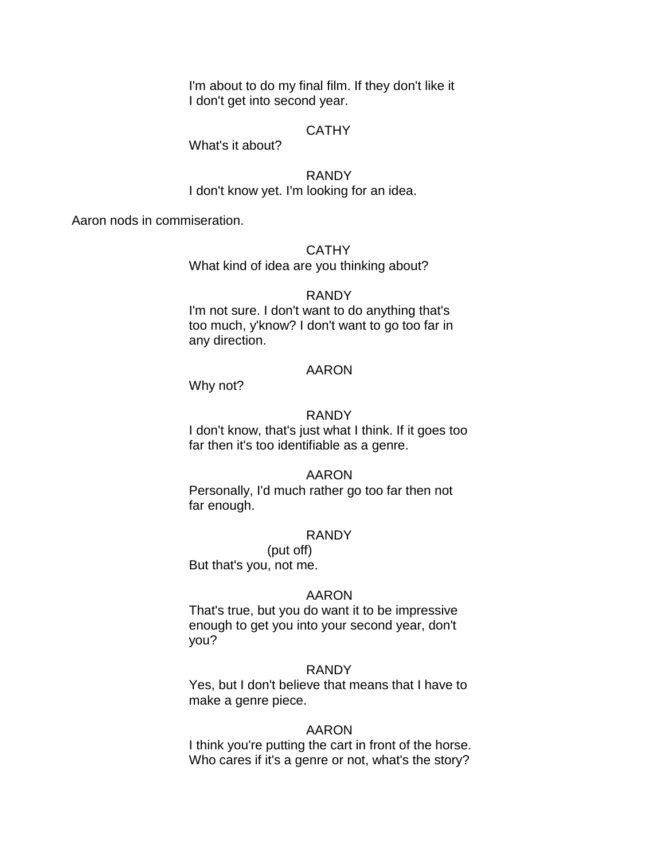I'm about to do my final film. If they don't like it I don't get into second year.

#### **CATHY**

What's it about?

RANDY I don't know yet. I'm looking for an idea.

Aaron nods in commiseration.

#### **CATHY**

What kind of idea are you thinking about?

#### RANDY

I'm not sure. I don't want to do anything that's too much, y'know? I don't want to go too far in any direction.

### AARON

Why not?

#### RANDY

I don't know, that's just what I think. If it goes too far then it's too identifiable as a genre.

#### AARON

Personally, I'd much rather go too far then not far enough.

#### RANDY

(put off)

But that's you, not me.

#### AARON

That's true, but you do want it to be impressive enough to get you into your second year, don't you?

### RANDY

Yes, but I don't believe that means that I have to make a genre piece.

#### AARON

I think you're putting the cart in front of the horse. Who cares if it's a genre or not, what's the story?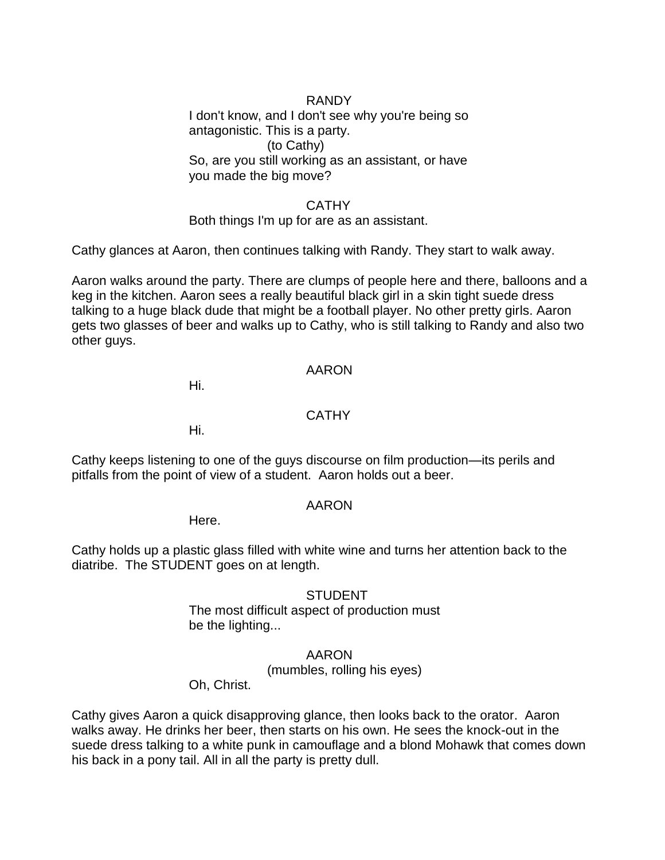# RANDY

I don't know, and I don't see why you're being so antagonistic. This is a party. (to Cathy) So, are you still working as an assistant, or have you made the big move?

### CATHY

Both things I'm up for are as an assistant.

Cathy glances at Aaron, then continues talking with Randy. They start to walk away.

Aaron walks around the party. There are clumps of people here and there, balloons and a keg in the kitchen. Aaron sees a really beautiful black girl in a skin tight suede dress talking to a huge black dude that might be a football player. No other pretty girls. Aaron gets two glasses of beer and walks up to Cathy, who is still talking to Randy and also two other guys.

### AARON

Hi.

### **CATHY**

Hi.

Cathy keeps listening to one of the guys discourse on film production—its perils and pitfalls from the point of view of a student. Aaron holds out a beer.

### AARON

Here.

Cathy holds up a plastic glass filled with white wine and turns her attention back to the diatribe. The STUDENT goes on at length.

### **STUDENT**

The most difficult aspect of production must be the lighting...

### AARON

(mumbles, rolling his eyes)

Oh, Christ.

Cathy gives Aaron a quick disapproving glance, then looks back to the orator. Aaron walks away. He drinks her beer, then starts on his own. He sees the knock-out in the suede dress talking to a white punk in camouflage and a blond Mohawk that comes down his back in a pony tail. All in all the party is pretty dull.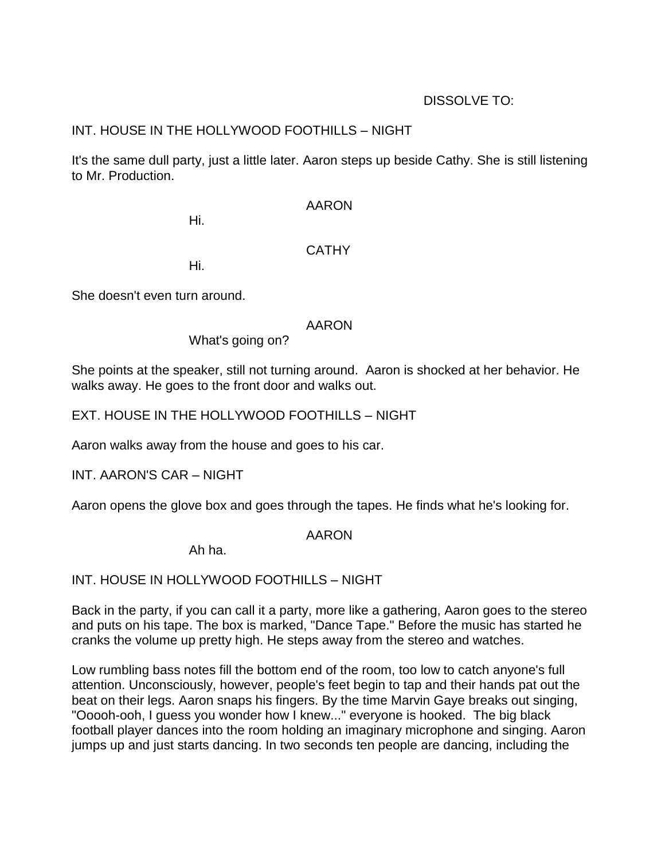# DISSOLVE TO:

# INT. HOUSE IN THE HOLLYWOOD FOOTHILLS – NIGHT

It's the same dull party, just a little later. Aaron steps up beside Cathy. She is still listening to Mr. Production.

AARON

Hi.

# **CATHY**

Hi.

She doesn't even turn around.

# AARON

What's going on?

She points at the speaker, still not turning around. Aaron is shocked at her behavior. He walks away. He goes to the front door and walks out.

EXT. HOUSE IN THE HOLLYWOOD FOOTHILLS – NIGHT

Aaron walks away from the house and goes to his car.

INT. AARON'S CAR – NIGHT

Aaron opens the glove box and goes through the tapes. He finds what he's looking for.

# AARON

Ah ha.

INT. HOUSE IN HOLLYWOOD FOOTHILLS – NIGHT

Back in the party, if you can call it a party, more like a gathering, Aaron goes to the stereo and puts on his tape. The box is marked, "Dance Tape." Before the music has started he cranks the volume up pretty high. He steps away from the stereo and watches.

Low rumbling bass notes fill the bottom end of the room, too low to catch anyone's full attention. Unconsciously, however, people's feet begin to tap and their hands pat out the beat on their legs. Aaron snaps his fingers. By the time Marvin Gaye breaks out singing, "Ooooh-ooh, I guess you wonder how I knew..." everyone is hooked. The big black football player dances into the room holding an imaginary microphone and singing. Aaron jumps up and just starts dancing. In two seconds ten people are dancing, including the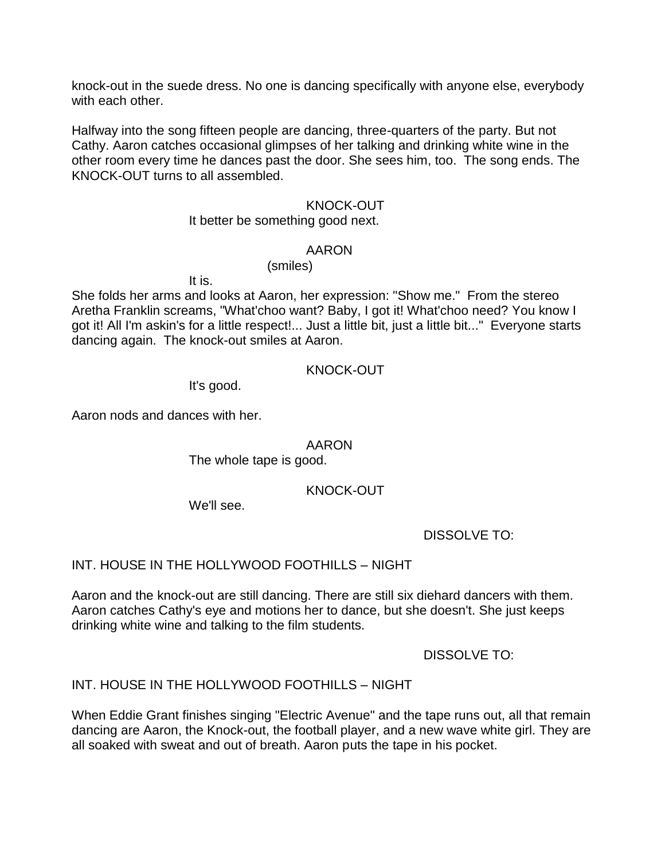knock-out in the suede dress. No one is dancing specifically with anyone else, everybody with each other.

Halfway into the song fifteen people are dancing, three-quarters of the party. But not Cathy. Aaron catches occasional glimpses of her talking and drinking white wine in the other room every time he dances past the door. She sees him, too. The song ends. The KNOCK-OUT turns to all assembled.

### KNOCK-OUT

#### It better be something good next.

#### AARON

(smiles)

It is.

She folds her arms and looks at Aaron, her expression: "Show me." From the stereo Aretha Franklin screams, "What'choo want? Baby, I got it! What'choo need? You know I got it! All I'm askin's for a little respect!... Just a little bit, just a little bit..." Everyone starts dancing again. The knock-out smiles at Aaron.

### KNOCK-OUT

It's good.

Aaron nods and dances with her.

### AARON

The whole tape is good.

# KNOCK-OUT

We'll see.

DISSOLVE TO:

INT. HOUSE IN THE HOLLYWOOD FOOTHILLS – NIGHT

Aaron and the knock-out are still dancing. There are still six diehard dancers with them. Aaron catches Cathy's eye and motions her to dance, but she doesn't. She just keeps drinking white wine and talking to the film students.

DISSOLVE TO:

# INT. HOUSE IN THE HOLLYWOOD FOOTHILLS – NIGHT

When Eddie Grant finishes singing "Electric Avenue" and the tape runs out, all that remain dancing are Aaron, the Knock-out, the football player, and a new wave white girl. They are all soaked with sweat and out of breath. Aaron puts the tape in his pocket.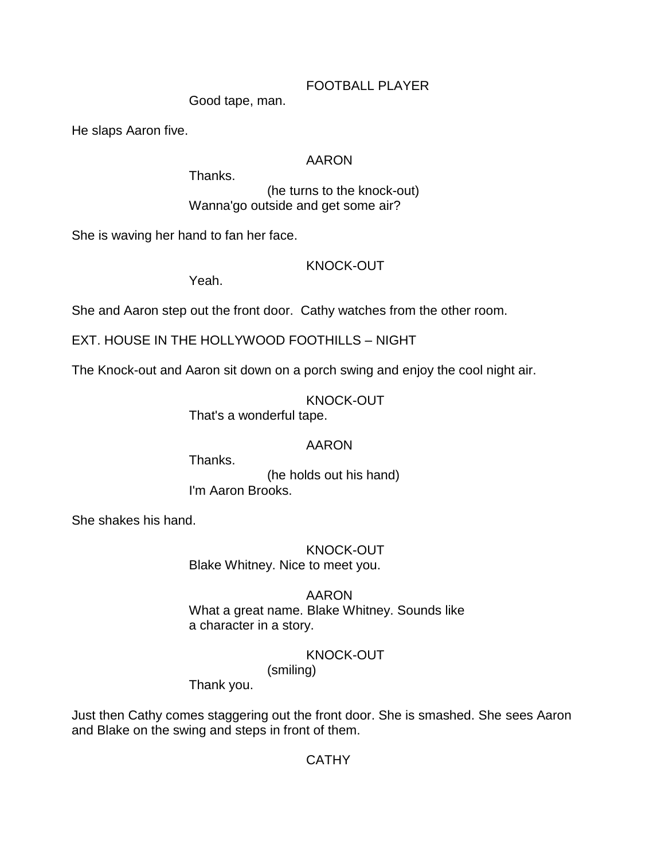# FOOTBALL PLAYER

Good tape, man.

He slaps Aaron five.

# AARON

Thanks.

(he turns to the knock-out) Wanna'go outside and get some air?

She is waving her hand to fan her face.

# KNOCK-OUT

Yeah.

She and Aaron step out the front door. Cathy watches from the other room.

EXT. HOUSE IN THE HOLLYWOOD FOOTHILLS – NIGHT

The Knock-out and Aaron sit down on a porch swing and enjoy the cool night air.

KNOCK-OUT

That's a wonderful tape.

# AARON

Thanks.

(he holds out his hand) I'm Aaron Brooks.

She shakes his hand.

KNOCK-OUT Blake Whitney. Nice to meet you.

AARON What a great name. Blake Whitney. Sounds like a character in a story.

KNOCK-OUT

(smiling)

Thank you.

Just then Cathy comes staggering out the front door. She is smashed. She sees Aaron and Blake on the swing and steps in front of them.

**CATHY**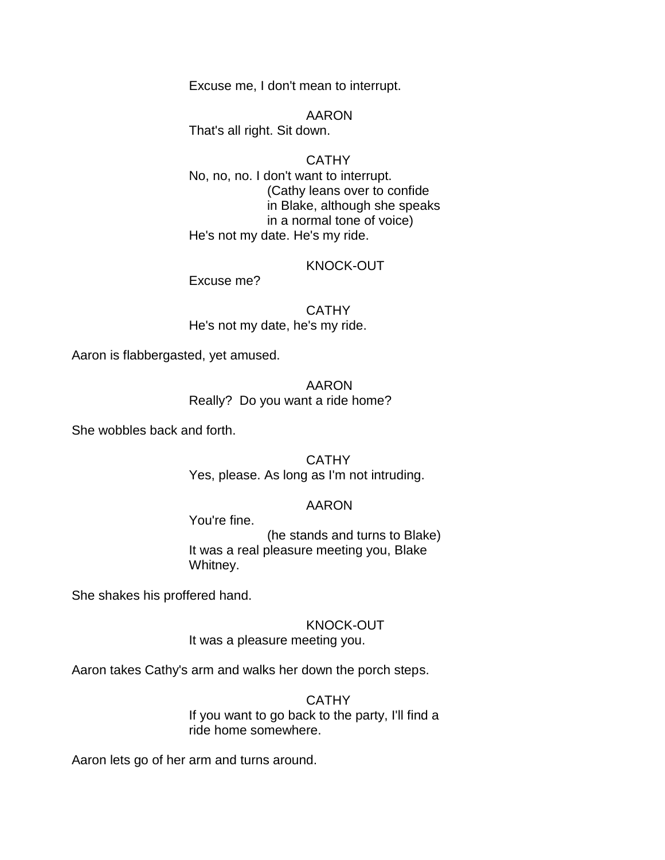Excuse me, I don't mean to interrupt.

AARON That's all right. Sit down.

**CATHY** No, no, no. I don't want to interrupt. (Cathy leans over to confide in Blake, although she speaks in a normal tone of voice) He's not my date. He's my ride.

### KNOCK-OUT

Excuse me?

**CATHY** He's not my date, he's my ride.

Aaron is flabbergasted, yet amused.

AARON Really? Do you want a ride home?

She wobbles back and forth.

CATHY Yes, please. As long as I'm not intruding.

### AARON

You're fine.

(he stands and turns to Blake) It was a real pleasure meeting you, Blake Whitney.

She shakes his proffered hand.

KNOCK-OUT

It was a pleasure meeting you.

Aaron takes Cathy's arm and walks her down the porch steps.

**CATHY** 

If you want to go back to the party, I'll find a ride home somewhere.

Aaron lets go of her arm and turns around.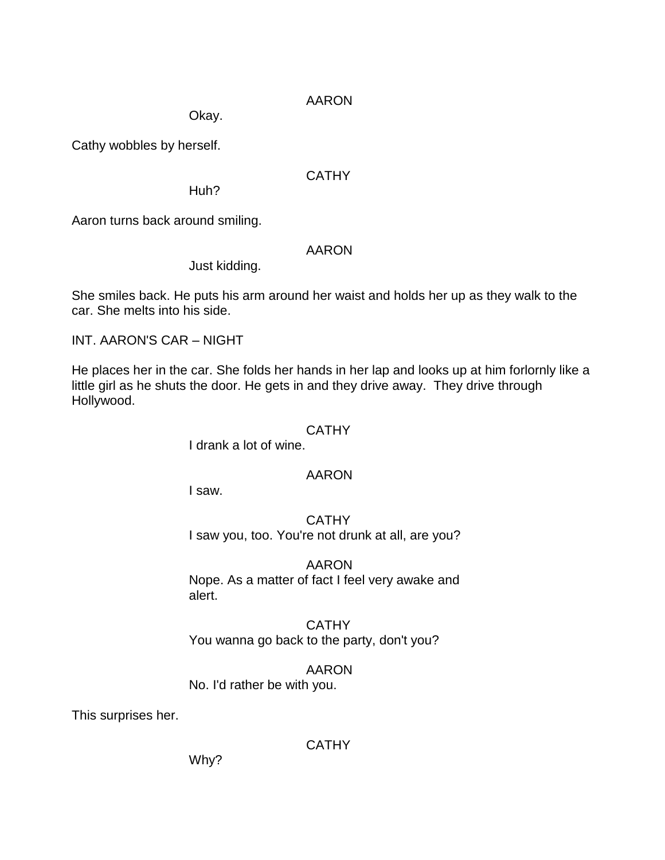Okay.

Cathy wobbles by herself.

# **CATHY**

Huh?

Aaron turns back around smiling.

# AARON

Just kidding.

She smiles back. He puts his arm around her waist and holds her up as they walk to the car. She melts into his side.

INT. AARON'S CAR – NIGHT

He places her in the car. She folds her hands in her lap and looks up at him forlornly like a little girl as he shuts the door. He gets in and they drive away. They drive through Hollywood.

### **CATHY**

I drank a lot of wine.

# AARON

I saw.

**CATHY** I saw you, too. You're not drunk at all, are you?

AARON Nope. As a matter of fact I feel very awake and alert.

**CATHY** You wanna go back to the party, don't you?

AARON No. I'd rather be with you.

This surprises her.

**CATHY** 

Why?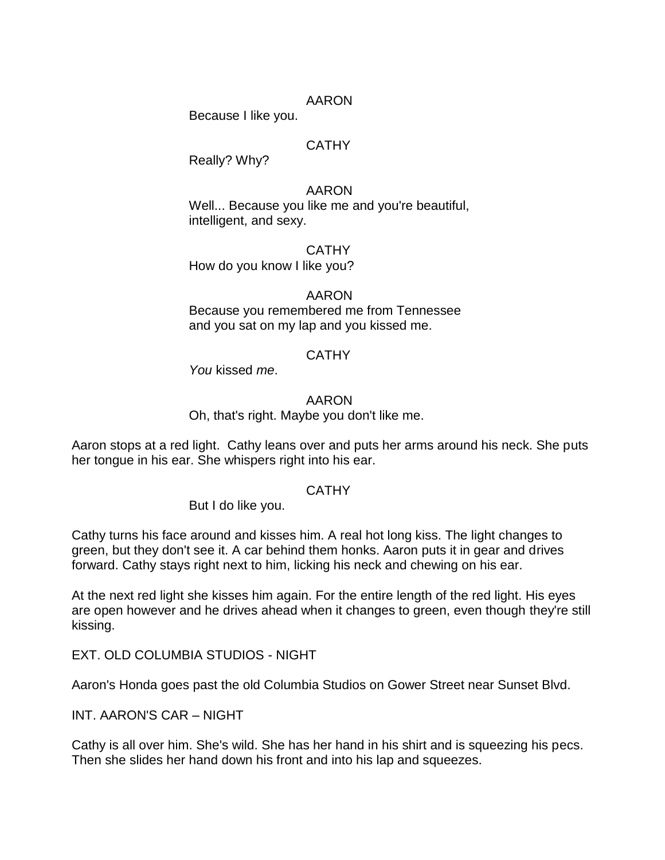Because I like you.

# **CATHY**

Really? Why?

### AARON

Well... Because you like me and you're beautiful, intelligent, and sexy.

**CATHY** 

How do you know I like you?

# AARON

Because you remembered me from Tennessee and you sat on my lap and you kissed me.

### **CATHY**

*You* kissed *me*.

### AARON

Oh, that's right. Maybe you don't like me.

Aaron stops at a red light. Cathy leans over and puts her arms around his neck. She puts her tongue in his ear. She whispers right into his ear.

### **CATHY**

But I do like you.

Cathy turns his face around and kisses him. A real hot long kiss. The light changes to green, but they don't see it. A car behind them honks. Aaron puts it in gear and drives forward. Cathy stays right next to him, licking his neck and chewing on his ear.

At the next red light she kisses him again. For the entire length of the red light. His eyes are open however and he drives ahead when it changes to green, even though they're still kissing.

EXT. OLD COLUMBIA STUDIOS - NIGHT

Aaron's Honda goes past the old Columbia Studios on Gower Street near Sunset Blvd.

INT. AARON'S CAR – NIGHT

Cathy is all over him. She's wild. She has her hand in his shirt and is squeezing his pecs. Then she slides her hand down his front and into his lap and squeezes.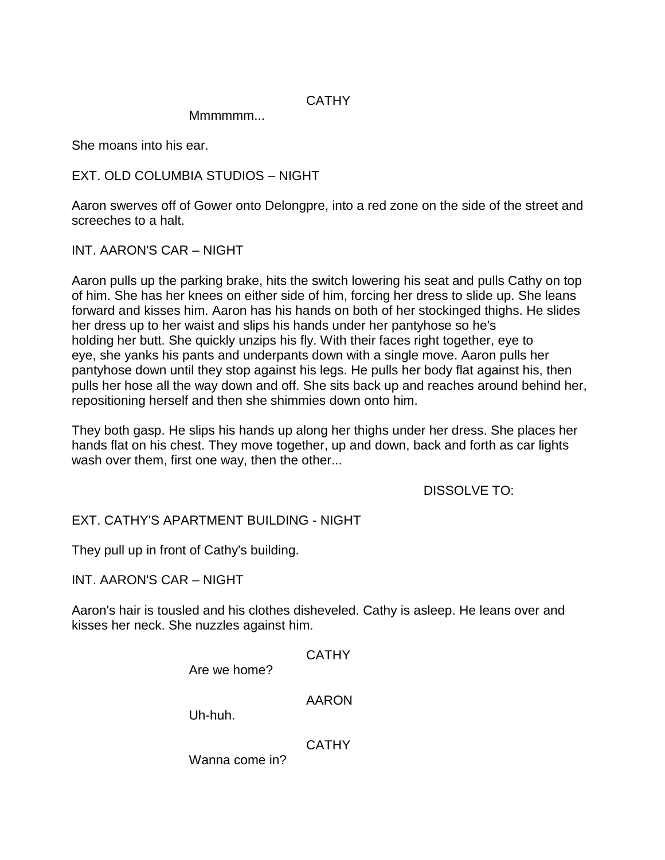# **CATHY**

Mmmmmm...

She moans into his ear.

EXT. OLD COLUMBIA STUDIOS – NIGHT

Aaron swerves off of Gower onto Delongpre, into a red zone on the side of the street and screeches to a halt.

INT. AARON'S CAR – NIGHT

Aaron pulls up the parking brake, hits the switch lowering his seat and pulls Cathy on top of him. She has her knees on either side of him, forcing her dress to slide up. She leans forward and kisses him. Aaron has his hands on both of her stockinged thighs. He slides her dress up to her waist and slips his hands under her pantyhose so he's holding her butt. She quickly unzips his fly. With their faces right together, eye to eye, she yanks his pants and underpants down with a single move. Aaron pulls her pantyhose down until they stop against his legs. He pulls her body flat against his, then pulls her hose all the way down and off. She sits back up and reaches around behind her, repositioning herself and then she shimmies down onto him.

They both gasp. He slips his hands up along her thighs under her dress. She places her hands flat on his chest. They move together, up and down, back and forth as car lights wash over them, first one way, then the other...

DISSOLVE TO:

EXT. CATHY'S APARTMENT BUILDING - NIGHT

They pull up in front of Cathy's building.

INT. AARON'S CAR – NIGHT

Aaron's hair is tousled and his clothes disheveled. Cathy is asleep. He leans over and kisses her neck. She nuzzles against him.

**CATHY** 

Are we home?

AARON

Uh-huh.

**CATHY** 

Wanna come in?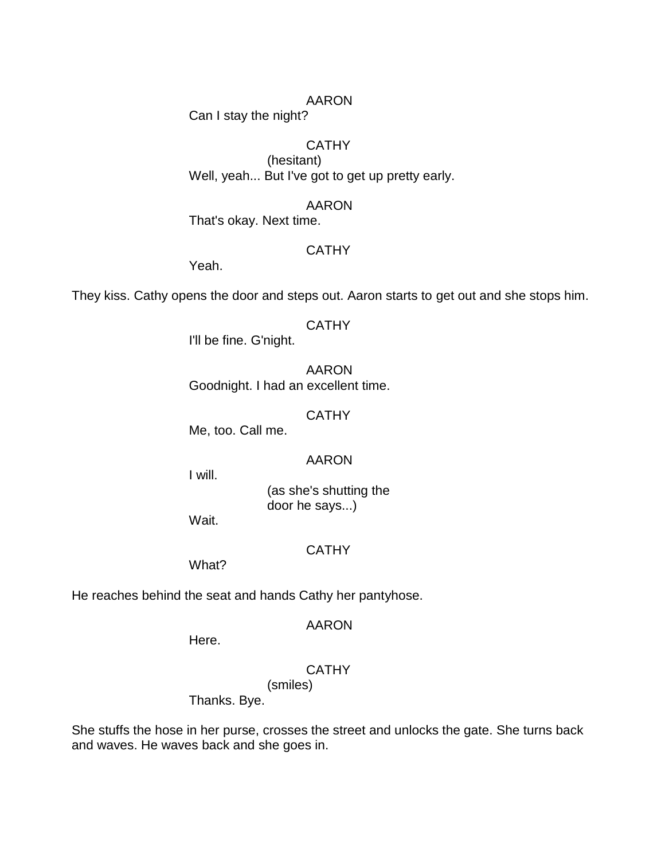Can I stay the night?

# **CATHY**

(hesitant) Well, yeah... But I've got to get up pretty early.

### AARON

That's okay. Next time.

### **CATHY**

Yeah.

They kiss. Cathy opens the door and steps out. Aaron starts to get out and she stops him.

#### CATHY

I'll be fine. G'night.

AARON Goodnight. I had an excellent time.

#### **CATHY**

Me, too. Call me.

#### AARON

I will.

(as she's shutting the door he says...)

Wait.

### **CATHY**

What?

He reaches behind the seat and hands Cathy her pantyhose.

#### AARON

Here.

# **CATHY**

(smiles)

Thanks. Bye.

She stuffs the hose in her purse, crosses the street and unlocks the gate. She turns back and waves. He waves back and she goes in.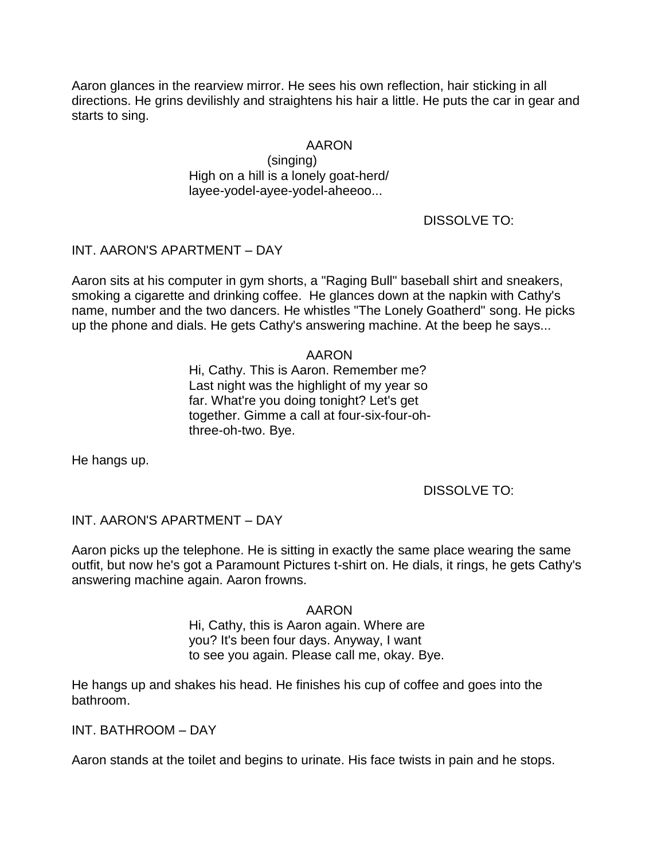Aaron glances in the rearview mirror. He sees his own reflection, hair sticking in all directions. He grins devilishly and straightens his hair a little. He puts the car in gear and starts to sing.

### AARON

(singing) High on a hill is a lonely goat-herd/ layee-yodel-ayee-yodel-aheeoo...

DISSOLVE TO:

### INT. AARON'S APARTMENT – DAY

Aaron sits at his computer in gym shorts, a "Raging Bull" baseball shirt and sneakers, smoking a cigarette and drinking coffee. He glances down at the napkin with Cathy's name, number and the two dancers. He whistles "The Lonely Goatherd" song. He picks up the phone and dials. He gets Cathy's answering machine. At the beep he says...

### AARON

Hi, Cathy. This is Aaron. Remember me? Last night was the highlight of my year so far. What're you doing tonight? Let's get together. Gimme a call at four-six-four-ohthree-oh-two. Bye.

He hangs up.

DISSOLVE TO:

### INT. AARON'S APARTMENT – DAY

Aaron picks up the telephone. He is sitting in exactly the same place wearing the same outfit, but now he's got a Paramount Pictures t-shirt on. He dials, it rings, he gets Cathy's answering machine again. Aaron frowns.

#### AARON

Hi, Cathy, this is Aaron again. Where are you? It's been four days. Anyway, I want to see you again. Please call me, okay. Bye.

He hangs up and shakes his head. He finishes his cup of coffee and goes into the bathroom.

INT. BATHROOM – DAY

Aaron stands at the toilet and begins to urinate. His face twists in pain and he stops.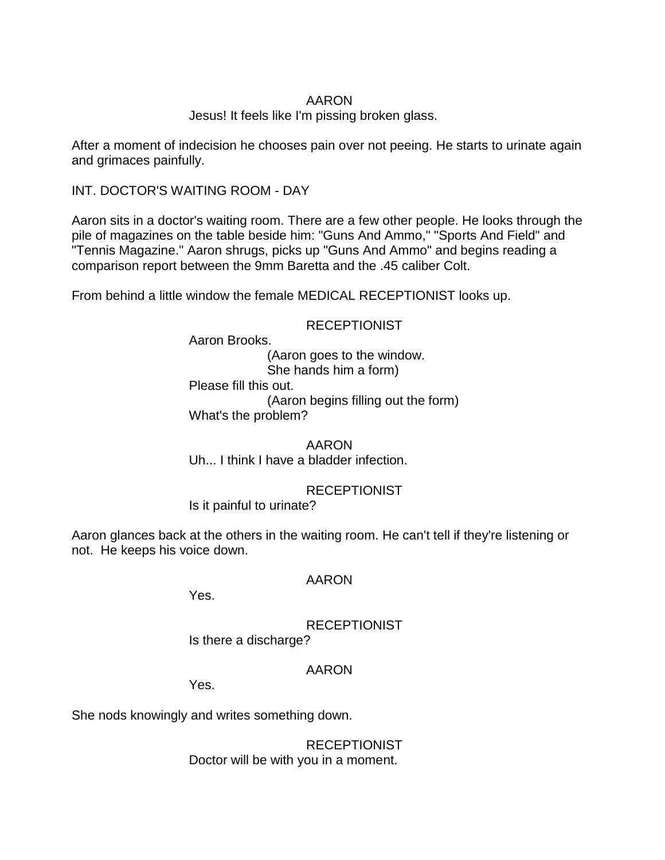Jesus! It feels like I'm pissing broken glass.

After a moment of indecision he chooses pain over not peeing. He starts to urinate again and grimaces painfully.

INT. DOCTOR'S WAITING ROOM - DAY

Aaron sits in a doctor's waiting room. There are a few other people. He looks through the pile of magazines on the table beside him: "Guns And Ammo," "Sports And Field" and "Tennis Magazine." Aaron shrugs, picks up "Guns And Ammo" and begins reading a comparison report between the 9mm Baretta and the .45 caliber Colt.

From behind a little window the female MEDICAL RECEPTIONIST looks up.

# **RECEPTIONIST**

Aaron Brooks.

(Aaron goes to the window. She hands him a form) Please fill this out. (Aaron begins filling out the form) What's the problem?

AARON Uh... I think I have a bladder infection.

**RECEPTIONIST** 

Is it painful to urinate?

Aaron glances back at the others in the waiting room. He can't tell if they're listening or not. He keeps his voice down.

# AARON

Yes.

**RECEPTIONIST** 

Is there a discharge?

# AARON

Yes.

She nods knowingly and writes something down.

RECEPTIONIST Doctor will be with you in a moment.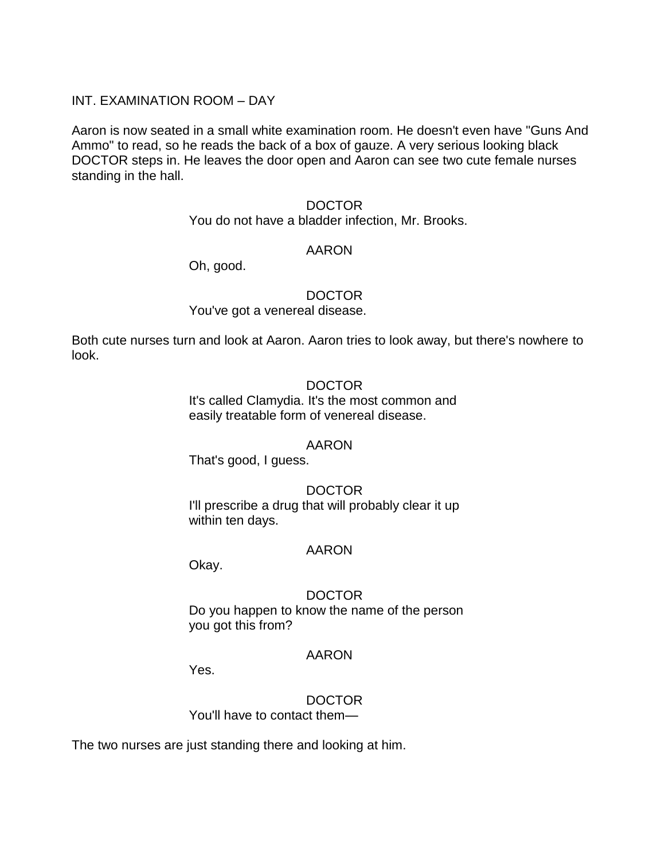### INT. EXAMINATION ROOM – DAY

Aaron is now seated in a small white examination room. He doesn't even have "Guns And Ammo" to read, so he reads the back of a box of gauze. A very serious looking black DOCTOR steps in. He leaves the door open and Aaron can see two cute female nurses standing in the hall.

#### DOCTOR

You do not have a bladder infection, Mr. Brooks.

### AARON

Oh, good.

#### DOCTOR

You've got a venereal disease.

Both cute nurses turn and look at Aaron. Aaron tries to look away, but there's nowhere to look.

#### **DOCTOR**

It's called Clamydia. It's the most common and easily treatable form of venereal disease.

#### AARON

That's good, I guess.

### DOCTOR

I'll prescribe a drug that will probably clear it up within ten days.

#### AARON

Okay.

### DOCTOR

Do you happen to know the name of the person you got this from?

#### AARON

Yes.

# DOCTOR

You'll have to contact them—

The two nurses are just standing there and looking at him.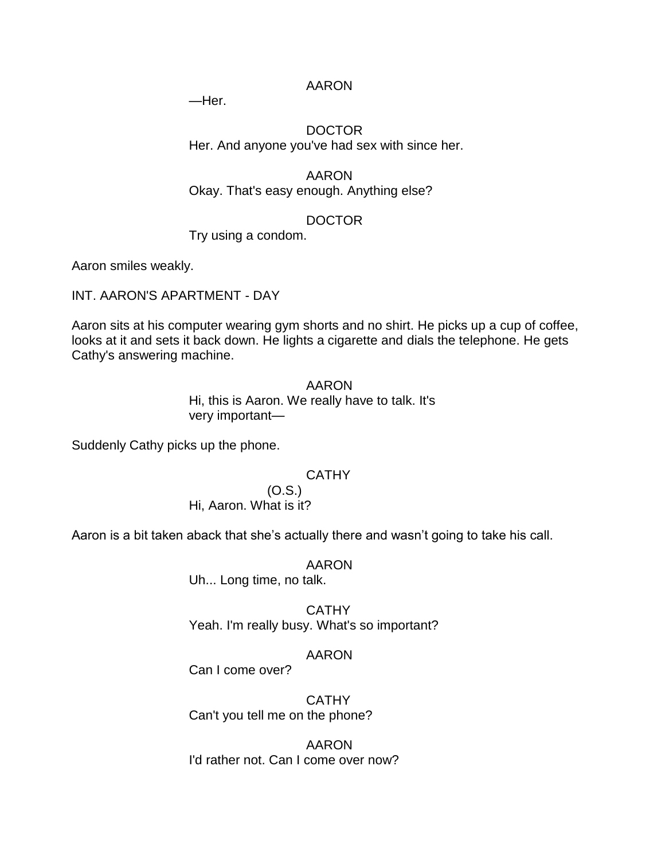—Her.

### DOCTOR Her. And anyone you've had sex with since her.

# AARON Okay. That's easy enough. Anything else?

# DOCTOR

Try using a condom.

Aaron smiles weakly.

INT. AARON'S APARTMENT - DAY

Aaron sits at his computer wearing gym shorts and no shirt. He picks up a cup of coffee, looks at it and sets it back down. He lights a cigarette and dials the telephone. He gets Cathy's answering machine.

> AARON Hi, this is Aaron. We really have to talk. It's very important—

Suddenly Cathy picks up the phone.

# **CATHY**

(O.S.) Hi, Aaron. What is it?

Aaron is a bit taken aback that she's actually there and wasn't going to take his call.

### AARON

Uh... Long time, no talk.

**CATHY** Yeah. I'm really busy. What's so important?

# AARON

Can I come over?

**CATHY** Can't you tell me on the phone?

AARON I'd rather not. Can I come over now?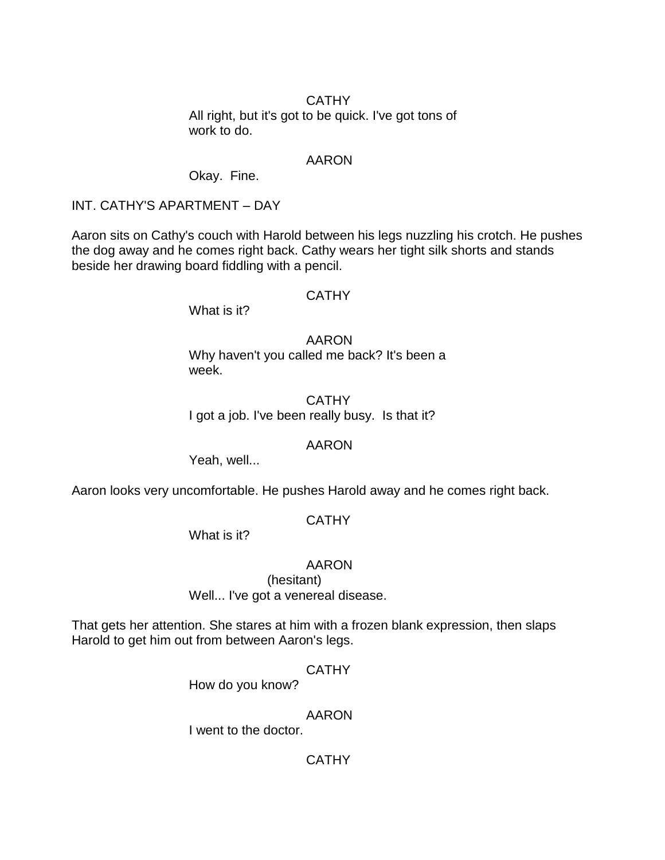### CATHY

All right, but it's got to be quick. I've got tons of work to do.

### AARON

Okay. Fine.

### INT. CATHY'S APARTMENT – DAY

Aaron sits on Cathy's couch with Harold between his legs nuzzling his crotch. He pushes the dog away and he comes right back. Cathy wears her tight silk shorts and stands beside her drawing board fiddling with a pencil.

### **CATHY**

What is it?

AARON Why haven't you called me back? It's been a week.

# **CATHY** I got a job. I've been really busy. Is that it?

# AARON

Yeah, well...

Aaron looks very uncomfortable. He pushes Harold away and he comes right back.

# **CATHY**

What is it?

### AARON

(hesitant) Well... I've got a venereal disease.

That gets her attention. She stares at him with a frozen blank expression, then slaps Harold to get him out from between Aaron's legs.

# **CATHY**

How do you know?

### AARON

I went to the doctor.

# **CATHY**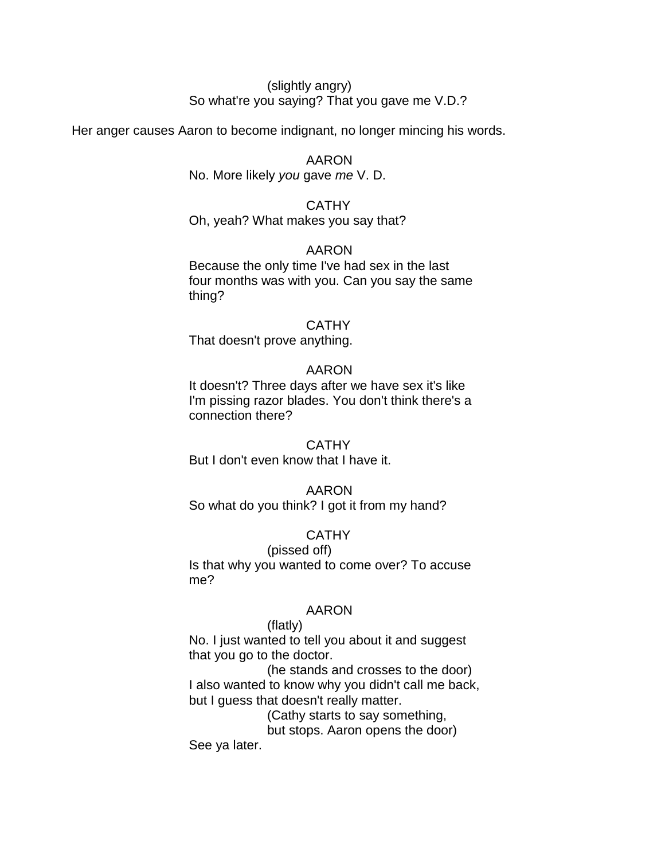### (slightly angry) So what're you saying? That you gave me V.D.?

Her anger causes Aaron to become indignant, no longer mincing his words.

AARON No. More likely *you* gave *me* V. D.

### **CATHY** Oh, yeah? What makes you say that?

### AARON

Because the only time I've had sex in the last four months was with you. Can you say the same thing?

### **CATHY**

That doesn't prove anything.

### AARON

It doesn't? Three days after we have sex it's like I'm pissing razor blades. You don't think there's a connection there?

# CATHY

But I don't even know that I have it.

# AARON

So what do you think? I got it from my hand?

# **CATHY**

(pissed off) Is that why you wanted to come over? To accuse me?

### AARON

#### (flatly)

No. I just wanted to tell you about it and suggest that you go to the doctor.

(he stands and crosses to the door) I also wanted to know why you didn't call me back, but I guess that doesn't really matter.

> (Cathy starts to say something, but stops. Aaron opens the door)

See ya later.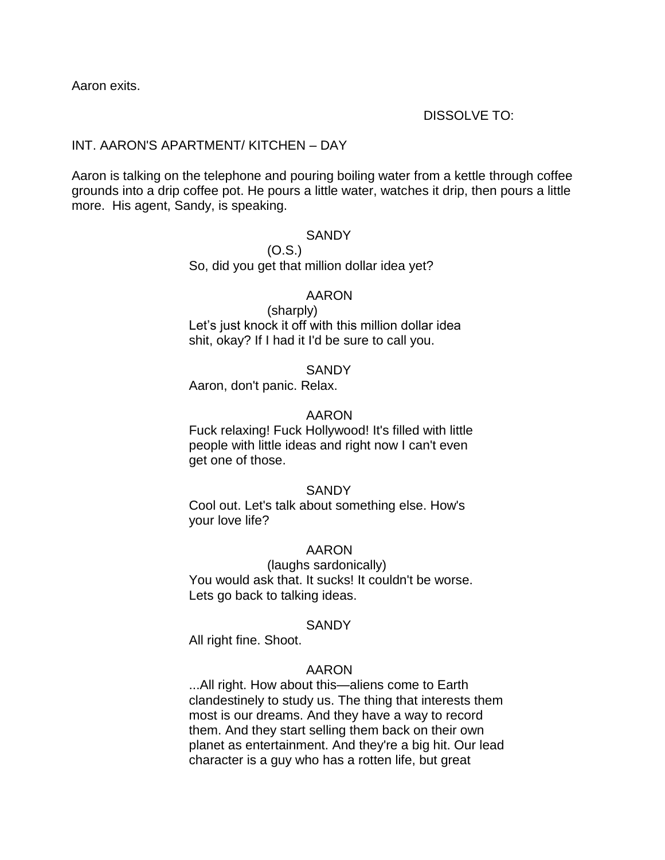Aaron exits.

### DISSOLVE TO:

### INT. AARON'S APARTMENT/ KITCHEN – DAY

Aaron is talking on the telephone and pouring boiling water from a kettle through coffee grounds into a drip coffee pot. He pours a little water, watches it drip, then pours a little more. His agent, Sandy, is speaking.

#### **SANDY**

(O.S.) So, did you get that million dollar idea yet?

#### AARON

(sharply) Let's just knock it off with this million dollar idea shit, okay? If I had it I'd be sure to call you.

#### **SANDY**

Aaron, don't panic. Relax.

#### AARON

Fuck relaxing! Fuck Hollywood! It's filled with little people with little ideas and right now I can't even get one of those.

#### SANDY

Cool out. Let's talk about something else. How's your love life?

#### AARON

(laughs sardonically) You would ask that. It sucks! It couldn't be worse. Lets go back to talking ideas.

#### **SANDY**

All right fine. Shoot.

### AARON

...All right. How about this—aliens come to Earth clandestinely to study us. The thing that interests them most is our dreams. And they have a way to record them. And they start selling them back on their own planet as entertainment. And they're a big hit. Our lead character is a guy who has a rotten life, but great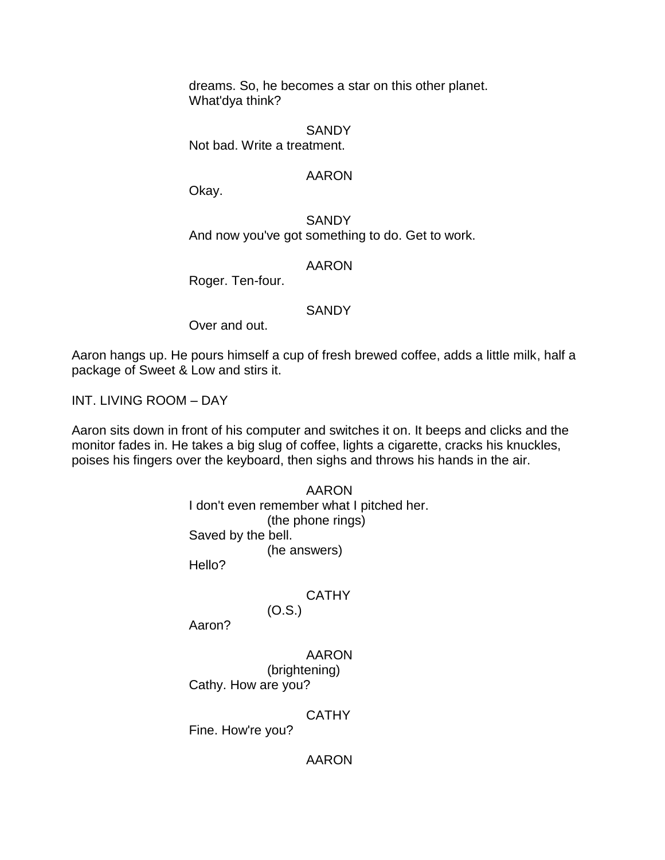dreams. So, he becomes a star on this other planet. What'dya think?

**SANDY** Not bad. Write a treatment.

### AARON

Okay.

**SANDY** And now you've got something to do. Get to work.

AARON

Roger. Ten-four.

### **SANDY**

Over and out.

Aaron hangs up. He pours himself a cup of fresh brewed coffee, adds a little milk, half a package of Sweet & Low and stirs it.

INT. LIVING ROOM – DAY

Aaron sits down in front of his computer and switches it on. It beeps and clicks and the monitor fades in. He takes a big slug of coffee, lights a cigarette, cracks his knuckles, poises his fingers over the keyboard, then sighs and throws his hands in the air.

> AARON I don't even remember what I pitched her. (the phone rings) Saved by the bell. (he answers) Hello?

> > **CATHY**

(O.S.)

Aaron?

AARON (brightening)

Cathy. How are you?

# **CATHY**

Fine. How're you?

AARON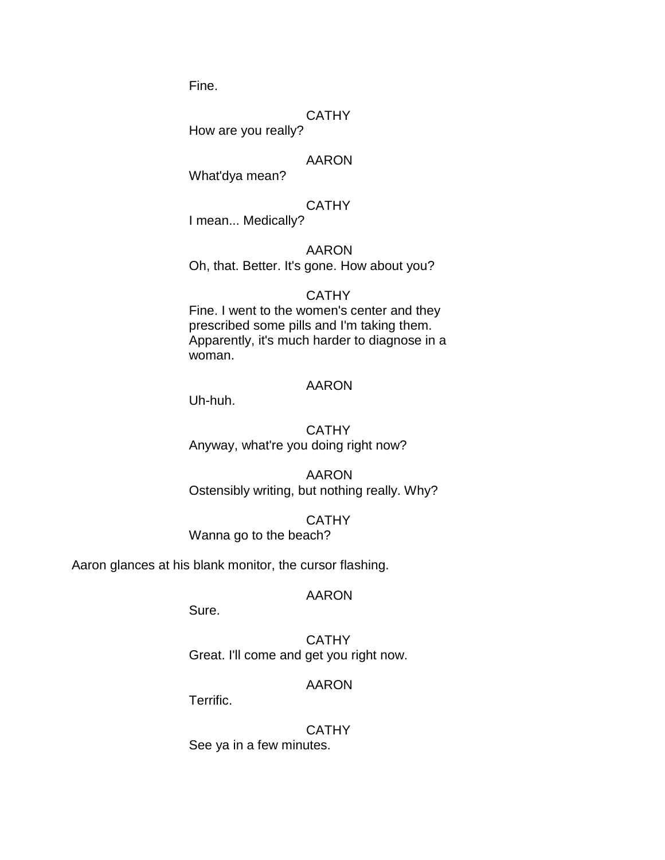Fine.

### **CATHY**

How are you really?

### AARON

What'dya mean?

### **CATHY**

I mean... Medically?

### AARON

Oh, that. Better. It's gone. How about you?

#### **CATHY**

Fine. I went to the women's center and they prescribed some pills and I'm taking them. Apparently, it's much harder to diagnose in a woman.

#### AARON

Uh-huh.

### **CATHY** Anyway, what're you doing right now?

AARON Ostensibly writing, but nothing really. Why?

### **CATHY**

Wanna go to the beach?

Aaron glances at his blank monitor, the cursor flashing.

#### AARON

Sure.

**CATHY** Great. I'll come and get you right now.

#### AARON

Terrific.

### **CATHY** See ya in a few minutes.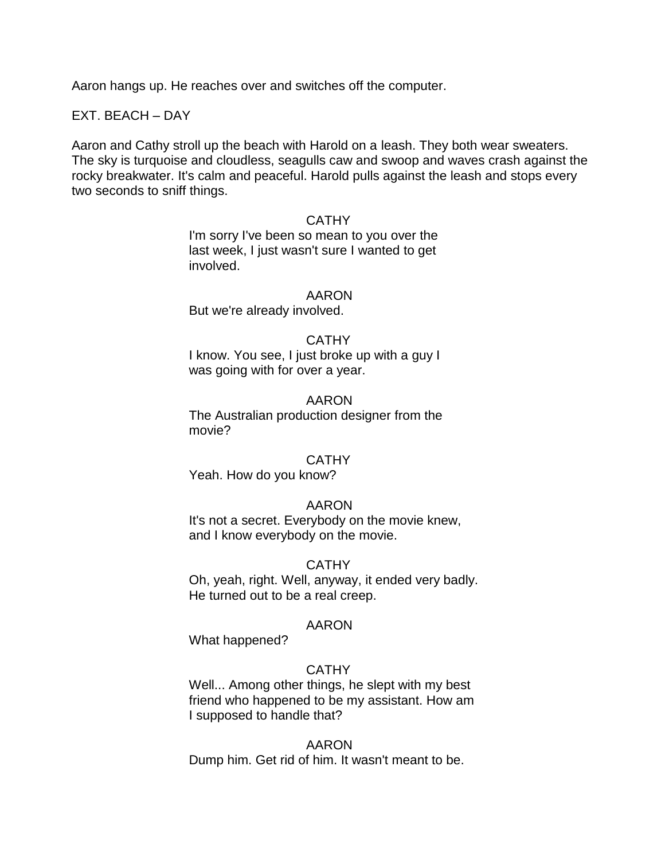Aaron hangs up. He reaches over and switches off the computer.

### EXT. BEACH – DAY

Aaron and Cathy stroll up the beach with Harold on a leash. They both wear sweaters. The sky is turquoise and cloudless, seagulls caw and swoop and waves crash against the rocky breakwater. It's calm and peaceful. Harold pulls against the leash and stops every two seconds to sniff things.

#### **CATHY**

I'm sorry I've been so mean to you over the last week, I just wasn't sure I wanted to get involved.

#### AARON

But we're already involved.

#### CATHY

I know. You see, I just broke up with a guy I was going with for over a year.

#### AARON

The Australian production designer from the movie?

#### **CATHY**

Yeah. How do you know?

#### AARON

It's not a secret. Everybody on the movie knew, and I know everybody on the movie.

#### CATHY

Oh, yeah, right. Well, anyway, it ended very badly. He turned out to be a real creep.

#### AARON

What happened?

### **CATHY**

Well... Among other things, he slept with my best friend who happened to be my assistant. How am I supposed to handle that?

#### AARON

Dump him. Get rid of him. It wasn't meant to be.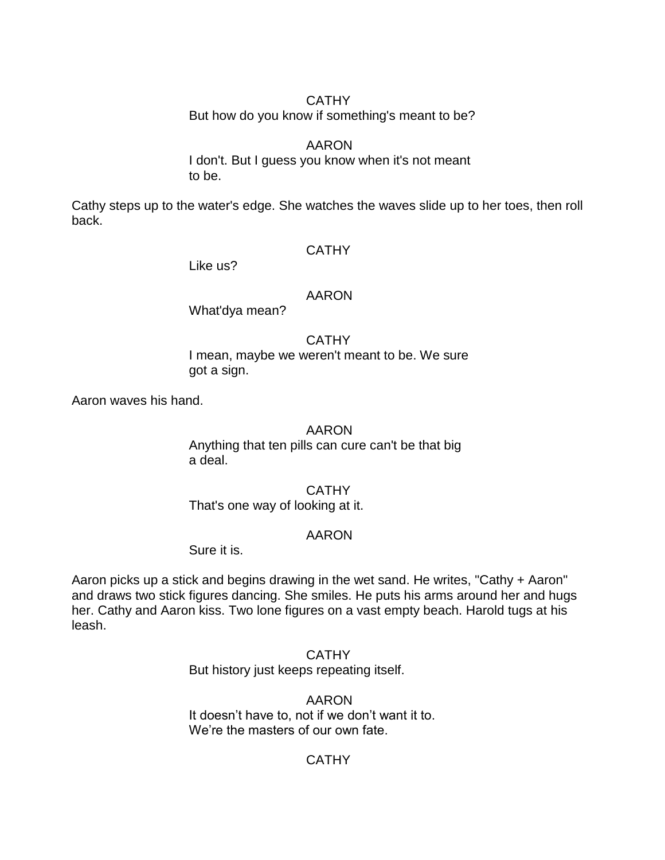### CATHY

But how do you know if something's meant to be?

# AARON

I don't. But I guess you know when it's not meant to be.

Cathy steps up to the water's edge. She watches the waves slide up to her toes, then roll back.

### **CATHY**

Like us?

### AARON

What'dya mean?

**CATHY** I mean, maybe we weren't meant to be. We sure got a sign.

Aaron waves his hand.

#### AARON

Anything that ten pills can cure can't be that big a deal.

### CATHY

That's one way of looking at it.

# AARON

Sure it is.

Aaron picks up a stick and begins drawing in the wet sand. He writes, "Cathy + Aaron" and draws two stick figures dancing. She smiles. He puts his arms around her and hugs her. Cathy and Aaron kiss. Two lone figures on a vast empty beach. Harold tugs at his leash.

> **CATHY** But history just keeps repeating itself.

AARON It doesn't have to, not if we don't want it to. We're the masters of our own fate.

# **CATHY**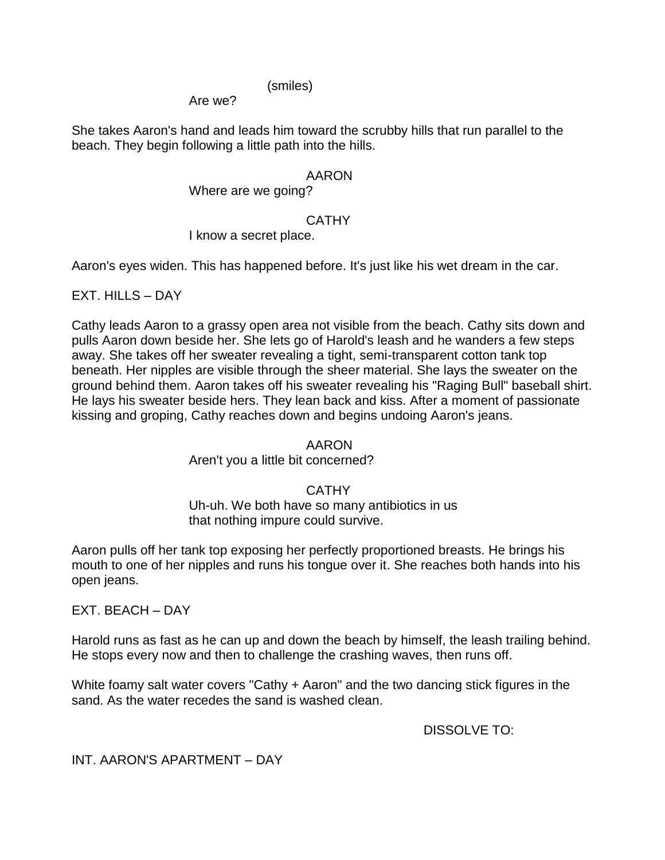### (smiles)

Are we?

She takes Aaron's hand and leads him toward the scrubby hills that run parallel to the beach. They begin following a little path into the hills.

# AARON

Where are we going?

# **CATHY**

I know a secret place.

Aaron's eyes widen. This has happened before. It's just like his wet dream in the car.

 $EXT$ . HILLS – DAY

Cathy leads Aaron to a grassy open area not visible from the beach. Cathy sits down and pulls Aaron down beside her. She lets go of Harold's leash and he wanders a few steps away. She takes off her sweater revealing a tight, semi-transparent cotton tank top beneath. Her nipples are visible through the sheer material. She lays the sweater on the ground behind them. Aaron takes off his sweater revealing his "Raging Bull" baseball shirt. He lays his sweater beside hers. They lean back and kiss. After a moment of passionate kissing and groping, Cathy reaches down and begins undoing Aaron's jeans.

# AARON

Aren't you a little bit concerned?

# CATHY

Uh-uh. We both have so many antibiotics in us that nothing impure could survive.

Aaron pulls off her tank top exposing her perfectly proportioned breasts. He brings his mouth to one of her nipples and runs his tongue over it. She reaches both hands into his open jeans.

EXT. BEACH – DAY

Harold runs as fast as he can up and down the beach by himself, the leash trailing behind. He stops every now and then to challenge the crashing waves, then runs off.

White foamy salt water covers "Cathy + Aaron" and the two dancing stick figures in the sand. As the water recedes the sand is washed clean.

DISSOLVE TO:

INT. AARON'S APARTMENT – DAY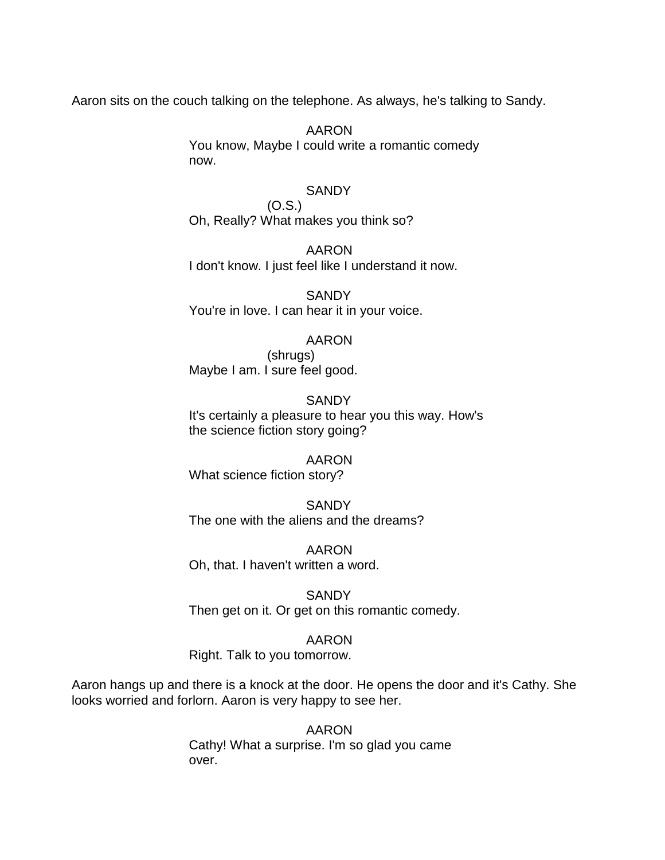Aaron sits on the couch talking on the telephone. As always, he's talking to Sandy.

AARON You know, Maybe I could write a romantic comedy now.

### **SANDY**

(O.S.) Oh, Really? What makes you think so?

AARON I don't know. I just feel like I understand it now.

**SANDY** You're in love. I can hear it in your voice.

### AARON

(shrugs) Maybe I am. I sure feel good.

#### **SANDY**

It's certainly a pleasure to hear you this way. How's the science fiction story going?

# AARON

What science fiction story?

**SANDY** The one with the aliens and the dreams?

AARON Oh, that. I haven't written a word.

**SANDY** Then get on it. Or get on this romantic comedy.

### AARON

Right. Talk to you tomorrow.

Aaron hangs up and there is a knock at the door. He opens the door and it's Cathy. She looks worried and forlorn. Aaron is very happy to see her.

> AARON Cathy! What a surprise. I'm so glad you came over.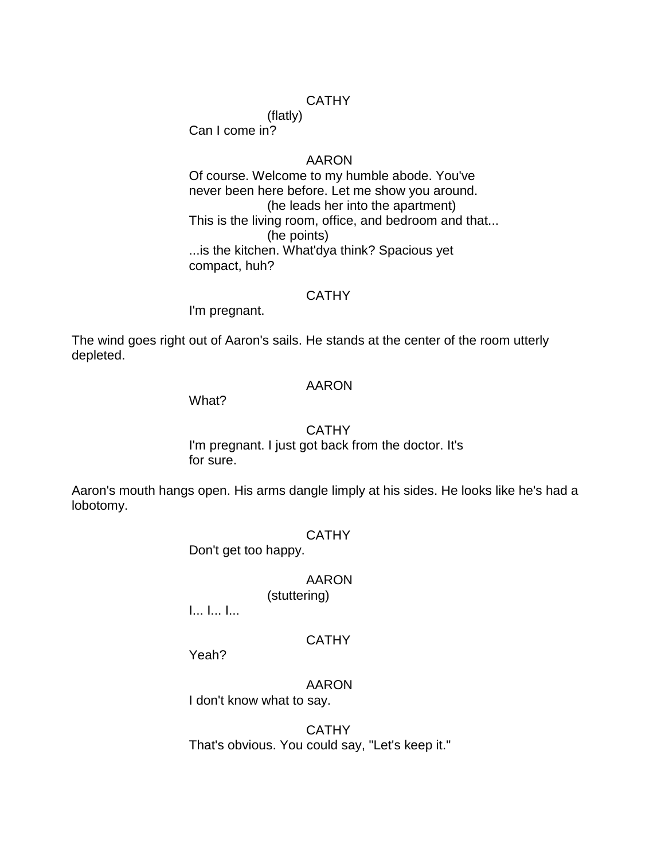### **CATHY**

(flatly)

Can I come in?

#### AARON

Of course. Welcome to my humble abode. You've never been here before. Let me show you around. (he leads her into the apartment) This is the living room, office, and bedroom and that... (he points) ...is the kitchen. What'dya think? Spacious yet compact, huh?

### **CATHY**

I'm pregnant.

The wind goes right out of Aaron's sails. He stands at the center of the room utterly depleted.

### AARON

What?

#### CATHY

I'm pregnant. I just got back from the doctor. It's for sure.

Aaron's mouth hangs open. His arms dangle limply at his sides. He looks like he's had a lobotomy.

#### **CATHY**

Don't get too happy.

### AARON

(stuttering)

I... I... I...

### **CATHY**

Yeah?

AARON

I don't know what to say.

**CATHY** That's obvious. You could say, "Let's keep it."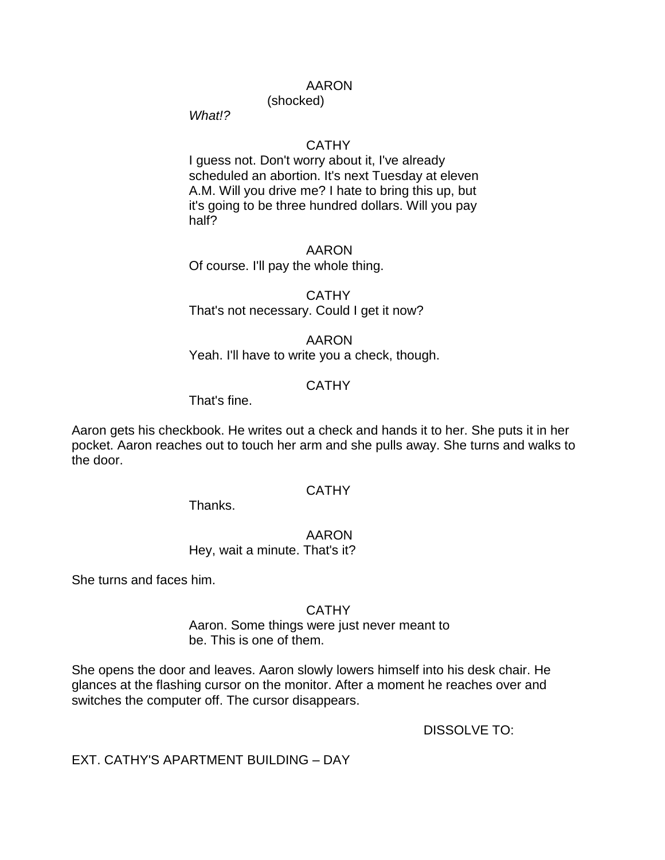(shocked)

*What!?*

### **CATHY**

I guess not. Don't worry about it, I've already scheduled an abortion. It's next Tuesday at eleven A.M. Will you drive me? I hate to bring this up, but it's going to be three hundred dollars. Will you pay half?

#### AARON

Of course. I'll pay the whole thing.

# **CATHY** That's not necessary. Could I get it now?

AARON Yeah. I'll have to write you a check, though.

### **CATHY**

That's fine.

Aaron gets his checkbook. He writes out a check and hands it to her. She puts it in her pocket. Aaron reaches out to touch her arm and she pulls away. She turns and walks to the door.

### **CATHY**

Thanks.

AARON Hey, wait a minute. That's it?

She turns and faces him.

### **CATHY**

Aaron. Some things were just never meant to be. This is one of them.

She opens the door and leaves. Aaron slowly lowers himself into his desk chair. He glances at the flashing cursor on the monitor. After a moment he reaches over and switches the computer off. The cursor disappears.

DISSOLVE TO:

EXT. CATHY'S APARTMENT BUILDING – DAY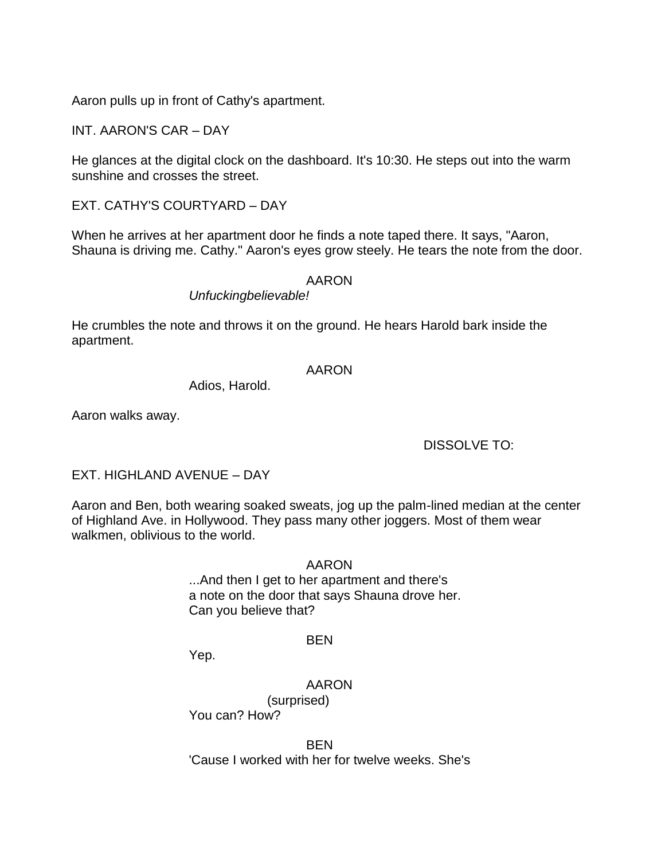Aaron pulls up in front of Cathy's apartment.

INT. AARON'S CAR – DAY

He glances at the digital clock on the dashboard. It's 10:30. He steps out into the warm sunshine and crosses the street.

EXT. CATHY'S COURTYARD – DAY

When he arrives at her apartment door he finds a note taped there. It says, "Aaron, Shauna is driving me. Cathy." Aaron's eyes grow steely. He tears the note from the door.

### AARON

*Unfuckingbelievable!*

He crumbles the note and throws it on the ground. He hears Harold bark inside the apartment.

#### AARON

Adios, Harold.

Aaron walks away.

# DISSOLVE TO:

EXT. HIGHLAND AVENUE – DAY

Aaron and Ben, both wearing soaked sweats, jog up the palm-lined median at the center of Highland Ave. in Hollywood. They pass many other joggers. Most of them wear walkmen, oblivious to the world.

AARON

...And then I get to her apartment and there's a note on the door that says Shauna drove her. Can you believe that?

#### BEN

Yep.

AARON (surprised)

You can? How?

BEN 'Cause I worked with her for twelve weeks. She's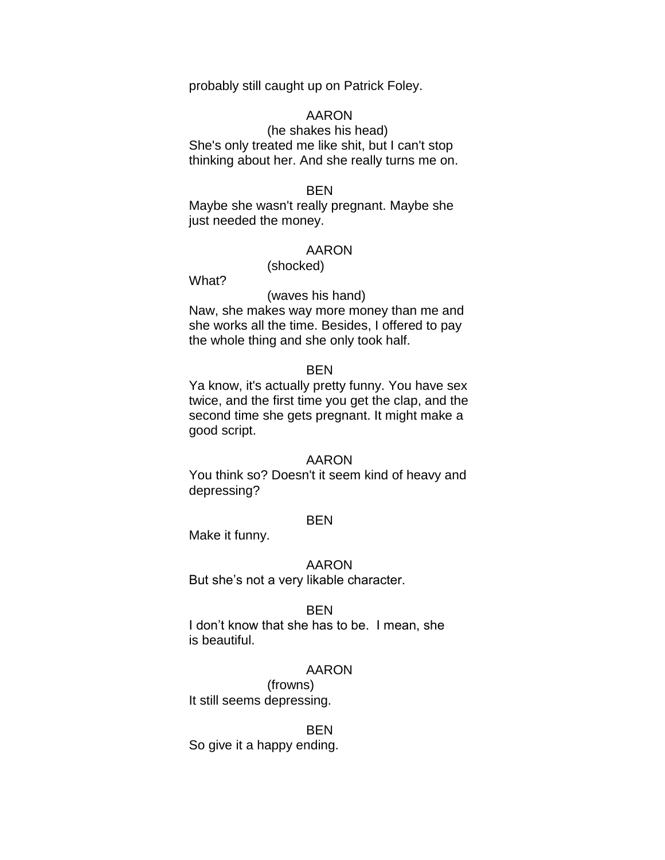probably still caught up on Patrick Foley.

### AARON

(he shakes his head) She's only treated me like shit, but I can't stop thinking about her. And she really turns me on.

#### BEN

Maybe she wasn't really pregnant. Maybe she just needed the money.

#### AARON

(shocked)

What?

#### (waves his hand)

Naw, she makes way more money than me and she works all the time. Besides, I offered to pay the whole thing and she only took half.

#### **BFN**

Ya know, it's actually pretty funny. You have sex twice, and the first time you get the clap, and the second time she gets pregnant. It might make a good script.

#### AARON

You think so? Doesn't it seem kind of heavy and depressing?

#### **BEN**

Make it funny.

#### AARON

But she's not a very likable character.

#### BEN

I don't know that she has to be. I mean, she is beautiful.

#### AARON

(frowns) It still seems depressing.

#### BEN

So give it a happy ending.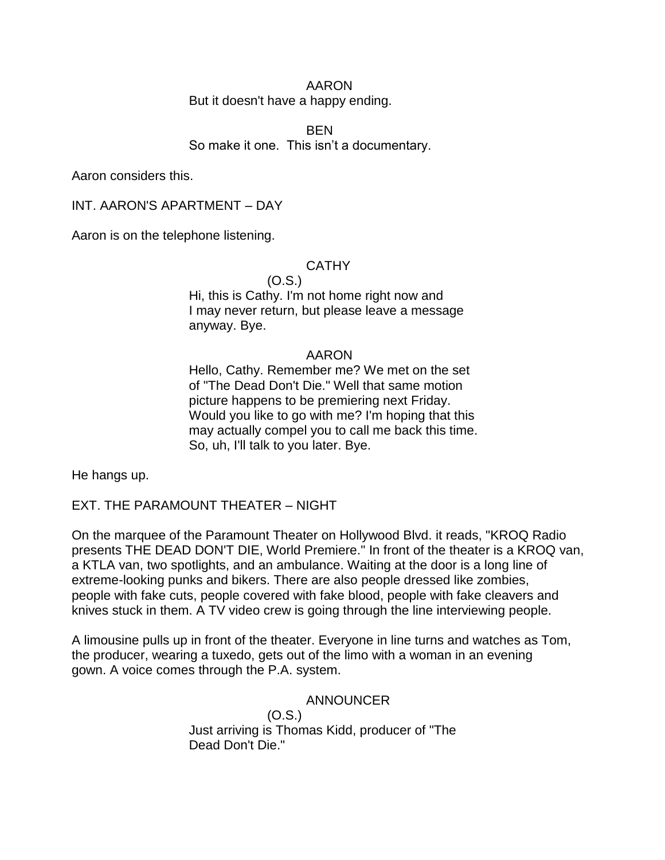# But it doesn't have a happy ending.

BEN So make it one. This isn't a documentary.

Aaron considers this.

INT. AARON'S APARTMENT – DAY

Aaron is on the telephone listening.

### **CATHY**

#### (O.S.)

Hi, this is Cathy. I'm not home right now and I may never return, but please leave a message anyway. Bye.

### AARON

Hello, Cathy. Remember me? We met on the set of "The Dead Don't Die." Well that same motion picture happens to be premiering next Friday. Would you like to go with me? I'm hoping that this may actually compel you to call me back this time. So, uh, I'll talk to you later. Bye.

He hangs up.

EXT. THE PARAMOUNT THEATER – NIGHT

On the marquee of the Paramount Theater on Hollywood Blvd. it reads, "KROQ Radio presents THE DEAD DON'T DIE, World Premiere." In front of the theater is a KROQ van, a KTLA van, two spotlights, and an ambulance. Waiting at the door is a long line of extreme-looking punks and bikers. There are also people dressed like zombies, people with fake cuts, people covered with fake blood, people with fake cleavers and knives stuck in them. A TV video crew is going through the line interviewing people.

A limousine pulls up in front of the theater. Everyone in line turns and watches as Tom, the producer, wearing a tuxedo, gets out of the limo with a woman in an evening gown. A voice comes through the P.A. system.

# ANNOUNCER

(O.S.) Just arriving is Thomas Kidd, producer of "The Dead Don't Die."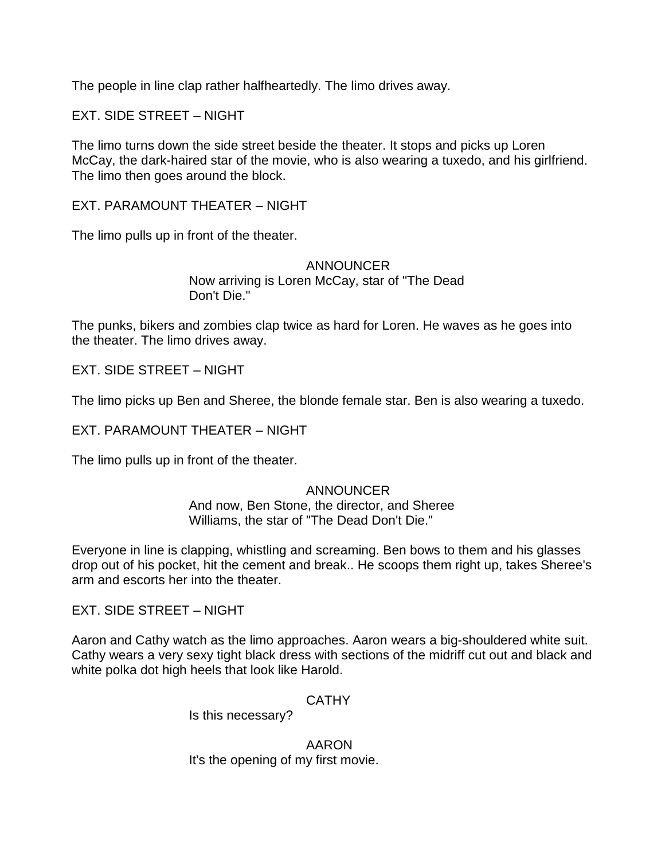The people in line clap rather halfheartedly. The limo drives away.

EXT. SIDE STREET – NIGHT

The limo turns down the side street beside the theater. It stops and picks up Loren McCay, the dark-haired star of the movie, who is also wearing a tuxedo, and his girlfriend. The limo then goes around the block.

EXT. PARAMOUNT THEATER – NIGHT

The limo pulls up in front of the theater.

ANNOUNCER Now arriving is Loren McCay, star of "The Dead Don't Die."

The punks, bikers and zombies clap twice as hard for Loren. He waves as he goes into the theater. The limo drives away.

EXT. SIDE STREET – NIGHT

The limo picks up Ben and Sheree, the blonde female star. Ben is also wearing a tuxedo.

EXT. PARAMOUNT THEATER – NIGHT

The limo pulls up in front of the theater.

# ANNOUNCER

And now, Ben Stone, the director, and Sheree Williams, the star of "The Dead Don't Die."

Everyone in line is clapping, whistling and screaming. Ben bows to them and his glasses drop out of his pocket, hit the cement and break.. He scoops them right up, takes Sheree's arm and escorts her into the theater.

EXT. SIDE STREET – NIGHT

Aaron and Cathy watch as the limo approaches. Aaron wears a big-shouldered white suit. Cathy wears a very sexy tight black dress with sections of the midriff cut out and black and white polka dot high heels that look like Harold.

**CATHY** 

Is this necessary?

AARON It's the opening of my first movie.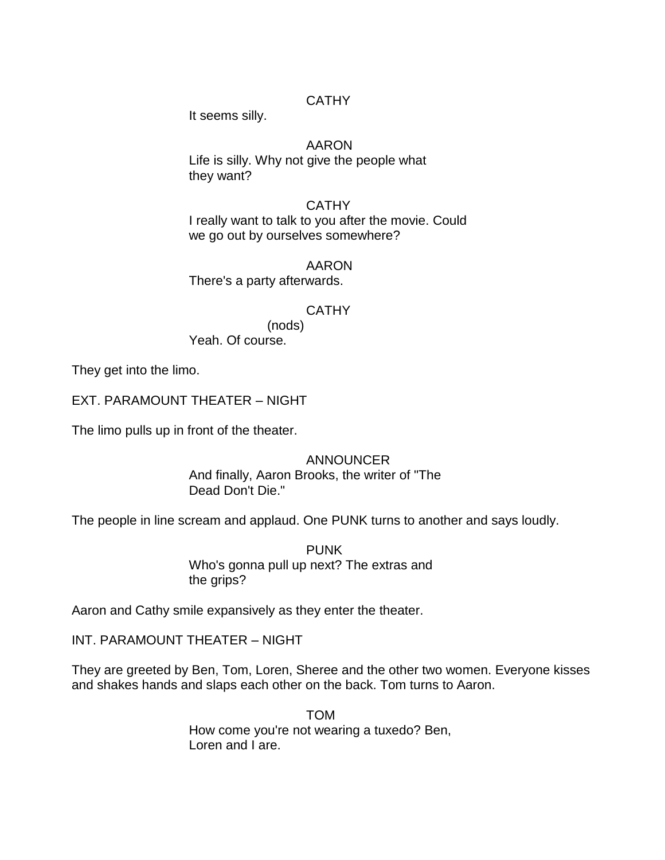## CATHY

It seems silly.

## AARON

Life is silly. Why not give the people what they want?

## **CATHY**

I really want to talk to you after the movie. Could we go out by ourselves somewhere?

AARON

There's a party afterwards.

## **CATHY**

(nods)

Yeah. Of course.

They get into the limo.

EXT. PARAMOUNT THEATER – NIGHT

The limo pulls up in front of the theater.

## ANNOUNCER

And finally, Aaron Brooks, the writer of "The Dead Don't Die."

The people in line scream and applaud. One PUNK turns to another and says loudly.

PUNK Who's gonna pull up next? The extras and the grips?

Aaron and Cathy smile expansively as they enter the theater.

INT. PARAMOUNT THEATER – NIGHT

They are greeted by Ben, Tom, Loren, Sheree and the other two women. Everyone kisses and shakes hands and slaps each other on the back. Tom turns to Aaron.

> TOM How come you're not wearing a tuxedo? Ben, Loren and I are.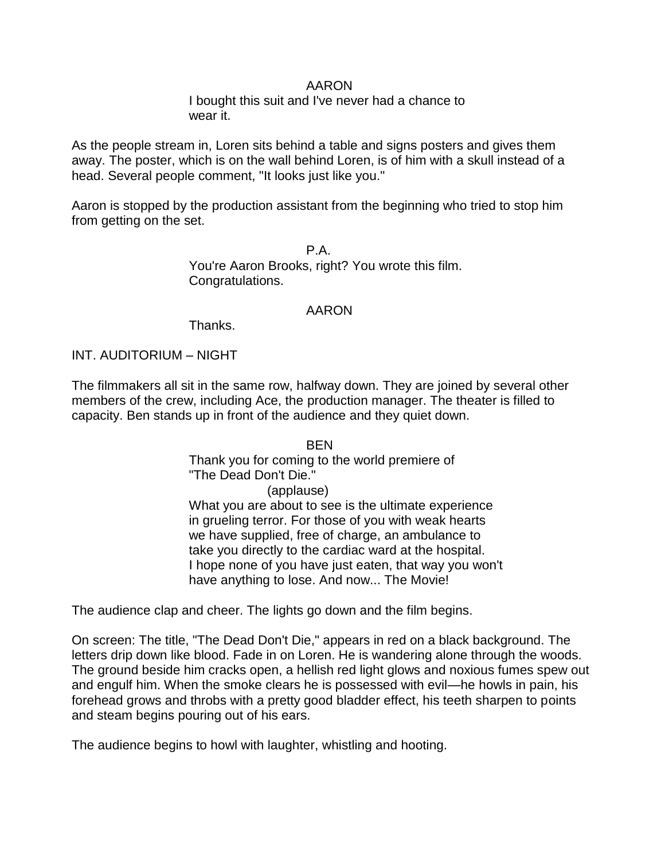## AARON

I bought this suit and I've never had a chance to wear it.

As the people stream in, Loren sits behind a table and signs posters and gives them away. The poster, which is on the wall behind Loren, is of him with a skull instead of a head. Several people comment, "It looks just like you."

Aaron is stopped by the production assistant from the beginning who tried to stop him from getting on the set.

> P A You're Aaron Brooks, right? You wrote this film. Congratulations.

## AARON

**Thanks** 

INT. AUDITORIUM – NIGHT

The filmmakers all sit in the same row, halfway down. They are joined by several other members of the crew, including Ace, the production manager. The theater is filled to capacity. Ben stands up in front of the audience and they quiet down.

> **BEN** Thank you for coming to the world premiere of "The Dead Don't Die."

(applause)

What you are about to see is the ultimate experience in grueling terror. For those of you with weak hearts we have supplied, free of charge, an ambulance to take you directly to the cardiac ward at the hospital. I hope none of you have just eaten, that way you won't have anything to lose. And now... The Movie!

The audience clap and cheer. The lights go down and the film begins.

On screen: The title, "The Dead Don't Die," appears in red on a black background. The letters drip down like blood. Fade in on Loren. He is wandering alone through the woods. The ground beside him cracks open, a hellish red light glows and noxious fumes spew out and engulf him. When the smoke clears he is possessed with evil—he howls in pain, his forehead grows and throbs with a pretty good bladder effect, his teeth sharpen to points and steam begins pouring out of his ears.

The audience begins to howl with laughter, whistling and hooting.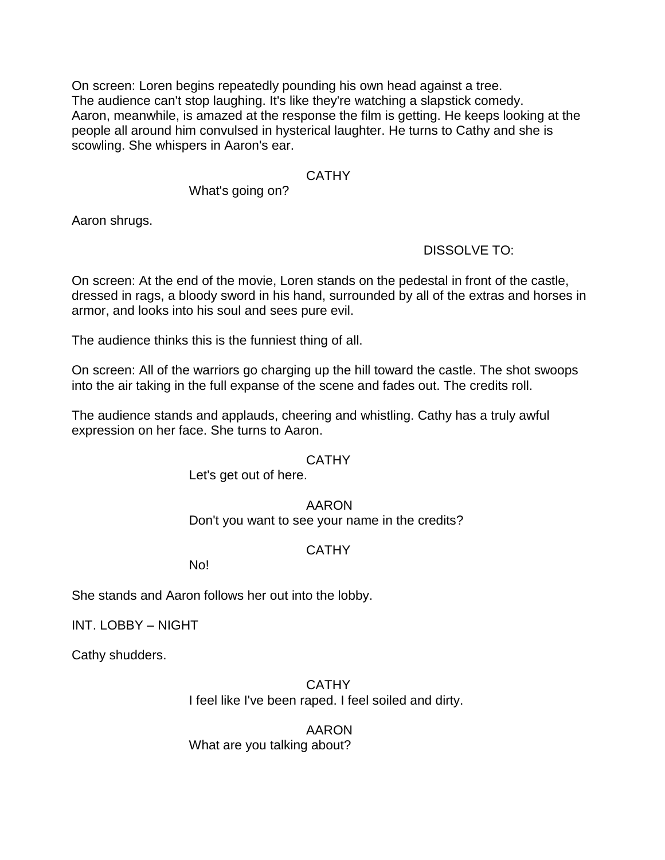On screen: Loren begins repeatedly pounding his own head against a tree. The audience can't stop laughing. It's like they're watching a slapstick comedy. Aaron, meanwhile, is amazed at the response the film is getting. He keeps looking at the people all around him convulsed in hysterical laughter. He turns to Cathy and she is scowling. She whispers in Aaron's ear.

## **CATHY**

## What's going on?

Aaron shrugs.

## DISSOLVE TO:

On screen: At the end of the movie, Loren stands on the pedestal in front of the castle, dressed in rags, a bloody sword in his hand, surrounded by all of the extras and horses in armor, and looks into his soul and sees pure evil.

The audience thinks this is the funniest thing of all.

On screen: All of the warriors go charging up the hill toward the castle. The shot swoops into the air taking in the full expanse of the scene and fades out. The credits roll.

The audience stands and applauds, cheering and whistling. Cathy has a truly awful expression on her face. She turns to Aaron.

## **CATHY**

Let's get out of here.

## AARON

Don't you want to see your name in the credits?

## CATHY

No!

She stands and Aaron follows her out into the lobby.

INT. LOBBY – NIGHT

Cathy shudders.

CATHY I feel like I've been raped. I feel soiled and dirty.

AARON What are you talking about?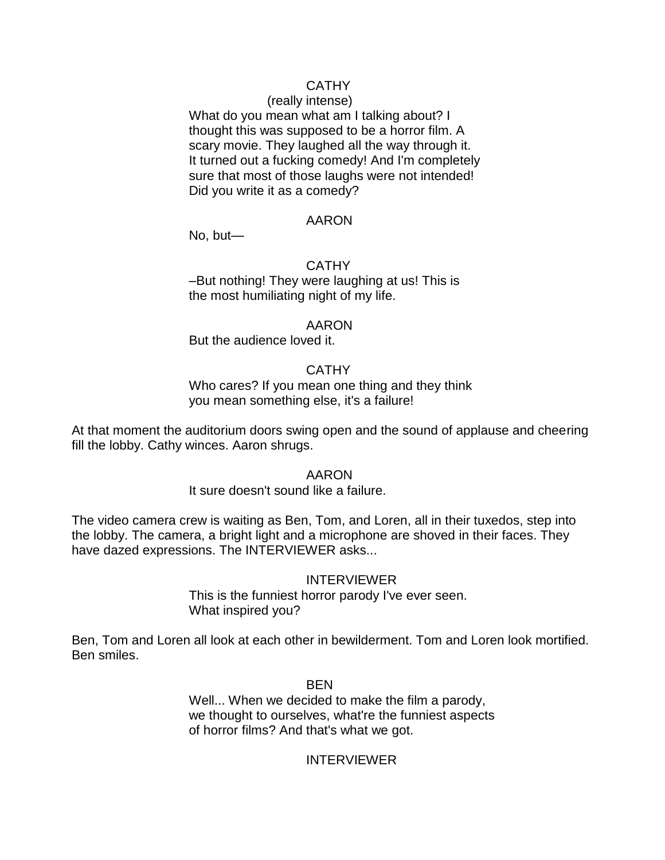## CATHY

#### (really intense)

What do you mean what am I talking about? I thought this was supposed to be a horror film. A scary movie. They laughed all the way through it. It turned out a fucking comedy! And I'm completely sure that most of those laughs were not intended! Did you write it as a comedy?

#### AARON

No, but—

#### **CATHY**

–But nothing! They were laughing at us! This is the most humiliating night of my life.

#### AARON

But the audience loved it.

## **CATHY**

Who cares? If you mean one thing and they think you mean something else, it's a failure!

At that moment the auditorium doors swing open and the sound of applause and cheering fill the lobby. Cathy winces. Aaron shrugs.

#### AARON

#### It sure doesn't sound like a failure.

The video camera crew is waiting as Ben, Tom, and Loren, all in their tuxedos, step into the lobby. The camera, a bright light and a microphone are shoved in their faces. They have dazed expressions. The INTERVIEWER asks...

## INTERVIEWER

This is the funniest horror parody I've ever seen. What inspired you?

Ben, Tom and Loren all look at each other in bewilderment. Tom and Loren look mortified. Ben smiles.

#### BEN

Well... When we decided to make the film a parody, we thought to ourselves, what're the funniest aspects of horror films? And that's what we got.

## INTERVIEWER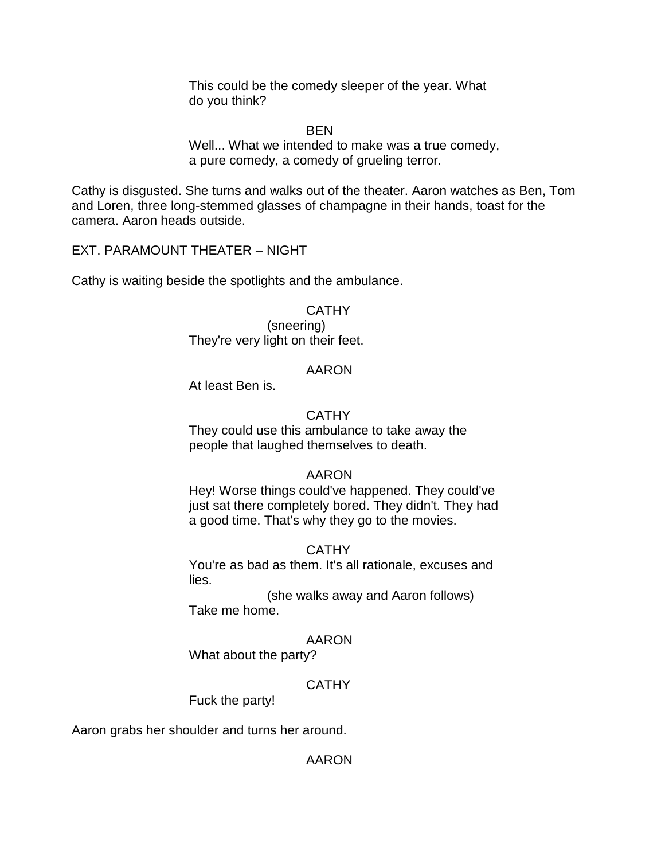This could be the comedy sleeper of the year. What do you think?

BEN

Well... What we intended to make was a true comedy, a pure comedy, a comedy of grueling terror.

Cathy is disgusted. She turns and walks out of the theater. Aaron watches as Ben, Tom and Loren, three long-stemmed glasses of champagne in their hands, toast for the camera. Aaron heads outside.

EXT. PARAMOUNT THEATER – NIGHT

Cathy is waiting beside the spotlights and the ambulance.

## **CATHY**

(sneering) They're very light on their feet.

#### AARON

At least Ben is.

## **CATHY**

They could use this ambulance to take away the people that laughed themselves to death.

## AARON

Hey! Worse things could've happened. They could've just sat there completely bored. They didn't. They had a good time. That's why they go to the movies.

## **CATHY**

You're as bad as them. It's all rationale, excuses and lies.

(she walks away and Aaron follows) Take me home.

## AARON

What about the party?

## CATHY

Fuck the party!

Aaron grabs her shoulder and turns her around.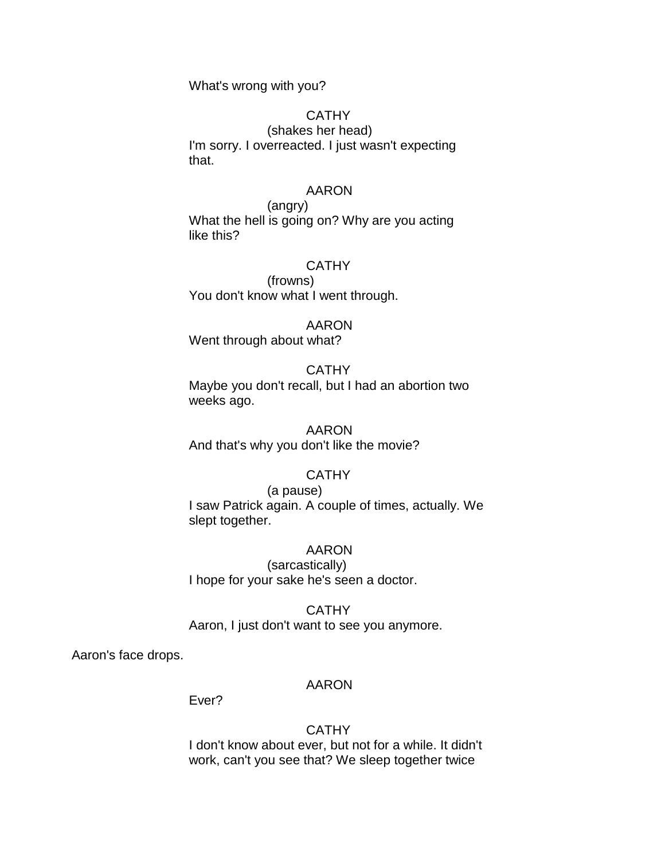What's wrong with you?

## **CATHY**

(shakes her head) I'm sorry. I overreacted. I just wasn't expecting that.

## AARON

(angry) What the hell is going on? Why are you acting like this?

#### **CATHY**

(frowns) You don't know what I went through.

#### AARON

Went through about what?

#### **CATHY**

Maybe you don't recall, but I had an abortion two weeks ago.

AARON And that's why you don't like the movie?

## **CATHY**

(a pause) I saw Patrick again. A couple of times, actually. We slept together.

## AARON

(sarcastically) I hope for your sake he's seen a doctor.

#### **CATHY** Aaron, I just don't want to see you anymore.

Aaron's face drops.

#### AARON

Ever?

#### **CATHY**

I don't know about ever, but not for a while. It didn't work, can't you see that? We sleep together twice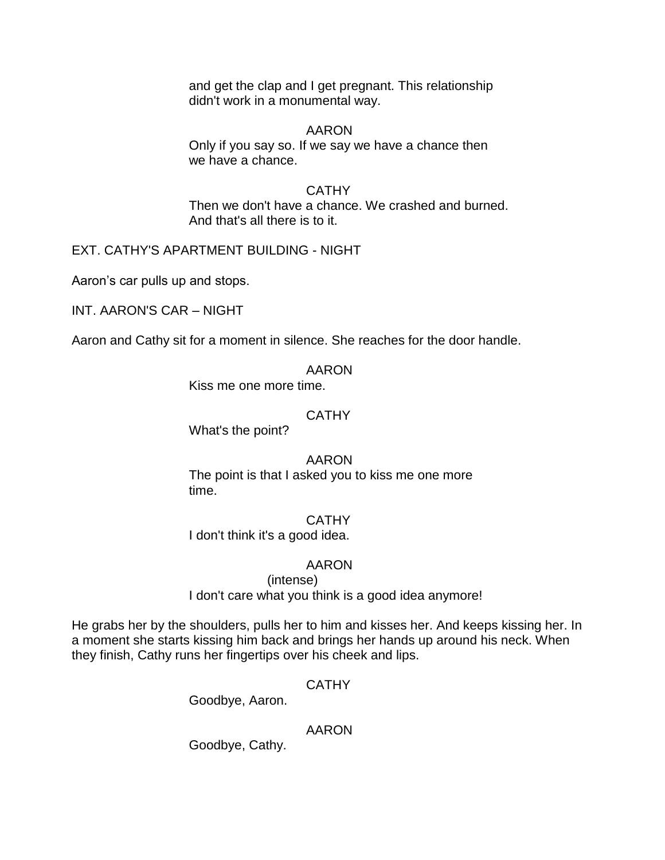and get the clap and I get pregnant. This relationship didn't work in a monumental way.

## AARON

Only if you say so. If we say we have a chance then we have a chance.

## **CATHY**

Then we don't have a chance. We crashed and burned. And that's all there is to it.

## EXT. CATHY'S APARTMENT BUILDING - NIGHT

Aaron's car pulls up and stops.

INT. AARON'S CAR – NIGHT

Aaron and Cathy sit for a moment in silence. She reaches for the door handle.

#### AARON

Kiss me one more time.

## **CATHY**

What's the point?

## AARON

The point is that I asked you to kiss me one more time.

## **CATHY**

I don't think it's a good idea.

## AARON

(intense) I don't care what you think is a good idea anymore!

He grabs her by the shoulders, pulls her to him and kisses her. And keeps kissing her. In a moment she starts kissing him back and brings her hands up around his neck. When they finish, Cathy runs her fingertips over his cheek and lips.

## CATHY

Goodbye, Aaron.

## AARON

Goodbye, Cathy.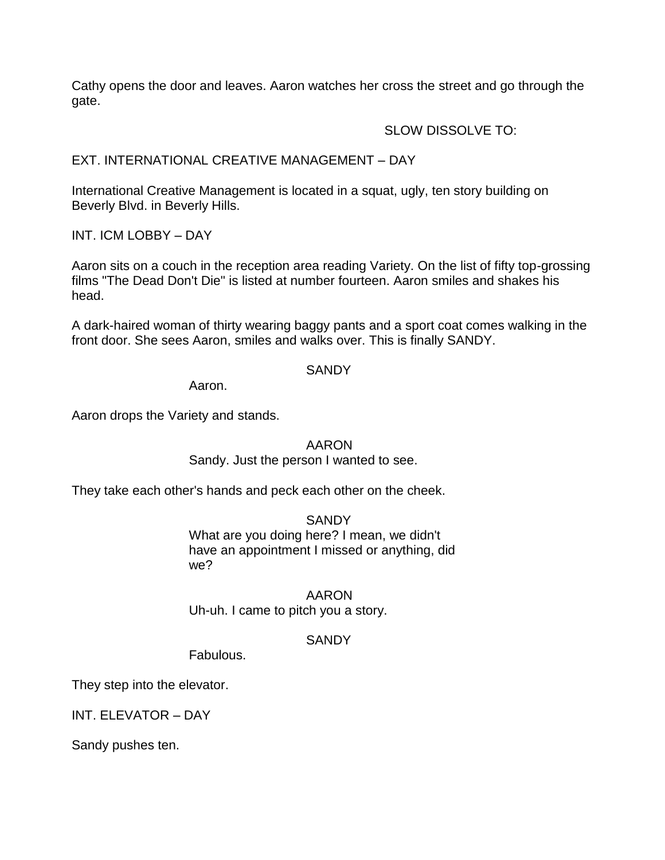Cathy opens the door and leaves. Aaron watches her cross the street and go through the gate.

## SLOW DISSOLVE TO:

## EXT. INTERNATIONAL CREATIVE MANAGEMENT – DAY

International Creative Management is located in a squat, ugly, ten story building on Beverly Blvd. in Beverly Hills.

INT. ICM LOBBY – DAY

Aaron sits on a couch in the reception area reading Variety. On the list of fifty top-grossing films "The Dead Don't Die" is listed at number fourteen. Aaron smiles and shakes his head.

A dark-haired woman of thirty wearing baggy pants and a sport coat comes walking in the front door. She sees Aaron, smiles and walks over. This is finally SANDY.

## **SANDY**

Aaron.

Aaron drops the Variety and stands.

## AARON

## Sandy. Just the person I wanted to see.

They take each other's hands and peck each other on the cheek.

## **SANDY**

What are you doing here? I mean, we didn't have an appointment I missed or anything, did we?

## AARON Uh-uh. I came to pitch you a story.

## **SANDY**

Fabulous.

They step into the elevator.

INT. ELEVATOR – DAY

Sandy pushes ten.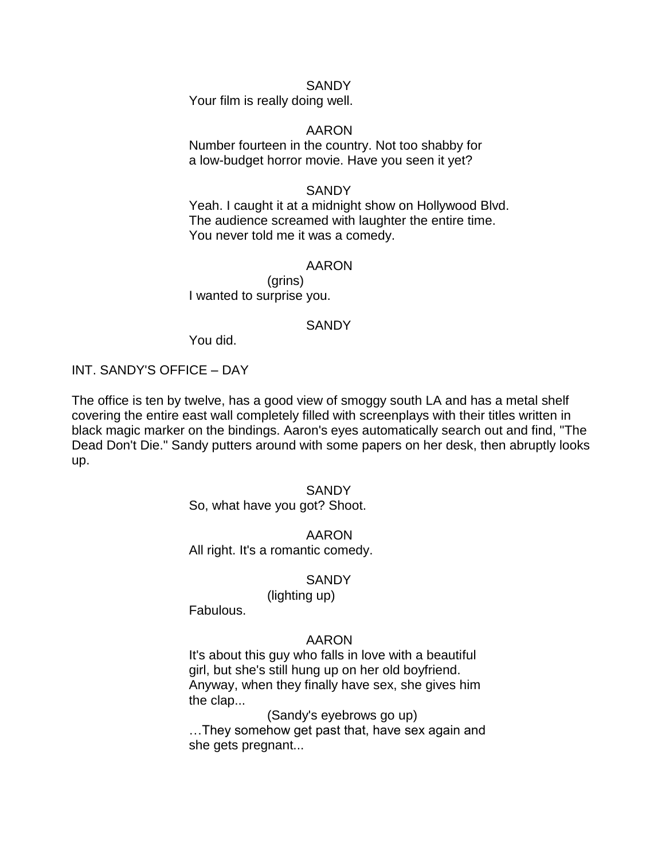#### SANDY

Your film is really doing well.

## AARON

Number fourteen in the country. Not too shabby for a low-budget horror movie. Have you seen it yet?

#### **SANDY**

Yeah. I caught it at a midnight show on Hollywood Blvd. The audience screamed with laughter the entire time. You never told me it was a comedy.

#### AARON

(grins) I wanted to surprise you.

#### **SANDY**

You did.

## INT. SANDY'S OFFICE – DAY

The office is ten by twelve, has a good view of smoggy south LA and has a metal shelf covering the entire east wall completely filled with screenplays with their titles written in black magic marker on the bindings. Aaron's eyes automatically search out and find, "The Dead Don't Die." Sandy putters around with some papers on her desk, then abruptly looks up.

## **SANDY**

So, what have you got? Shoot.

#### AARON

All right. It's a romantic comedy.

#### **SANDY**

#### (lighting up)

Fabulous.

#### AARON

It's about this guy who falls in love with a beautiful girl, but she's still hung up on her old boyfriend. Anyway, when they finally have sex, she gives him the clap...

(Sandy's eyebrows go up)

…They somehow get past that, have sex again and she gets pregnant...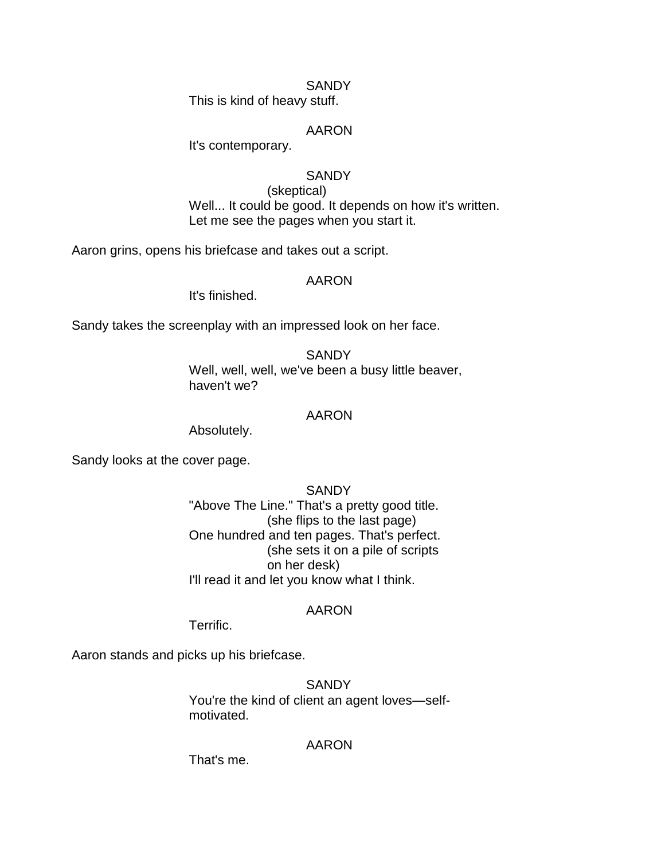#### SANDY

This is kind of heavy stuff.

## AARON

It's contemporary.

## **SANDY**

(skeptical) Well... It could be good. It depends on how it's written. Let me see the pages when you start it.

Aaron grins, opens his briefcase and takes out a script.

## AARON

It's finished.

Sandy takes the screenplay with an impressed look on her face.

**SANDY** Well, well, well, we've been a busy little beaver, haven't we?

#### AARON

Absolutely.

Sandy looks at the cover page.

**SANDY** "Above The Line." That's a pretty good title. (she flips to the last page) One hundred and ten pages. That's perfect. (she sets it on a pile of scripts on her desk) I'll read it and let you know what I think.

## AARON

Terrific.

Aaron stands and picks up his briefcase.

**SANDY** You're the kind of client an agent loves—selfmotivated.

## AARON

That's me.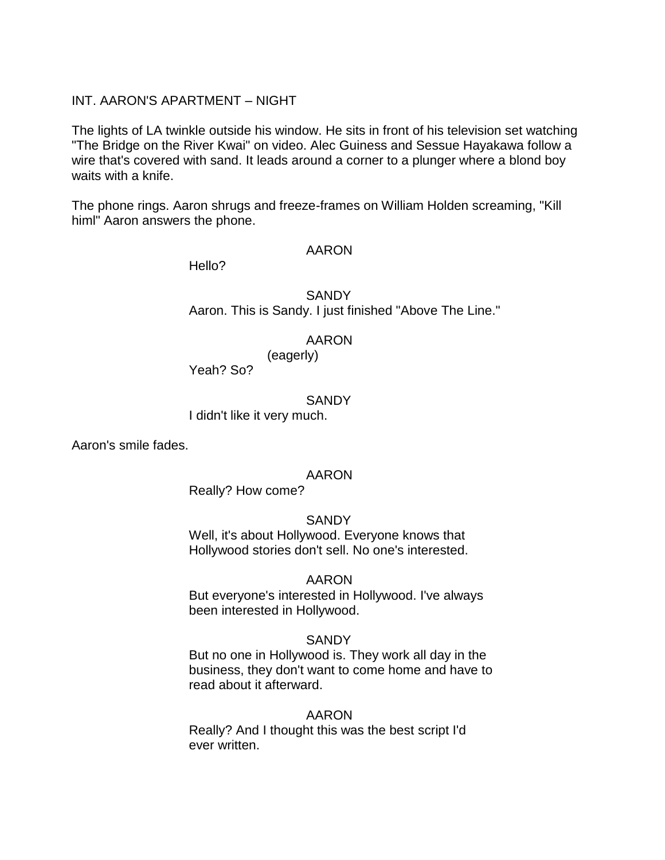## INT. AARON'S APARTMENT – NIGHT

The lights of LA twinkle outside his window. He sits in front of his television set watching "The Bridge on the River Kwai" on video. Alec Guiness and Sessue Hayakawa follow a wire that's covered with sand. It leads around a corner to a plunger where a blond boy waits with a knife.

The phone rings. Aaron shrugs and freeze-frames on William Holden screaming, "Kill himl" Aaron answers the phone.

#### AARON

Hello?

**SANDY** Aaron. This is Sandy. I just finished "Above The Line."

## AARON

(eagerly)

Yeah? So?

#### **SANDY**

I didn't like it very much.

Aaron's smile fades.

## AARON

Really? How come?

## **SANDY**

Well, it's about Hollywood. Everyone knows that Hollywood stories don't sell. No one's interested.

## AARON

But everyone's interested in Hollywood. I've always been interested in Hollywood.

## **SANDY**

But no one in Hollywood is. They work all day in the business, they don't want to come home and have to read about it afterward.

## AARON

Really? And I thought this was the best script I'd ever written.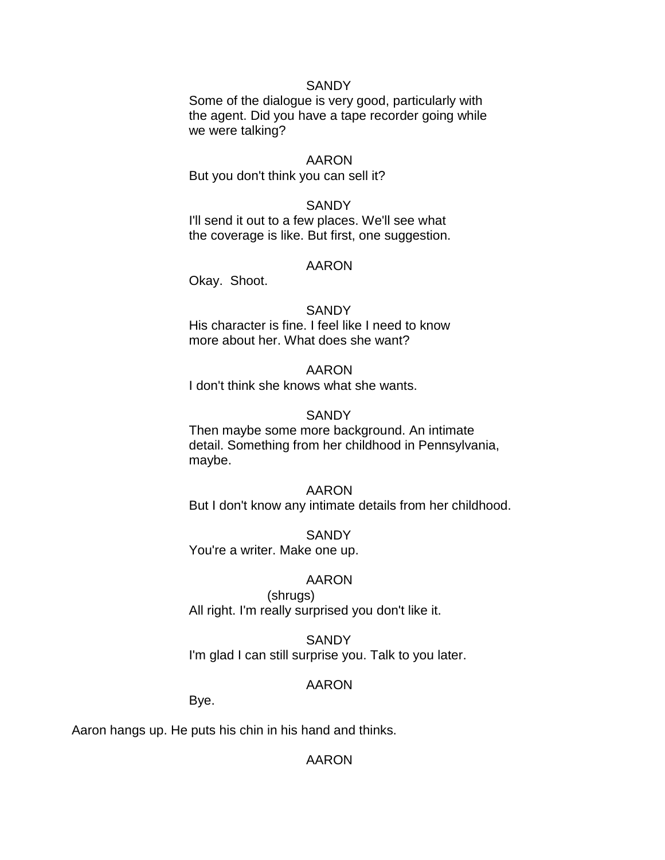#### **SANDY**

Some of the dialogue is very good, particularly with the agent. Did you have a tape recorder going while we were talking?

#### AARON

But you don't think you can sell it?

#### **SANDY**

I'll send it out to a few places. We'll see what the coverage is like. But first, one suggestion.

#### AARON

Okay. Shoot.

#### **SANDY**

His character is fine. I feel like I need to know more about her. What does she want?

#### AARON

I don't think she knows what she wants.

#### **SANDY**

Then maybe some more background. An intimate detail. Something from her childhood in Pennsylvania, maybe.

#### AARON

But I don't know any intimate details from her childhood.

**SANDY** You're a writer. Make one up.

#### AARON

(shrugs) All right. I'm really surprised you don't like it.

**SANDY** I'm glad I can still surprise you. Talk to you later.

#### AARON

Bye.

Aaron hangs up. He puts his chin in his hand and thinks.

## AARON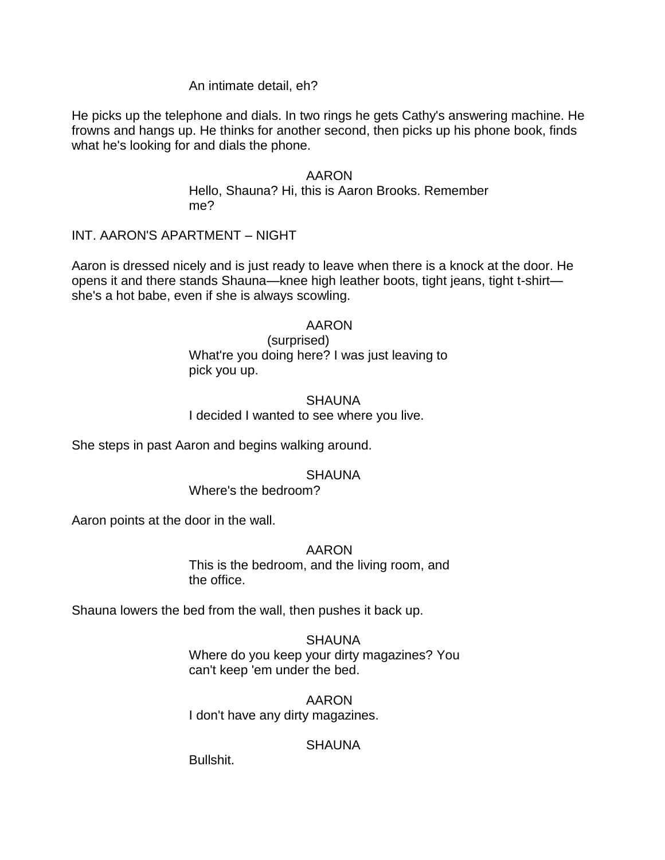## An intimate detail, eh?

He picks up the telephone and dials. In two rings he gets Cathy's answering machine. He frowns and hangs up. He thinks for another second, then picks up his phone book, finds what he's looking for and dials the phone.

#### AARON

Hello, Shauna? Hi, this is Aaron Brooks. Remember me?

## INT. AARON'S APARTMENT – NIGHT

Aaron is dressed nicely and is just ready to leave when there is a knock at the door. He opens it and there stands Shauna—knee high leather boots, tight jeans, tight t-shirt she's a hot babe, even if she is always scowling.

## AARON

(surprised) What're you doing here? I was just leaving to pick you up.

## **SHAUNA**

I decided I wanted to see where you live.

She steps in past Aaron and begins walking around.

## **SHAUNA**

#### Where's the bedroom?

Aaron points at the door in the wall.

#### AARON

This is the bedroom, and the living room, and the office.

Shauna lowers the bed from the wall, then pushes it back up.

SHAUNA Where do you keep your dirty magazines? You can't keep 'em under the bed.

## AARON I don't have any dirty magazines.

## **SHAUNA**

Bullshit.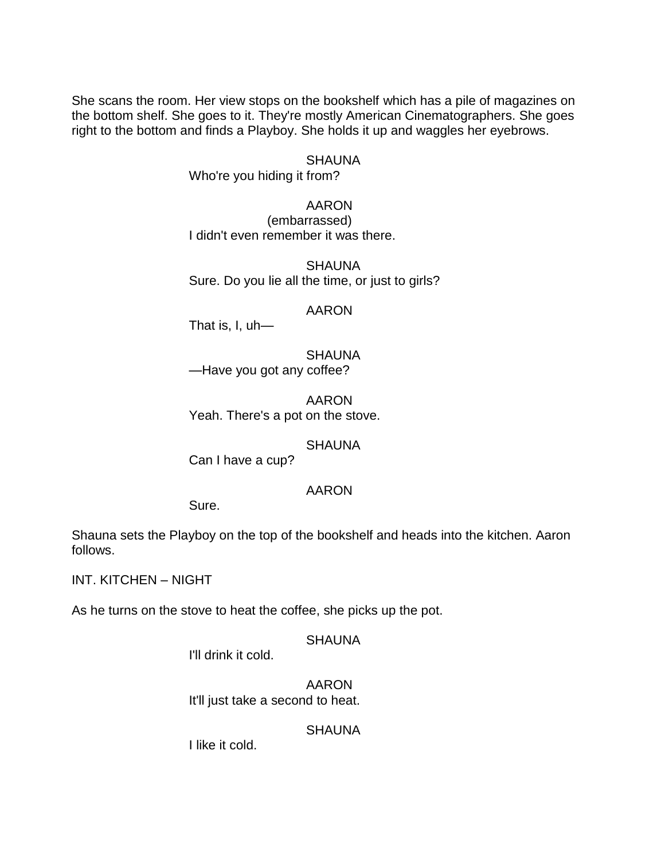She scans the room. Her view stops on the bookshelf which has a pile of magazines on the bottom shelf. She goes to it. They're mostly American Cinematographers. She goes right to the bottom and finds a Playboy. She holds it up and waggles her eyebrows.

## SHAUNA

Who're you hiding it from?

AARON (embarrassed) I didn't even remember it was there.

**SHAUNA** Sure. Do you lie all the time, or just to girls?

## AARON

That is, I, uh—

**SHAUNA** —Have you got any coffee?

AARON Yeah. There's a pot on the stove.

## **SHAUNA**

Can I have a cup?

## AARON

Sure.

Shauna sets the Playboy on the top of the bookshelf and heads into the kitchen. Aaron follows.

INT. KITCHEN – NIGHT

As he turns on the stove to heat the coffee, she picks up the pot.

#### **SHAUNA**

I'll drink it cold.

AARON It'll just take a second to heat.

## **SHAUNA**

I like it cold.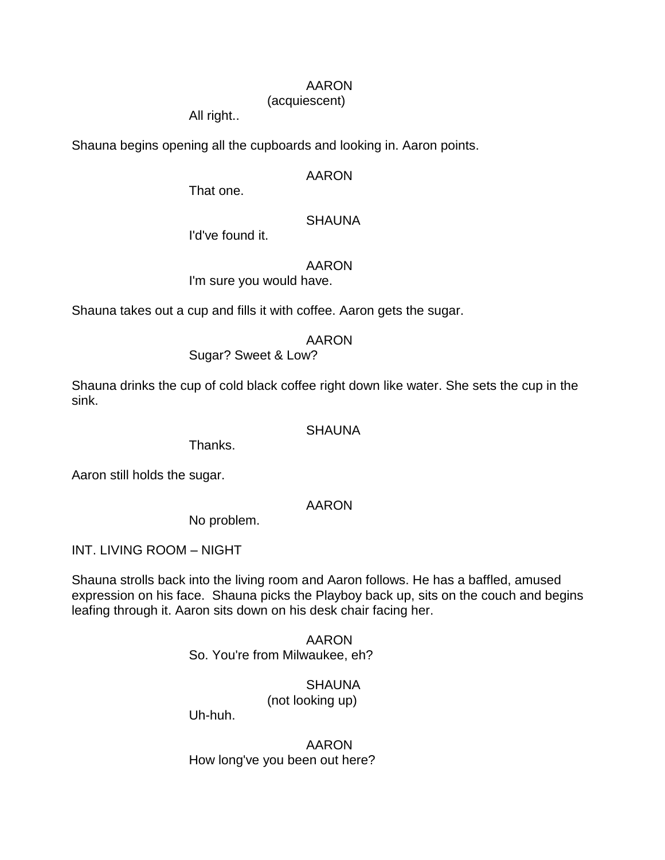## AARON

## (acquiescent)

All right..

Shauna begins opening all the cupboards and looking in. Aaron points.

## AARON

That one.

## **SHAUNA**

I'd've found it.

## AARON

I'm sure you would have.

Shauna takes out a cup and fills it with coffee. Aaron gets the sugar.

## AARON

Sugar? Sweet & Low?

Shauna drinks the cup of cold black coffee right down like water. She sets the cup in the sink.

## **SHAUNA**

Thanks.

Aaron still holds the sugar.

## AARON

No problem.

INT. LIVING ROOM – NIGHT

Shauna strolls back into the living room and Aaron follows. He has a baffled, amused expression on his face. Shauna picks the Playboy back up, sits on the couch and begins leafing through it. Aaron sits down on his desk chair facing her.

> AARON So. You're from Milwaukee, eh?

> > **SHAUNA**

(not looking up)

Uh-huh.

AARON How long've you been out here?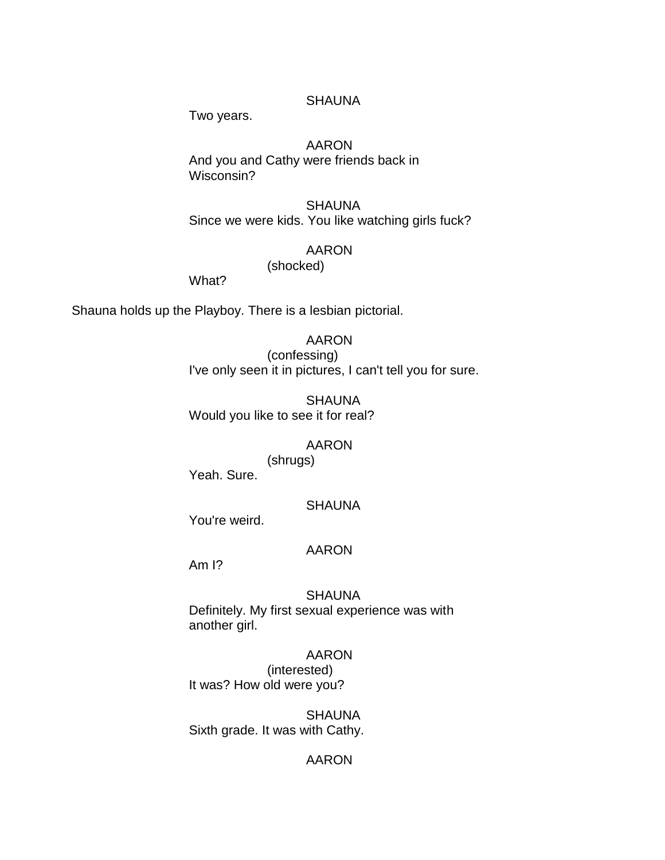## **SHAUNA**

Two years.

## AARON

And you and Cathy were friends back in Wisconsin?

**SHAUNA** Since we were kids. You like watching girls fuck?

#### AARON

(shocked)

What?

Shauna holds up the Playboy. There is a lesbian pictorial.

## AARON

(confessing) I've only seen it in pictures, I can't tell you for sure.

SHAUNA Would you like to see it for real?

#### AARON

(shrugs) Yeah. Sure.

#### **SHAUNA**

You're weird.

#### AARON

Am I?

## SHAUNA

Definitely. My first sexual experience was with another girl.

#### AARON

(interested) It was? How old were you?

SHAUNA Sixth grade. It was with Cathy.

## AARON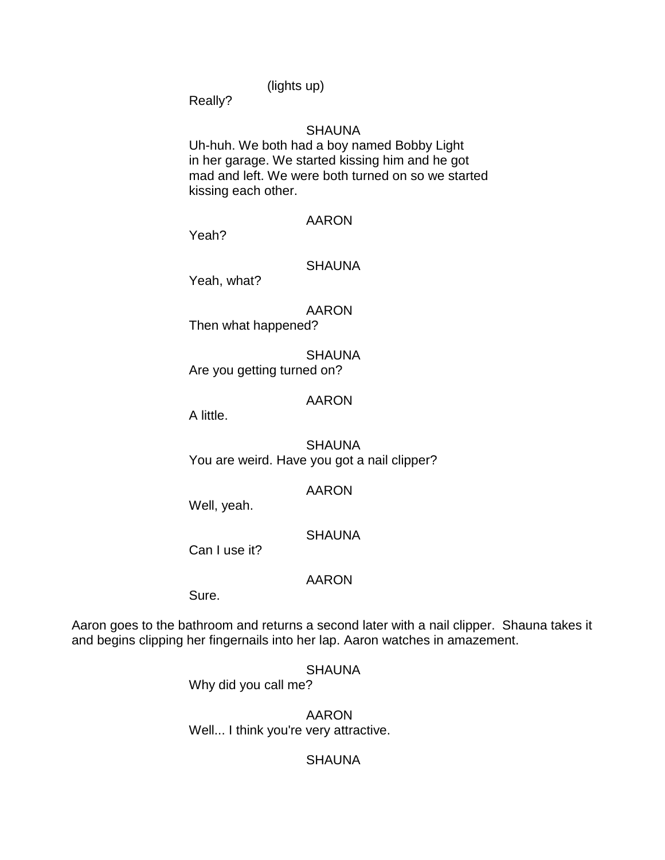(lights up)

Really?

## **SHAUNA**

Uh-huh. We both had a boy named Bobby Light in her garage. We started kissing him and he got mad and left. We were both turned on so we started kissing each other.

#### AARON

Yeah?

## SHAUNA

Yeah, what?

AARON Then what happened?

**SHAUNA** Are you getting turned on?

## AARON

A little.

**SHAUNA** You are weird. Have you got a nail clipper?

## AARON

Well, yeah.

## **SHAUNA**

Can I use it?

## AARON

Sure.

Aaron goes to the bathroom and returns a second later with a nail clipper. Shauna takes it and begins clipping her fingernails into her lap. Aaron watches in amazement.

# **SHAUNA**

Why did you call me?

AARON Well... I think you're very attractive.

## **SHAUNA**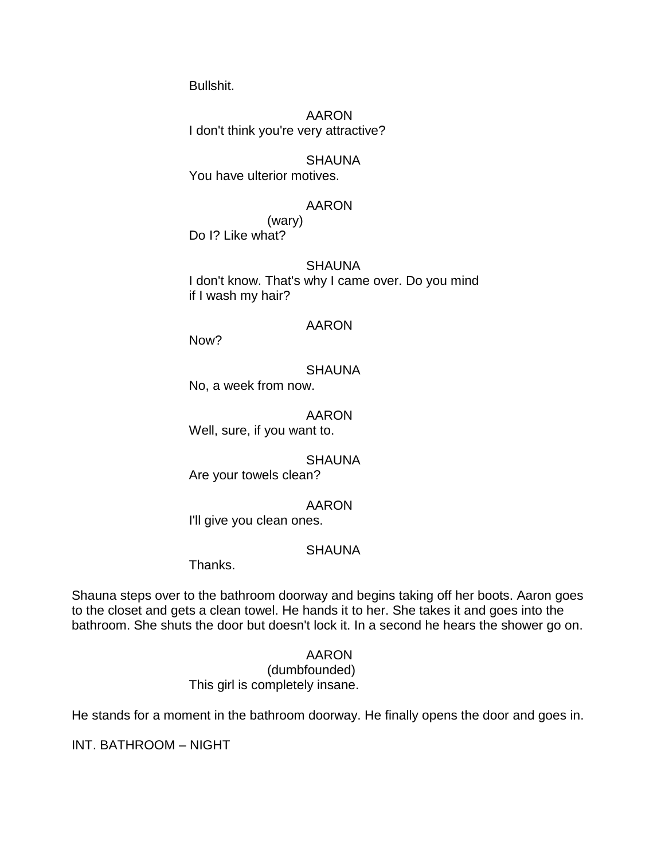Bullshit.

AARON I don't think you're very attractive?

SHAUNA You have ulterior motives.

## AARON

(wary) Do I? Like what?

#### **SHAUNA**

I don't know. That's why I came over. Do you mind if I wash my hair?

#### AARON

Now?

## **SHAUNA**

No, a week from now.

#### AARON

Well, sure, if you want to.

#### **SHAUNA**

Are your towels clean?

## AARON

I'll give you clean ones.

## **SHAUNA**

Thanks.

Shauna steps over to the bathroom doorway and begins taking off her boots. Aaron goes to the closet and gets a clean towel. He hands it to her. She takes it and goes into the bathroom. She shuts the door but doesn't lock it. In a second he hears the shower go on.

## AARON

(dumbfounded) This girl is completely insane.

He stands for a moment in the bathroom doorway. He finally opens the door and goes in.

INT. BATHROOM – NIGHT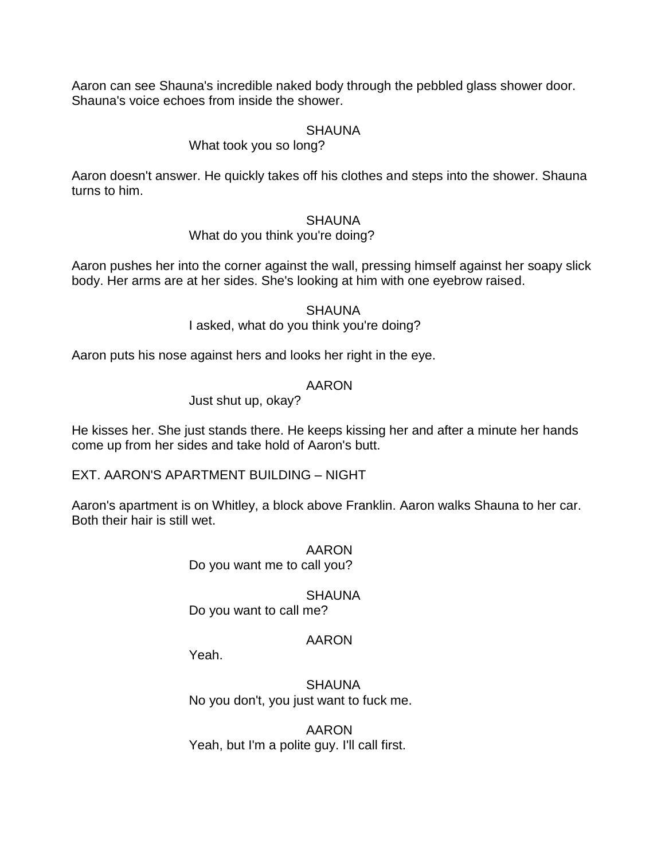Aaron can see Shauna's incredible naked body through the pebbled glass shower door. Shauna's voice echoes from inside the shower.

## **SHAUNA**

## What took you so long?

Aaron doesn't answer. He quickly takes off his clothes and steps into the shower. Shauna turns to him.

## **SHAUNA**

## What do you think you're doing?

Aaron pushes her into the corner against the wall, pressing himself against her soapy slick body. Her arms are at her sides. She's looking at him with one eyebrow raised.

#### **SHAUNA**

I asked, what do you think you're doing?

Aaron puts his nose against hers and looks her right in the eye.

## AARON

Just shut up, okay?

He kisses her. She just stands there. He keeps kissing her and after a minute her hands come up from her sides and take hold of Aaron's butt.

EXT. AARON'S APARTMENT BUILDING – NIGHT

Aaron's apartment is on Whitley, a block above Franklin. Aaron walks Shauna to her car. Both their hair is still wet.

> AARON Do you want me to call you?

# **SHAUNA**

Do you want to call me?

## AARON

Yeah.

**SHAUNA** No you don't, you just want to fuck me.

AARON Yeah, but I'm a polite guy. I'll call first.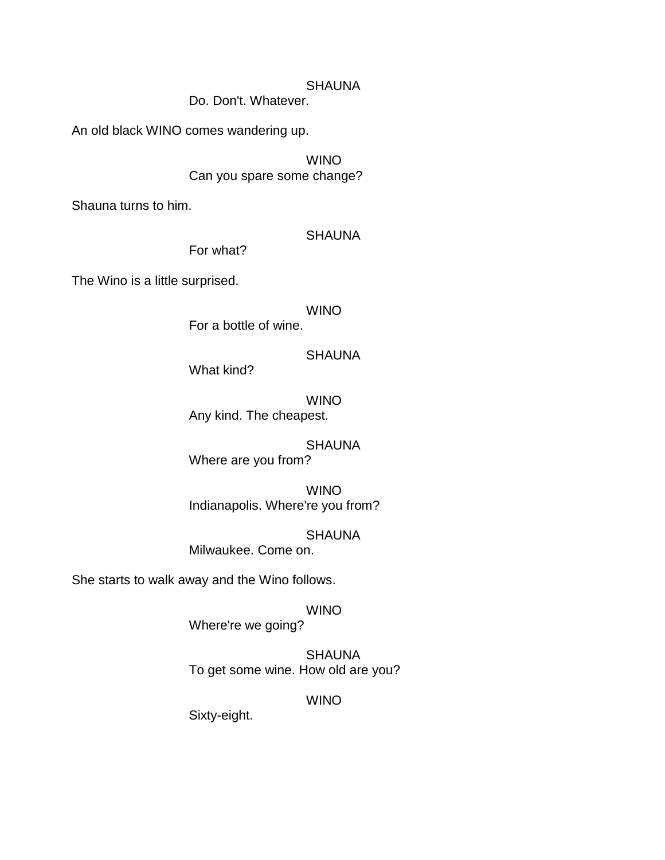## SHAUNA

Do. Don't. Whatever.

An old black WINO comes wandering up.

WINO Can you spare some change?

Shauna turns to him.

## SHAUNA

The Wino is a little surprised.

WINO

For a bottle of wine.

**SHAUNA** 

What kind?

For what?

WINO Any kind. The cheapest.

SHAUNA Where are you from?

WINO Indianapolis. Where're you from?

**SHAUNA** Milwaukee. Come on.

She starts to walk away and the Wino follows.

WINO

Where're we going?

**SHAUNA** To get some wine. How old are you?

WINO

Sixty-eight.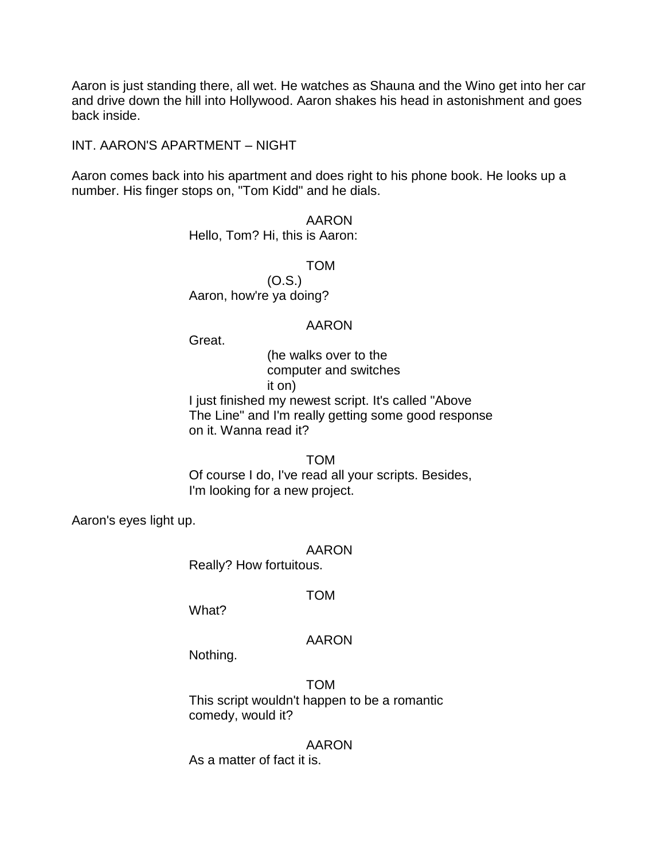Aaron is just standing there, all wet. He watches as Shauna and the Wino get into her car and drive down the hill into Hollywood. Aaron shakes his head in astonishment and goes back inside.

INT. AARON'S APARTMENT – NIGHT

Aaron comes back into his apartment and does right to his phone book. He looks up a number. His finger stops on, "Tom Kidd" and he dials.

> AARON Hello, Tom? Hi, this is Aaron:

> > TOM

(O.S.) Aaron, how're ya doing?

## AARON

Great.

(he walks over to the computer and switches it on)

I just finished my newest script. It's called "Above The Line" and I'm really getting some good response on it. Wanna read it?

TOM

Of course I do, I've read all your scripts. Besides, I'm looking for a new project.

Aaron's eyes light up.

## AARON

Really? How fortuitous.

## TOM

What?

## AARON

Nothing.

TOM This script wouldn't happen to be a romantic comedy, would it?

## AARON

As a matter of fact it is.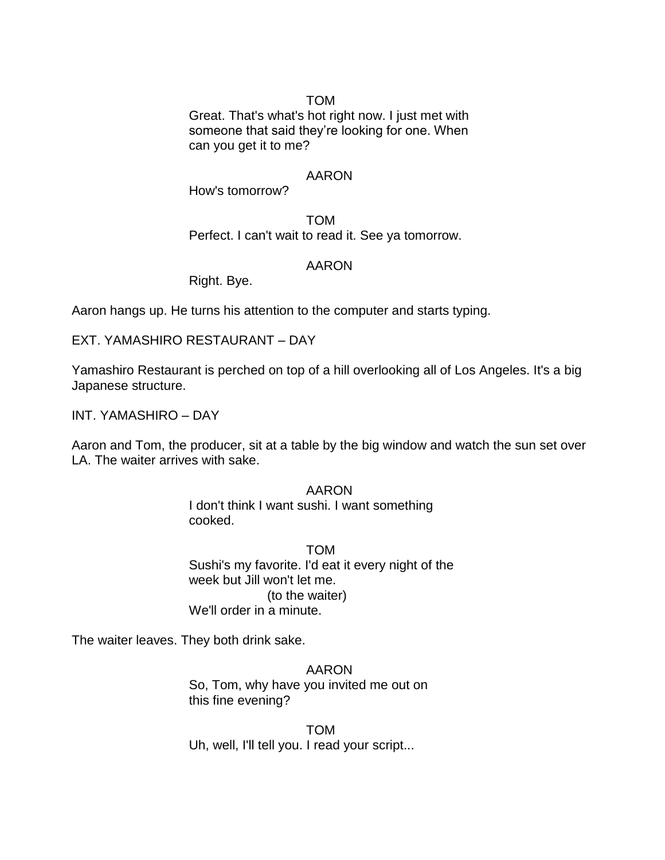## TOM

Great. That's what's hot right now. I just met with someone that said they're looking for one. When can you get it to me?

## AARON

How's tomorrow?

TOM Perfect. I can't wait to read it. See ya tomorrow.

## AARON

Right. Bye.

Aaron hangs up. He turns his attention to the computer and starts typing.

EXT. YAMASHIRO RESTAURANT – DAY

Yamashiro Restaurant is perched on top of a hill overlooking all of Los Angeles. It's a big Japanese structure.

INT. YAMASHIRO – DAY

Aaron and Tom, the producer, sit at a table by the big window and watch the sun set over LA. The waiter arrives with sake.

> AARON I don't think I want sushi. I want something cooked.

TOM Sushi's my favorite. I'd eat it every night of the week but Jill won't let me. (to the waiter) We'll order in a minute.

The waiter leaves. They both drink sake.

AARON So, Tom, why have you invited me out on this fine evening?

TOM Uh, well, I'll tell you. I read your script...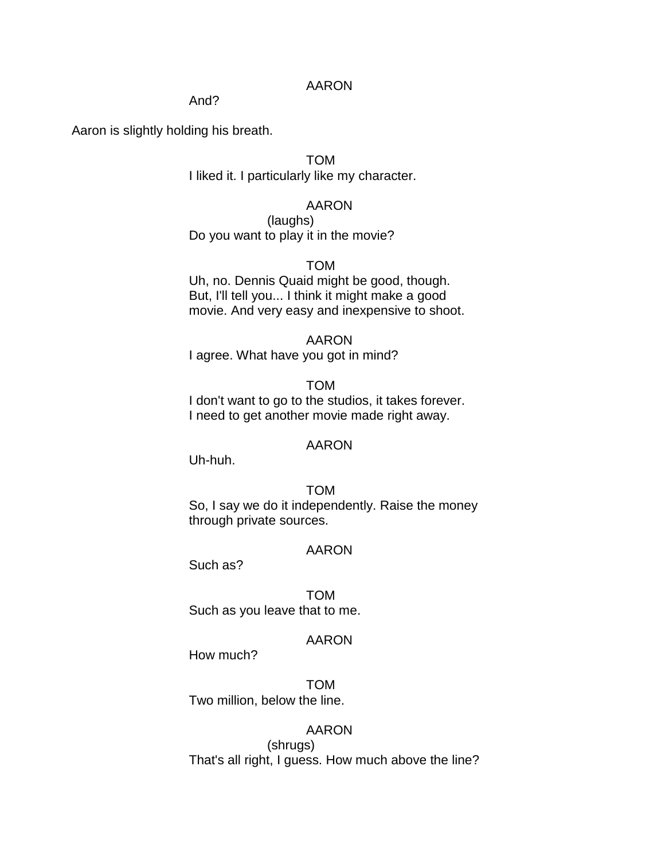## AARON

#### And?

Aaron is slightly holding his breath.

TOM I liked it. I particularly like my character.

AARON

(laughs) Do you want to play it in the movie?

TOM

Uh, no. Dennis Quaid might be good, though. But, I'll tell you... I think it might make a good movie. And very easy and inexpensive to shoot.

## AARON

I agree. What have you got in mind?

#### TOM

I don't want to go to the studios, it takes forever. I need to get another movie made right away.

#### AARON

Uh-huh.

TOM So, I say we do it independently. Raise the money through private sources.

#### AARON

Such as?

TOM Such as you leave that to me.

#### AARON

How much?

TOM Two million, below the line.

## AARON

(shrugs) That's all right, I guess. How much above the line?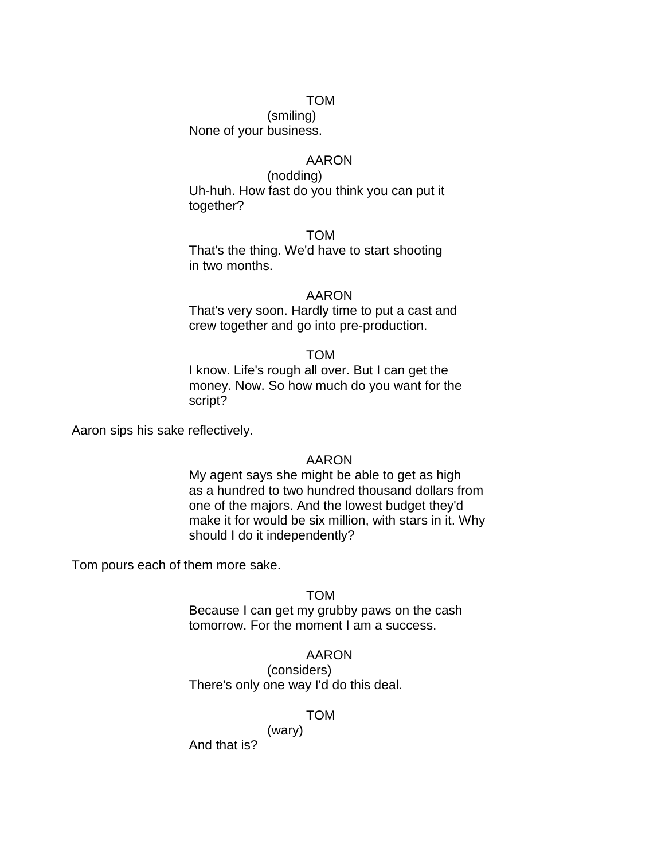#### TOM

(smiling) None of your business.

## AARON

(nodding) Uh-huh. How fast do you think you can put it together?

TOM

That's the thing. We'd have to start shooting in two months.

#### AARON

That's very soon. Hardly time to put a cast and crew together and go into pre-production.

#### TOM

I know. Life's rough all over. But I can get the money. Now. So how much do you want for the script?

Aaron sips his sake reflectively.

#### AARON

My agent says she might be able to get as high as a hundred to two hundred thousand dollars from one of the majors. And the lowest budget they'd make it for would be six million, with stars in it. Why should I do it independently?

Tom pours each of them more sake.

#### TOM

Because I can get my grubby paws on the cash tomorrow. For the moment I am a success.

#### AARON

(considers) There's only one way I'd do this deal.

(wary)

#### TOM

And that is?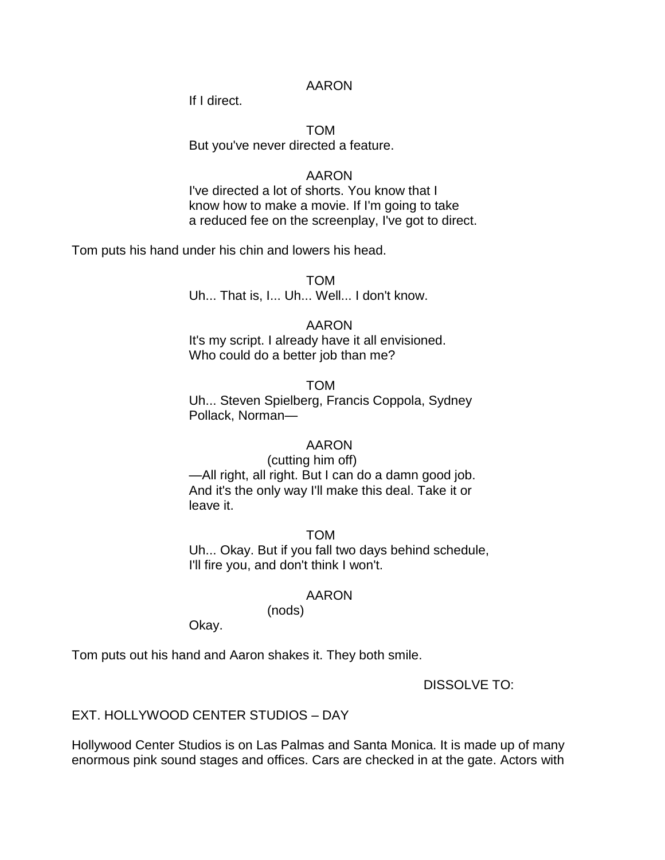## AARON

If I direct.

## TOM But you've never directed a feature.

## AARON

I've directed a lot of shorts. You know that I know how to make a movie. If I'm going to take a reduced fee on the screenplay, I've got to direct.

Tom puts his hand under his chin and lowers his head.

TOM Uh... That is, I... Uh... Well... I don't know.

## AARON

It's my script. I already have it all envisioned. Who could do a better job than me?

## TOM

Uh... Steven Spielberg, Francis Coppola, Sydney Pollack, Norman—

## AARON

(cutting him off) —All right, all right. But I can do a damn good job. And it's the only way I'll make this deal. Take it or leave it.

TOM Uh... Okay. But if you fall two days behind schedule, I'll fire you, and don't think I won't.

## AARON

(nods)

Okay.

Tom puts out his hand and Aaron shakes it. They both smile.

DISSOLVE TO:

## EXT. HOLLYWOOD CENTER STUDIOS – DAY

Hollywood Center Studios is on Las Palmas and Santa Monica. It is made up of many enormous pink sound stages and offices. Cars are checked in at the gate. Actors with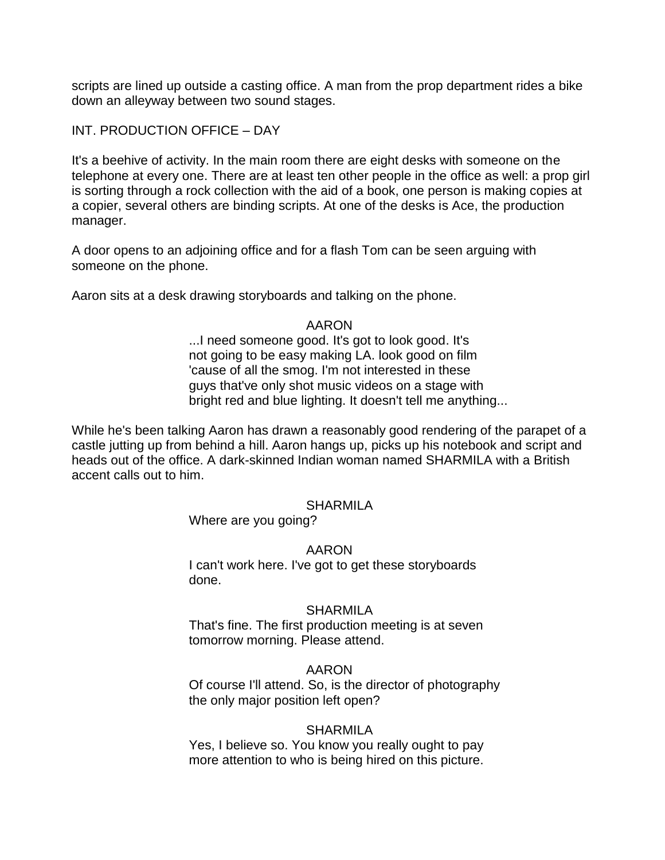scripts are lined up outside a casting office. A man from the prop department rides a bike down an alleyway between two sound stages.

INT. PRODUCTION OFFICE – DAY

It's a beehive of activity. In the main room there are eight desks with someone on the telephone at every one. There are at least ten other people in the office as well: a prop girl is sorting through a rock collection with the aid of a book, one person is making copies at a copier, several others are binding scripts. At one of the desks is Ace, the production manager.

A door opens to an adjoining office and for a flash Tom can be seen arguing with someone on the phone.

Aaron sits at a desk drawing storyboards and talking on the phone.

## AARON

...I need someone good. It's got to look good. It's not going to be easy making LA. look good on film 'cause of all the smog. I'm not interested in these guys that've only shot music videos on a stage with bright red and blue lighting. It doesn't tell me anything...

While he's been talking Aaron has drawn a reasonably good rendering of the parapet of a castle jutting up from behind a hill. Aaron hangs up, picks up his notebook and script and heads out of the office. A dark-skinned Indian woman named SHARMILA with a British accent calls out to him.

## SHARMILA

Where are you going?

## AARON

I can't work here. I've got to get these storyboards done.

## **SHARMILA**

That's fine. The first production meeting is at seven tomorrow morning. Please attend.

## AARON

Of course I'll attend. So, is the director of photography the only major position left open?

## SHARMILA

Yes, I believe so. You know you really ought to pay more attention to who is being hired on this picture.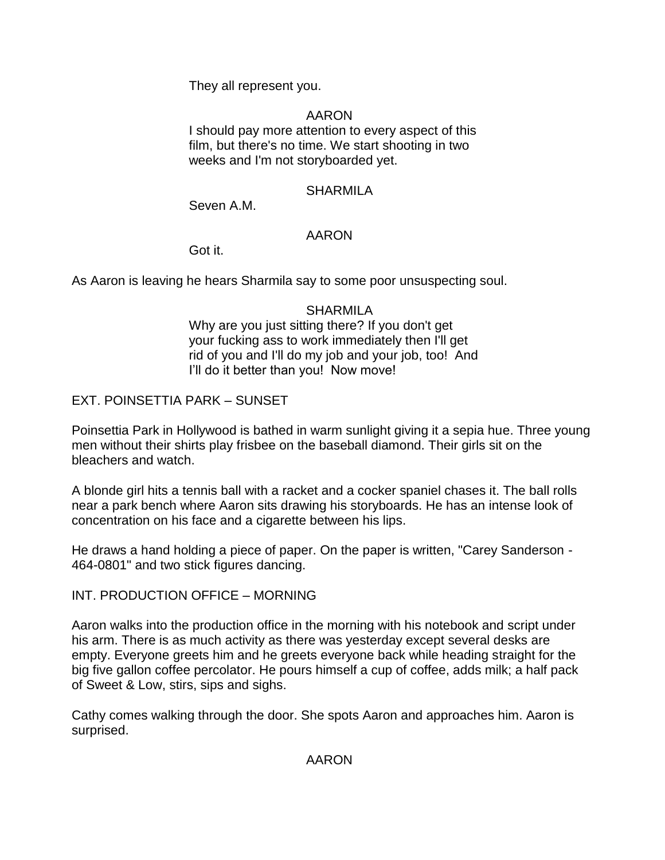They all represent you.

## AARON

I should pay more attention to every aspect of this film, but there's no time. We start shooting in two weeks and I'm not storyboarded yet.

## **SHARMILA**

Seven A.M.

## AARON

Got it.

As Aaron is leaving he hears Sharmila say to some poor unsuspecting soul.

## **SHARMILA**

Why are you just sitting there? If you don't get your fucking ass to work immediately then I'll get rid of you and I'll do my job and your job, too! And I'll do it better than you! Now move!

EXT. POINSETTIA PARK – SUNSET

Poinsettia Park in Hollywood is bathed in warm sunlight giving it a sepia hue. Three young men without their shirts play frisbee on the baseball diamond. Their girls sit on the bleachers and watch.

A blonde girl hits a tennis ball with a racket and a cocker spaniel chases it. The ball rolls near a park bench where Aaron sits drawing his storyboards. He has an intense look of concentration on his face and a cigarette between his lips.

He draws a hand holding a piece of paper. On the paper is written, "Carey Sanderson - 464-0801" and two stick figures dancing.

## INT. PRODUCTION OFFICE – MORNING

Aaron walks into the production office in the morning with his notebook and script under his arm. There is as much activity as there was yesterday except several desks are empty. Everyone greets him and he greets everyone back while heading straight for the big five gallon coffee percolator. He pours himself a cup of coffee, adds milk; a half pack of Sweet & Low, stirs, sips and sighs.

Cathy comes walking through the door. She spots Aaron and approaches him. Aaron is surprised.

AARON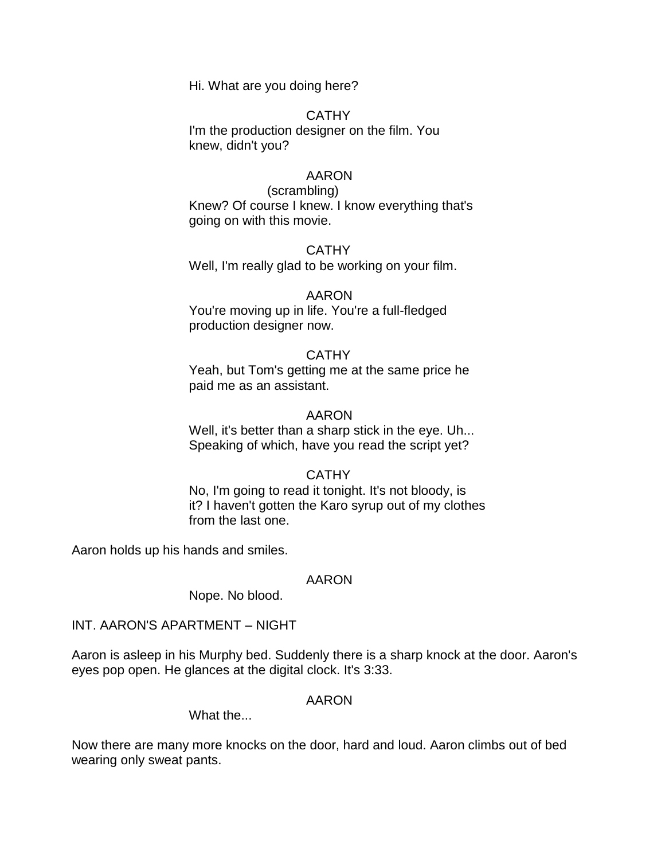Hi. What are you doing here?

## CATHY

I'm the production designer on the film. You knew, didn't you?

## AARON

(scrambling) Knew? Of course I knew. I know everything that's going on with this movie.

CATHY Well, I'm really glad to be working on your film.

## AARON

You're moving up in life. You're a full-fledged production designer now.

## **CATHY**

Yeah, but Tom's getting me at the same price he paid me as an assistant.

## AARON

Well, it's better than a sharp stick in the eye. Uh... Speaking of which, have you read the script yet?

## **CATHY**

No, I'm going to read it tonight. It's not bloody, is it? I haven't gotten the Karo syrup out of my clothes from the last one.

Aaron holds up his hands and smiles.

## AARON

Nope. No blood.

## INT. AARON'S APARTMENT – NIGHT

Aaron is asleep in his Murphy bed. Suddenly there is a sharp knock at the door. Aaron's eyes pop open. He glances at the digital clock. It's 3:33.

## AARON

What the...

Now there are many more knocks on the door, hard and loud. Aaron climbs out of bed wearing only sweat pants.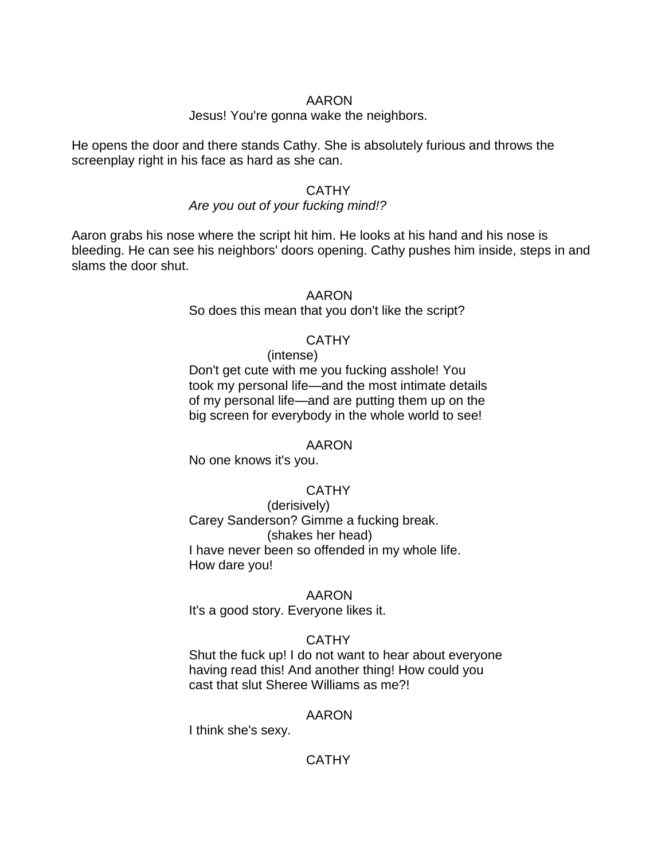## AARON

## Jesus! You're gonna wake the neighbors.

He opens the door and there stands Cathy. She is absolutely furious and throws the screenplay right in his face as hard as she can.

## **CATHY**

## *Are you out of your fucking mind!?*

Aaron grabs his nose where the script hit him. He looks at his hand and his nose is bleeding. He can see his neighbors' doors opening. Cathy pushes him inside, steps in and slams the door shut.

## AARON

So does this mean that you don't like the script?

## **CATHY**

(intense) Don't get cute with me you fucking asshole! You took my personal life—and the most intimate details of my personal life—and are putting them up on the big screen for everybody in the whole world to see!

## AARON

No one knows it's you.

## **CATHY**

(derisively) Carey Sanderson? Gimme a fucking break. (shakes her head) I have never been so offended in my whole life. How dare you!

## AARON

It's a good story. Everyone likes it.

## **CATHY**

Shut the fuck up! I do not want to hear about everyone having read this! And another thing! How could you cast that slut Sheree Williams as me?!

## AARON

I think she's sexy.

## **CATHY**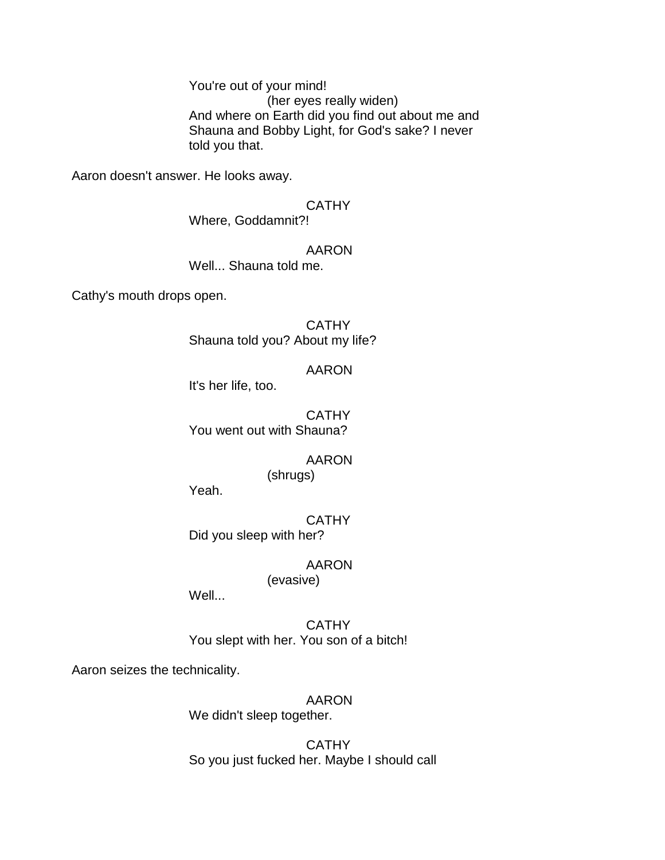You're out of your mind! (her eyes really widen) And where on Earth did you find out about me and Shauna and Bobby Light, for God's sake? I never told you that.

Aaron doesn't answer. He looks away.

# **CATHY**

Where, Goddamnit?!

## AARON

Well... Shauna told me.

Cathy's mouth drops open.

## **CATHY** Shauna told you? About my life?

## AARON

It's her life, too.

**CATHY** You went out with Shauna?

# AARON

(shrugs)

Yeah.

## **CATHY** Did you sleep with her?

## AARON

## (evasive)

Well...

**CATHY** You slept with her. You son of a bitch!

Aaron seizes the technicality.

# AARON

We didn't sleep together.

**CATHY** So you just fucked her. Maybe I should call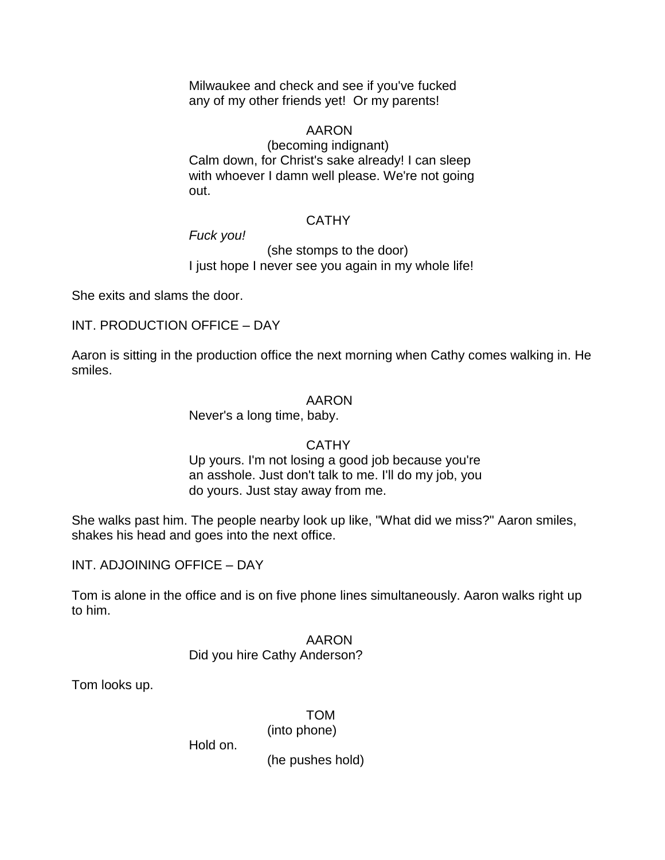Milwaukee and check and see if you've fucked any of my other friends yet! Or my parents!

# AARON

(becoming indignant) Calm down, for Christ's sake already! I can sleep with whoever I damn well please. We're not going out.

## **CATHY**

## *Fuck you!*

(she stomps to the door) I just hope I never see you again in my whole life!

She exits and slams the door.

## INT. PRODUCTION OFFICE – DAY

Aaron is sitting in the production office the next morning when Cathy comes walking in. He smiles.

## AARON

Never's a long time, baby.

## **CATHY**

Up yours. I'm not losing a good job because you're an asshole. Just don't talk to me. I'll do my job, you do yours. Just stay away from me.

She walks past him. The people nearby look up like, "What did we miss?" Aaron smiles, shakes his head and goes into the next office.

INT. ADJOINING OFFICE – DAY

Tom is alone in the office and is on five phone lines simultaneously. Aaron walks right up to him.

## AARON

## Did you hire Cathy Anderson?

Tom looks up.

## TOM

(into phone)

Hold on.

(he pushes hold)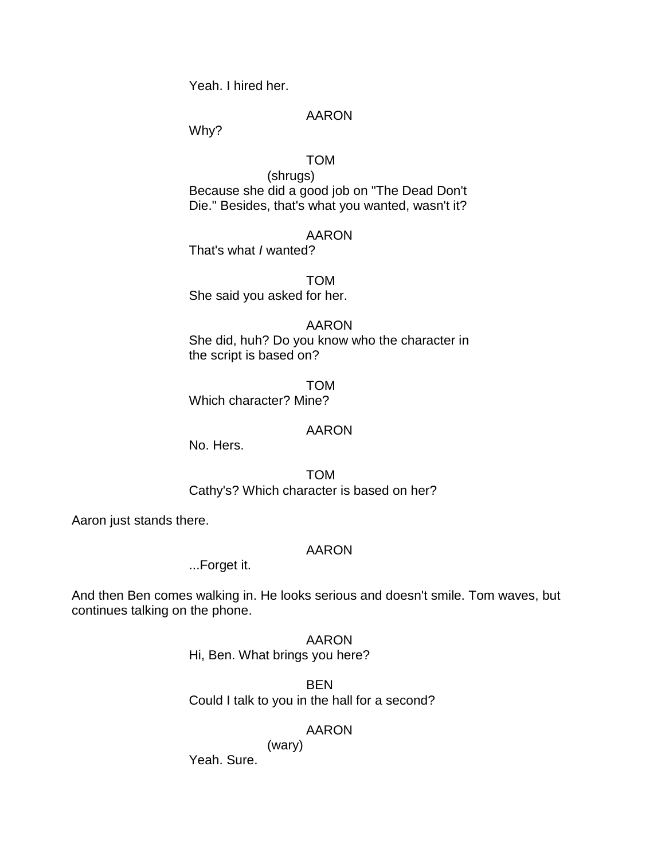Yeah. I hired her.

## AARON

Why?

## TOM

(shrugs) Because she did a good job on "The Dead Don't Die." Besides, that's what you wanted, wasn't it?

## AARON

That's what *I* wanted?

TOM She said you asked for her.

## AARON

She did, huh? Do you know who the character in the script is based on?

TOM Which character? Mine?

## AARON

No. Hers.

TOM Cathy's? Which character is based on her?

Aaron just stands there.

## AARON

...Forget it.

And then Ben comes walking in. He looks serious and doesn't smile. Tom waves, but continues talking on the phone.

> AARON Hi, Ben. What brings you here?

BEN Could I talk to you in the hall for a second?

## AARON

(wary)

Yeah. Sure.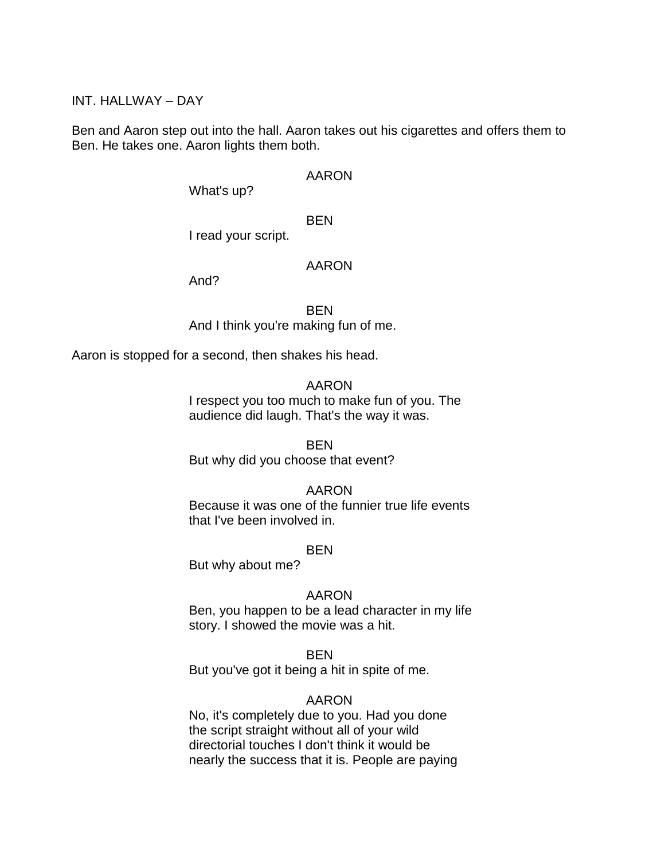INT. HALLWAY – DAY

Ben and Aaron step out into the hall. Aaron takes out his cigarettes and offers them to Ben. He takes one. Aaron lights them both.

#### AARON

What's up?

BEN

I read your script.

## AARON

And?

BEN And I think you're making fun of me.

Aaron is stopped for a second, then shakes his head.

#### AARON

I respect you too much to make fun of you. The audience did laugh. That's the way it was.

**BFN** 

But why did you choose that event?

## AARON

Because it was one of the funnier true life events that I've been involved in.

## BEN

But why about me?

## AARON

Ben, you happen to be a lead character in my life story. I showed the movie was a hit.

## BEN

But you've got it being a hit in spite of me.

## AARON

No, it's completely due to you. Had you done the script straight without all of your wild directorial touches I don't think it would be nearly the success that it is. People are paying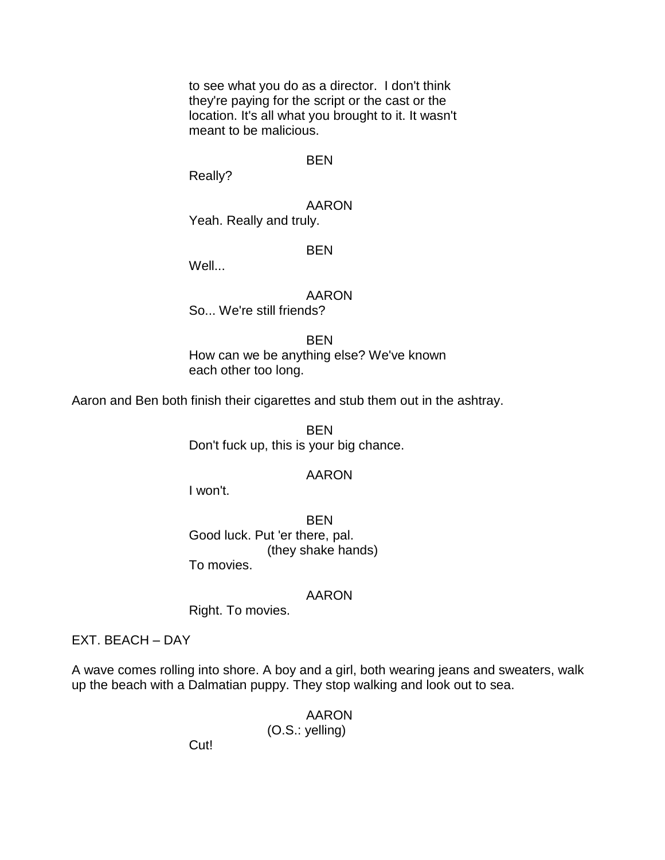to see what you do as a director. I don't think they're paying for the script or the cast or the location. It's all what you brought to it. It wasn't meant to be malicious.

## BEN

Really?

AARON Yeah. Really and truly.

## **BEN**

Well...

## AARON

So... We're still friends?

#### BEN

How can we be anything else? We've known each other too long.

Aaron and Ben both finish their cigarettes and stub them out in the ashtray.

BEN Don't fuck up, this is your big chance.

## AARON

I won't.

BEN Good luck. Put 'er there, pal. (they shake hands) To movies.

## AARON

Right. To movies.

EXT. BEACH – DAY

A wave comes rolling into shore. A boy and a girl, both wearing jeans and sweaters, walk up the beach with a Dalmatian puppy. They stop walking and look out to sea.

> AARON (O.S.: yelling)

Cut!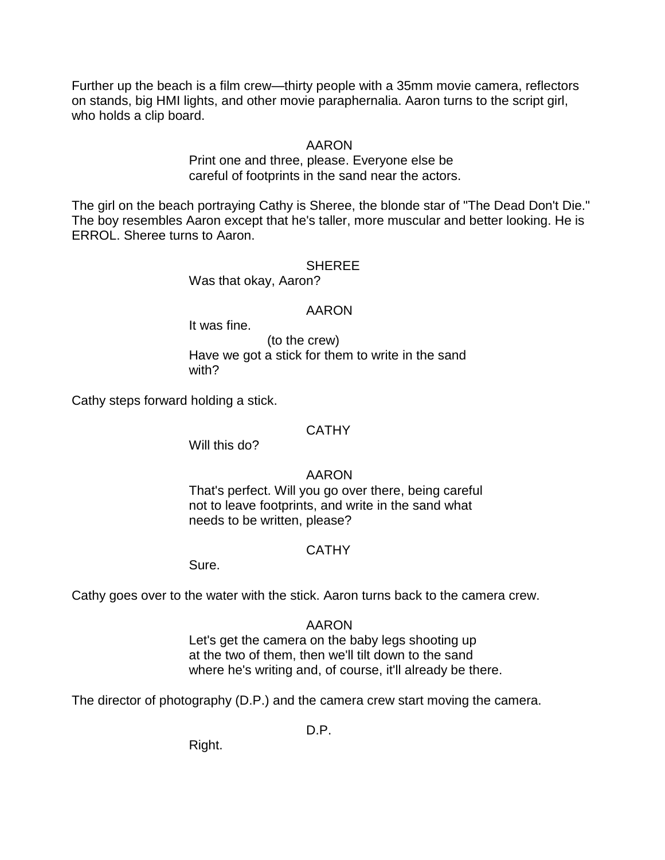Further up the beach is a film crew—thirty people with a 35mm movie camera, reflectors on stands, big HMI lights, and other movie paraphernalia. Aaron turns to the script girl, who holds a clip board.

## AARON

Print one and three, please. Everyone else be careful of footprints in the sand near the actors.

The girl on the beach portraying Cathy is Sheree, the blonde star of "The Dead Don't Die." The boy resembles Aaron except that he's taller, more muscular and better looking. He is ERROL. Sheree turns to Aaron.

#### **SHEREE**

Was that okay, Aaron?

#### AARON

It was fine.

(to the crew) Have we got a stick for them to write in the sand with?

Cathy steps forward holding a stick.

#### **CATHY**

Will this do?

## AARON

That's perfect. Will you go over there, being careful not to leave footprints, and write in the sand what needs to be written, please?

#### **CATHY**

Sure.

Cathy goes over to the water with the stick. Aaron turns back to the camera crew.

#### AARON

Let's get the camera on the baby legs shooting up at the two of them, then we'll tilt down to the sand where he's writing and, of course, it'll already be there.

The director of photography (D.P.) and the camera crew start moving the camera.

D.P.

Right.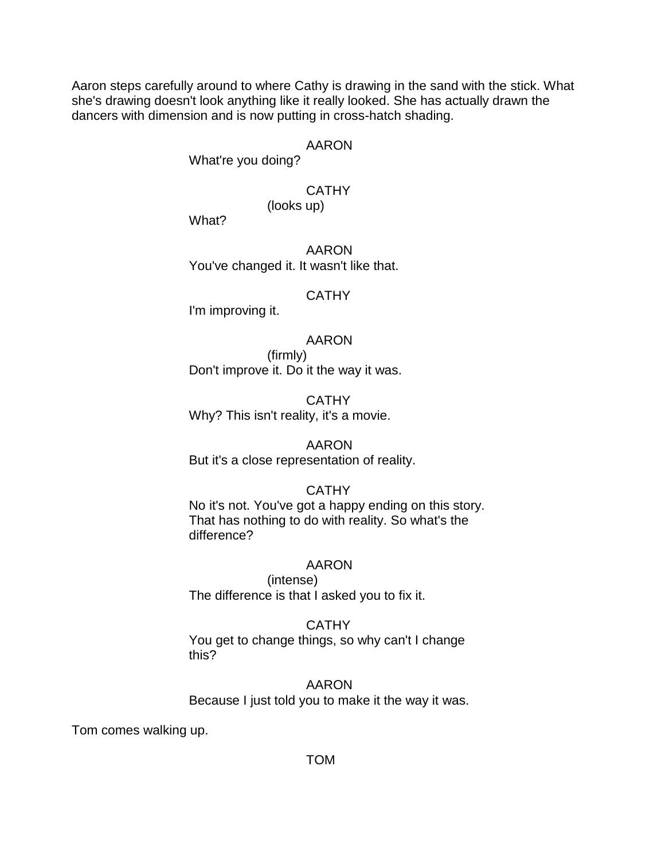Aaron steps carefully around to where Cathy is drawing in the sand with the stick. What she's drawing doesn't look anything like it really looked. She has actually drawn the dancers with dimension and is now putting in cross-hatch shading.

## AARON

What're you doing?

## **CATHY**

(looks up)

What?

AARON You've changed it. It wasn't like that.

#### **CATHY**

I'm improving it.

## AARON

(firmly) Don't improve it. Do it the way it was.

CATHY Why? This isn't reality, it's a movie.

# AARON

But it's a close representation of reality.

## **CATHY**

No it's not. You've got a happy ending on this story. That has nothing to do with reality. So what's the difference?

## AARON

(intense) The difference is that I asked you to fix it.

## **CATHY**

You get to change things, so why can't I change this?

AARON Because I just told you to make it the way it was.

Tom comes walking up.

## TOM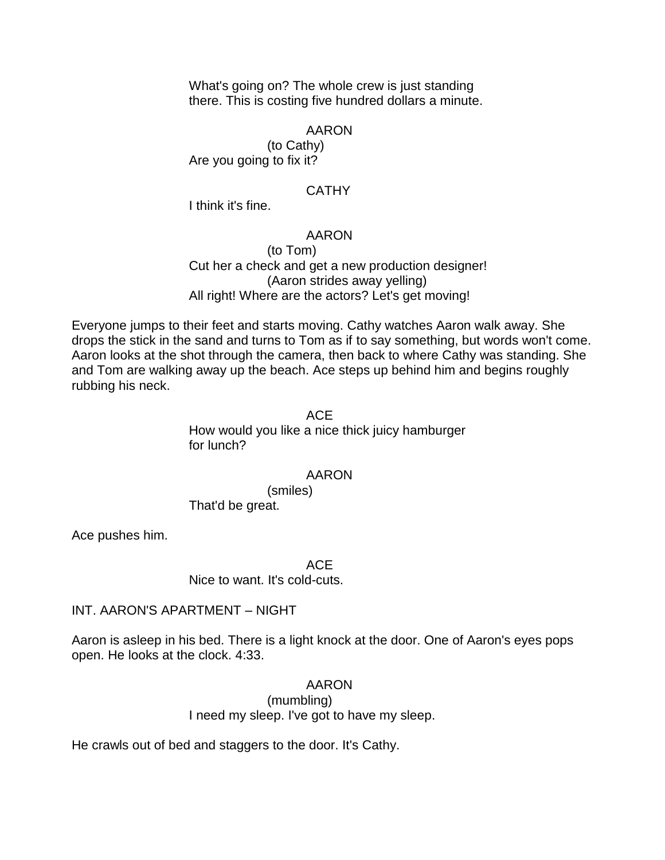What's going on? The whole crew is just standing there. This is costing five hundred dollars a minute.

#### AARON

(to Cathy) Are you going to fix it?

#### **CATHY**

I think it's fine.

# AARON

(to Tom) Cut her a check and get a new production designer! (Aaron strides away yelling) All right! Where are the actors? Let's get moving!

Everyone jumps to their feet and starts moving. Cathy watches Aaron walk away. She drops the stick in the sand and turns to Tom as if to say something, but words won't come. Aaron looks at the shot through the camera, then back to where Cathy was standing. She and Tom are walking away up the beach. Ace steps up behind him and begins roughly rubbing his neck.

# ACE

How would you like a nice thick juicy hamburger for lunch?

#### AARON

(smiles) That'd be great.

Ace pushes him.

ACE

Nice to want. It's cold-cuts.

INT. AARON'S APARTMENT – NIGHT

Aaron is asleep in his bed. There is a light knock at the door. One of Aaron's eyes pops open. He looks at the clock. 4:33.

# AARON

(mumbling) I need my sleep. I've got to have my sleep.

He crawls out of bed and staggers to the door. It's Cathy.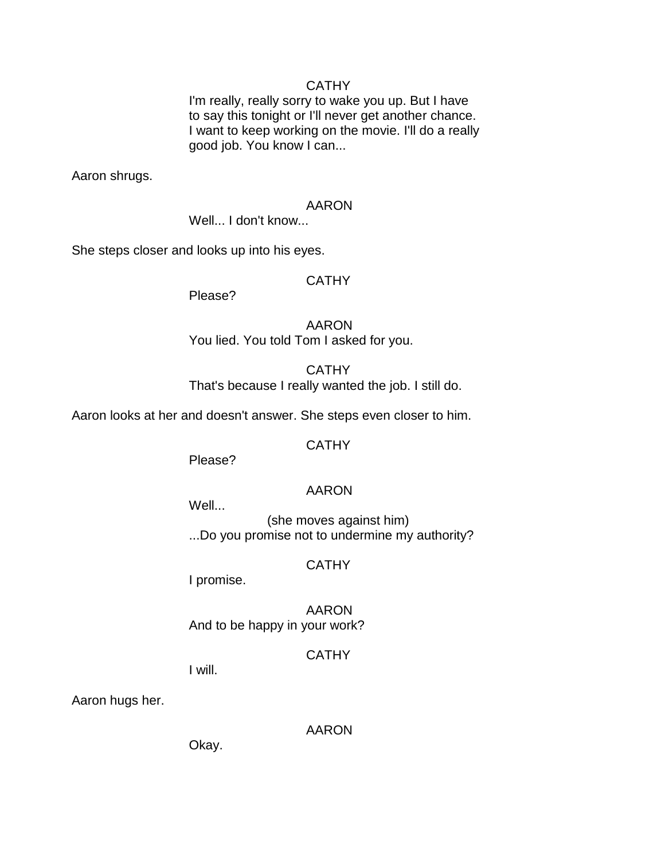#### **CATHY**

I'm really, really sorry to wake you up. But I have to say this tonight or I'll never get another chance. I want to keep working on the movie. I'll do a really good job. You know I can...

Aaron shrugs.

#### AARON

Well... I don't know...

She steps closer and looks up into his eyes.

#### **CATHY**

Please?

AARON You lied. You told Tom I asked for you.

# **CATHY** That's because I really wanted the job. I still do.

Aaron looks at her and doesn't answer. She steps even closer to him.

#### **CATHY**

Please?

# AARON

Well...

(she moves against him) ...Do you promise not to undermine my authority?

# **CATHY**

I promise.

AARON And to be happy in your work?

#### **CATHY**

I will.

Aaron hugs her.

AARON

Okay.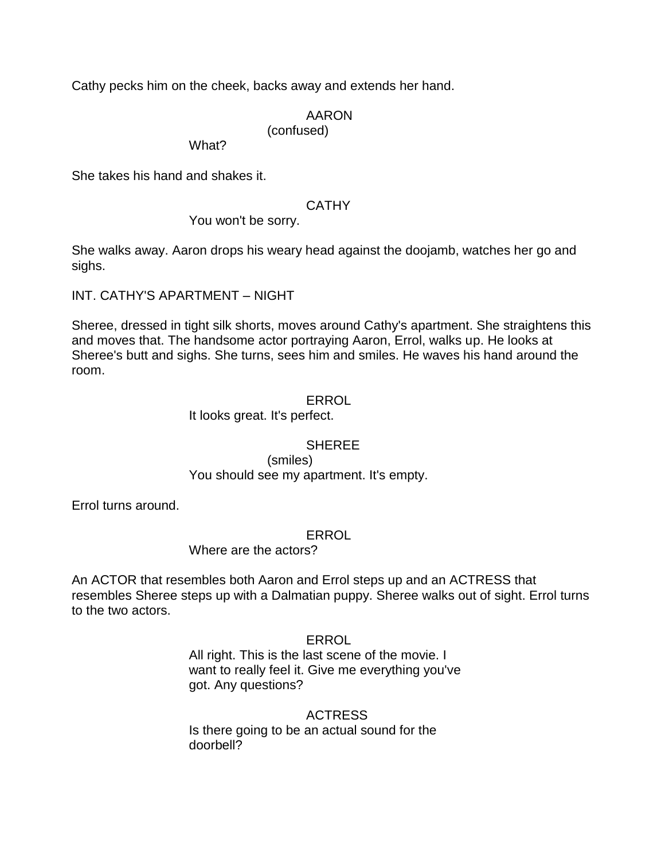Cathy pecks him on the cheek, backs away and extends her hand.

#### AARON (confused)

What?

She takes his hand and shakes it.

# **CATHY**

You won't be sorry.

She walks away. Aaron drops his weary head against the doojamb, watches her go and sighs.

INT. CATHY'S APARTMENT – NIGHT

Sheree, dressed in tight silk shorts, moves around Cathy's apartment. She straightens this and moves that. The handsome actor portraying Aaron, Errol, walks up. He looks at Sheree's butt and sighs. She turns, sees him and smiles. He waves his hand around the room.

### ERROL

It looks great. It's perfect.

# **SHEREE**

(smiles) You should see my apartment. It's empty.

Errol turns around.

ERROL

Where are the actors?

An ACTOR that resembles both Aaron and Errol steps up and an ACTRESS that resembles Sheree steps up with a Dalmatian puppy. Sheree walks out of sight. Errol turns to the two actors.

ERROL

All right. This is the last scene of the movie. I want to really feel it. Give me everything you've got. Any questions?

# ACTRESS

Is there going to be an actual sound for the doorbell?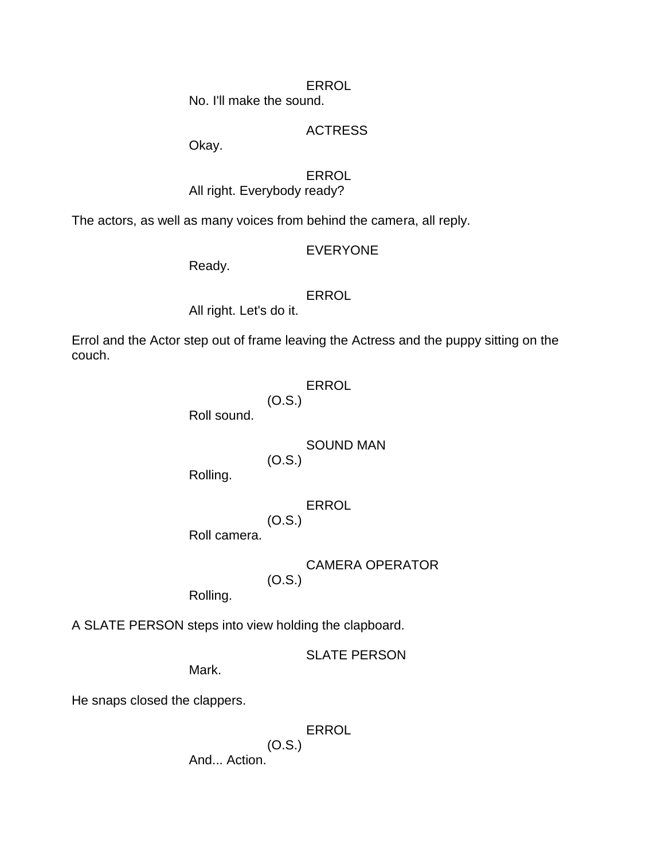ERROL

No. I'll make the sound.

# ACTRESS

Okay.

# **ERROL**

All right. Everybody ready?

The actors, as well as many voices from behind the camera, all reply.

# EVERYONE

Ready.

# **ERROL**

All right. Let's do it.

Errol and the Actor step out of frame leaving the Actress and the puppy sitting on the couch.

# ERROL

(O.S.)

Roll sound.

# SOUND MAN

(O.S.)

Rolling.

# ERROL

(O.S.) Roll camera.

> CAMERA OPERATOR (O.S.)

Rolling.

A SLATE PERSON steps into view holding the clapboard.

SLATE PERSON

Mark.

He snaps closed the clappers.

ERROL

(O.S.)

And... Action.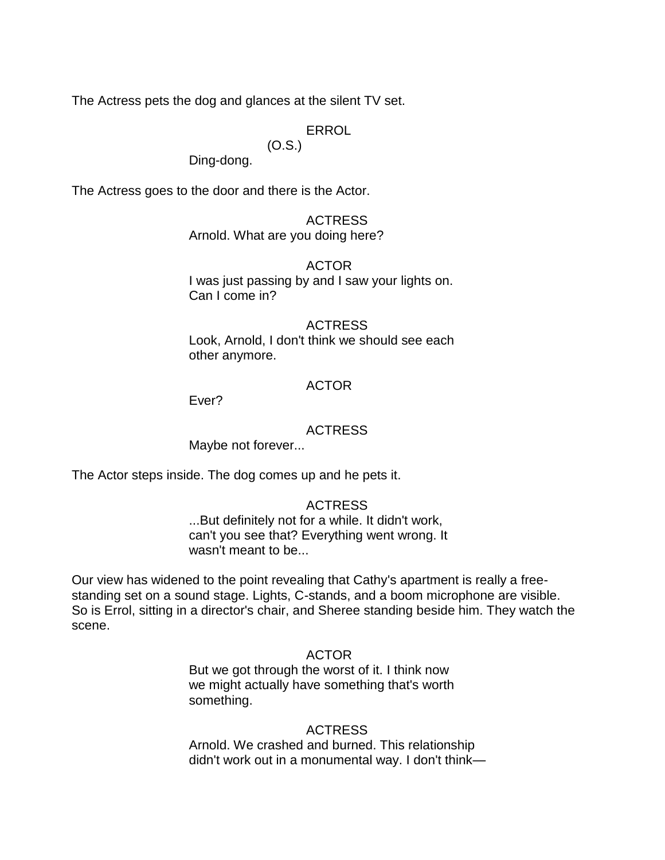The Actress pets the dog and glances at the silent TV set.

# ERROL

# (O.S.)

Ding-dong.

The Actress goes to the door and there is the Actor.

# ACTRESS

Arnold. What are you doing here?

### ACTOR

I was just passing by and I saw your lights on. Can I come in?

#### ACTRESS

Look, Arnold, I don't think we should see each other anymore.

### ACTOR

Ever?

### ACTRESS

Maybe not forever...

The Actor steps inside. The dog comes up and he pets it.

#### ACTRESS

...But definitely not for a while. It didn't work, can't you see that? Everything went wrong. It wasn't meant to be...

Our view has widened to the point revealing that Cathy's apartment is really a freestanding set on a sound stage. Lights, C-stands, and a boom microphone are visible. So is Errol, sitting in a director's chair, and Sheree standing beside him. They watch the scene.

#### ACTOR

But we got through the worst of it. I think now we might actually have something that's worth something.

ACTRESS Arnold. We crashed and burned. This relationship didn't work out in a monumental way. I don't think—